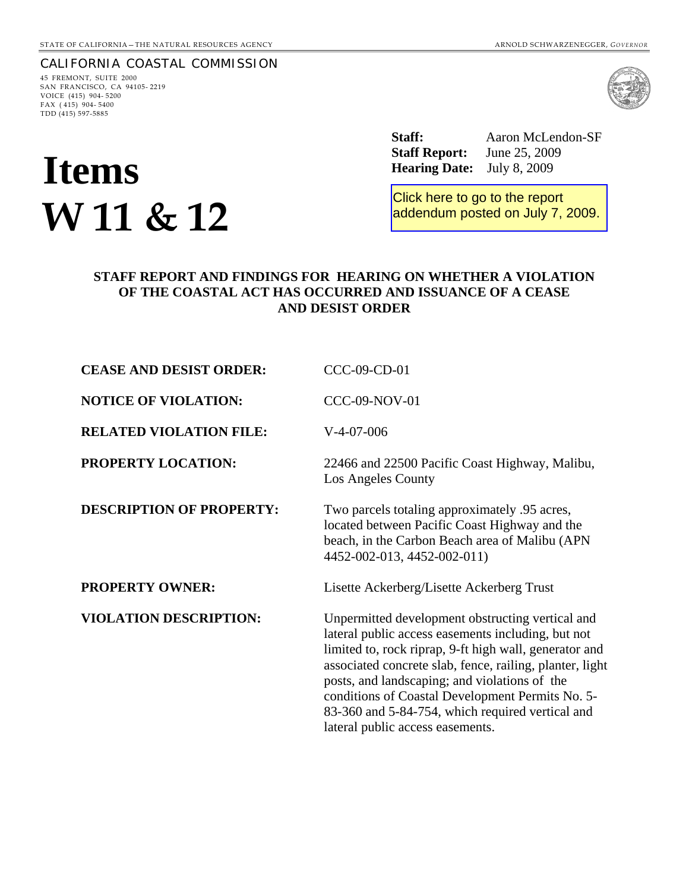# CALIFORNIA COASTAL COMMISSION

45 FREMONT, SUITE 2000 SAN FRANCISCO, CA 94105- 2219 VOICE (415) 904- 5200 FAX ( 415) 904- 5400 TDD (415) 597-5885

# **Items Items Items Items Items Items Items Items Items Items Items Items Items Items Items Items Items Items Items Items Items Items Items Items Items Items Items Items W 11 & 12**

 **Staff:** Aaron McLendon-SF  **Staff Report:** June 25, 2009

Click here to go to the report [addendum posted on July 7, 2009.](http://documents.coastal.ca.gov/reports/2009/7/W11-s-7-2009-a3.pdf)

#### **STAFF REPORT AND FINDINGS FOR HEARING ON WHETHER A VIOLATION OF THE COASTAL ACT HAS OCCURRED AND ISSUANCE OF A CEASE AND DESIST ORDER**

| <b>CEASE AND DESIST ORDER:</b>  | CCC-09-CD-01                                                                                                                                                                                                                                                                                                                                                                                                              |
|---------------------------------|---------------------------------------------------------------------------------------------------------------------------------------------------------------------------------------------------------------------------------------------------------------------------------------------------------------------------------------------------------------------------------------------------------------------------|
| <b>NOTICE OF VIOLATION:</b>     | <b>CCC-09-NOV-01</b>                                                                                                                                                                                                                                                                                                                                                                                                      |
| <b>RELATED VIOLATION FILE:</b>  | $V-4-07-006$                                                                                                                                                                                                                                                                                                                                                                                                              |
| <b>PROPERTY LOCATION:</b>       | 22466 and 22500 Pacific Coast Highway, Malibu,<br>Los Angeles County                                                                                                                                                                                                                                                                                                                                                      |
| <b>DESCRIPTION OF PROPERTY:</b> | Two parcels totaling approximately .95 acres,<br>located between Pacific Coast Highway and the<br>beach, in the Carbon Beach area of Malibu (APN<br>4452-002-013, 4452-002-011)                                                                                                                                                                                                                                           |
| <b>PROPERTY OWNER:</b>          | Lisette Ackerberg/Lisette Ackerberg Trust                                                                                                                                                                                                                                                                                                                                                                                 |
| <b>VIOLATION DESCRIPTION:</b>   | Unpermitted development obstructing vertical and<br>lateral public access easements including, but not<br>limited to, rock riprap, 9-ft high wall, generator and<br>associated concrete slab, fence, railing, planter, light<br>posts, and landscaping; and violations of the<br>conditions of Coastal Development Permits No. 5-<br>83-360 and 5-84-754, which required vertical and<br>lateral public access easements. |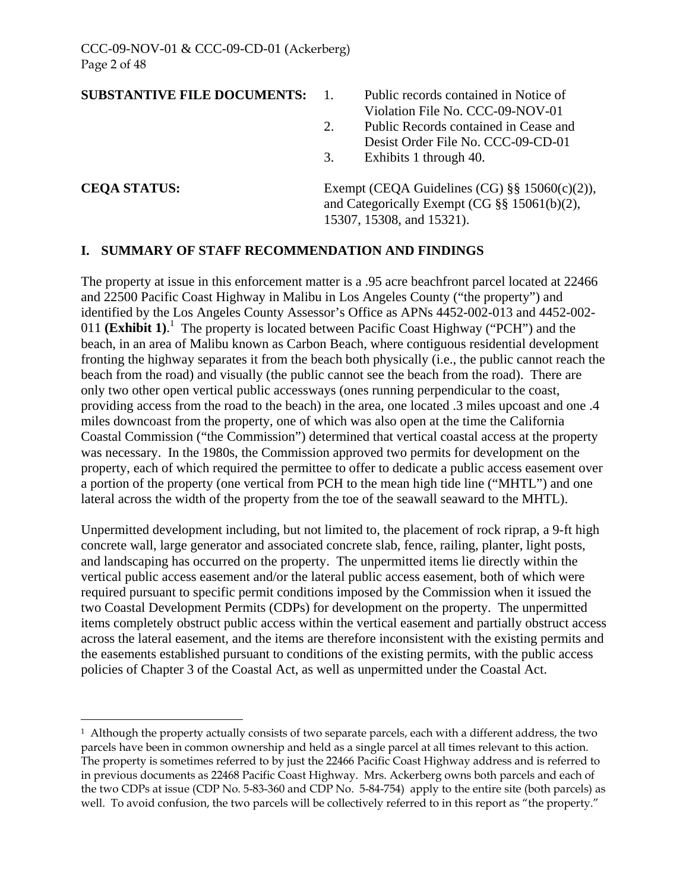#### **SUBSTANTIVE FILE DOCUMENTS:** 1. Public records contained in Notice of

- Violation File No. CCC-09-NOV-01 2. Public Records contained in Cease and
- Desist Order File No. CCC-09-CD-01
- 3. Exhibits 1 through 40.

<u>.</u>

**CEQA STATUS:** Exempt (CEQA Guidelines (CG) §§ 15060(c)(2)), and Categorically Exempt (CG §§ 15061(b)(2), 15307, 15308, and 15321).

#### **I. SUMMARY OF STAFF RECOMMENDATION AND FINDINGS**

The property at issue in this enforcement matter is a .95 acre beachfront parcel located at 22466 and 22500 Pacific Coast Highway in Malibu in Los Angeles County ("the property") and identified by the Los Angeles County Assessor's Office as APNs 4452-002-013 and 4452-002- 0[1](#page-1-0)1 **(Exhibit 1)**.<sup>1</sup> The property is located between Pacific Coast Highway ("PCH") and the beach, in an area of Malibu known as Carbon Beach, where contiguous residential development fronting the highway separates it from the beach both physically (i.e., the public cannot reach the beach from the road) and visually (the public cannot see the beach from the road). There are only two other open vertical public accessways (ones running perpendicular to the coast, providing access from the road to the beach) in the area, one located .3 miles upcoast and one .4 miles downcoast from the property, one of which was also open at the time the California Coastal Commission ("the Commission") determined that vertical coastal access at the property was necessary. In the 1980s, the Commission approved two permits for development on the property, each of which required the permittee to offer to dedicate a public access easement over a portion of the property (one vertical from PCH to the mean high tide line ("MHTL") and one lateral across the width of the property from the toe of the seawall seaward to the MHTL).

Unpermitted development including, but not limited to, the placement of rock riprap, a 9-ft high concrete wall, large generator and associated concrete slab, fence, railing, planter, light posts, and landscaping has occurred on the property. The unpermitted items lie directly within the vertical public access easement and/or the lateral public access easement, both of which were required pursuant to specific permit conditions imposed by the Commission when it issued the two Coastal Development Permits (CDPs) for development on the property. The unpermitted items completely obstruct public access within the vertical easement and partially obstruct access across the lateral easement, and the items are therefore inconsistent with the existing permits and the easements established pursuant to conditions of the existing permits, with the public access policies of Chapter 3 of the Coastal Act, as well as unpermitted under the Coastal Act.

<span id="page-1-0"></span> $1$  Although the property actually consists of two separate parcels, each with a different address, the two parcels have been in common ownership and held as a single parcel at all times relevant to this action. The property is sometimes referred to by just the 22466 Pacific Coast Highway address and is referred to in previous documents as 22468 Pacific Coast Highway. Mrs. Ackerberg owns both parcels and each of the two CDPs at issue (CDP No. 5-83-360 and CDP No. 5-84-754) apply to the entire site (both parcels) as well. To avoid confusion, the two parcels will be collectively referred to in this report as "the property."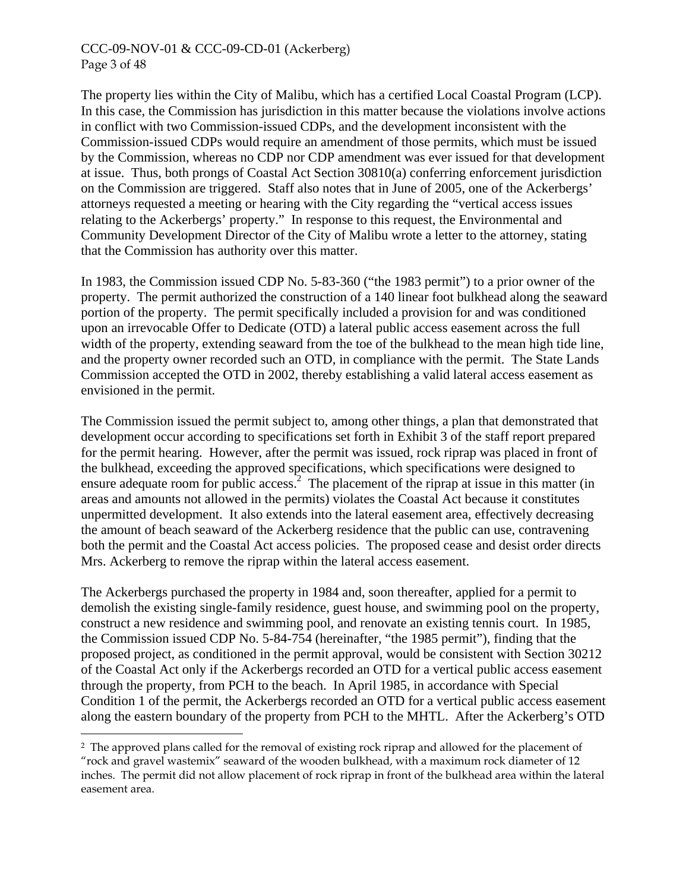#### CCC-09-NOV-01 & CCC-09-CD-01 (Ackerberg) Page 3 of 48

The property lies within the City of Malibu, which has a certified Local Coastal Program (LCP). In this case, the Commission has jurisdiction in this matter because the violations involve actions in conflict with two Commission-issued CDPs, and the development inconsistent with the Commission-issued CDPs would require an amendment of those permits, which must be issued by the Commission, whereas no CDP nor CDP amendment was ever issued for that development at issue. Thus, both prongs of Coastal Act Section 30810(a) conferring enforcement jurisdiction on the Commission are triggered. Staff also notes that in June of 2005, one of the Ackerbergs' attorneys requested a meeting or hearing with the City regarding the "vertical access issues relating to the Ackerbergs' property." In response to this request, the Environmental and Community Development Director of the City of Malibu wrote a letter to the attorney, stating that the Commission has authority over this matter.

In 1983, the Commission issued CDP No. 5-83-360 ("the 1983 permit") to a prior owner of the property. The permit authorized the construction of a 140 linear foot bulkhead along the seaward portion of the property. The permit specifically included a provision for and was conditioned upon an irrevocable Offer to Dedicate (OTD) a lateral public access easement across the full width of the property, extending seaward from the toe of the bulkhead to the mean high tide line, and the property owner recorded such an OTD, in compliance with the permit. The State Lands Commission accepted the OTD in 2002, thereby establishing a valid lateral access easement as envisioned in the permit.

The Commission issued the permit subject to, among other things, a plan that demonstrated that development occur according to specifications set forth in Exhibit 3 of the staff report prepared for the permit hearing. However, after the permit was issued, rock riprap was placed in front of the bulkhead, exceeding the approved specifications, which specifications were designed to ensure adequate room for public access.<sup>[2](#page-2-0)</sup> The placement of the riprap at issue in this matter (in areas and amounts not allowed in the permits) violates the Coastal Act because it constitutes unpermitted development. It also extends into the lateral easement area, effectively decreasing the amount of beach seaward of the Ackerberg residence that the public can use, contravening both the permit and the Coastal Act access policies. The proposed cease and desist order directs Mrs. Ackerberg to remove the riprap within the lateral access easement.

The Ackerbergs purchased the property in 1984 and, soon thereafter, applied for a permit to demolish the existing single-family residence, guest house, and swimming pool on the property, construct a new residence and swimming pool, and renovate an existing tennis court. In 1985, the Commission issued CDP No. 5-84-754 (hereinafter, "the 1985 permit"), finding that the proposed project, as conditioned in the permit approval, would be consistent with Section 30212 of the Coastal Act only if the Ackerbergs recorded an OTD for a vertical public access easement through the property, from PCH to the beach. In April 1985, in accordance with Special Condition 1 of the permit, the Ackerbergs recorded an OTD for a vertical public access easement along the eastern boundary of the property from PCH to the MHTL. After the Ackerberg's OTD

<u>.</u>

<span id="page-2-0"></span><sup>&</sup>lt;sup>2</sup> The approved plans called for the removal of existing rock riprap and allowed for the placement of "rock and gravel wastemix" seaward of the wooden bulkhead, with a maximum rock diameter of 12 inches. The permit did not allow placement of rock riprap in front of the bulkhead area within the lateral easement area.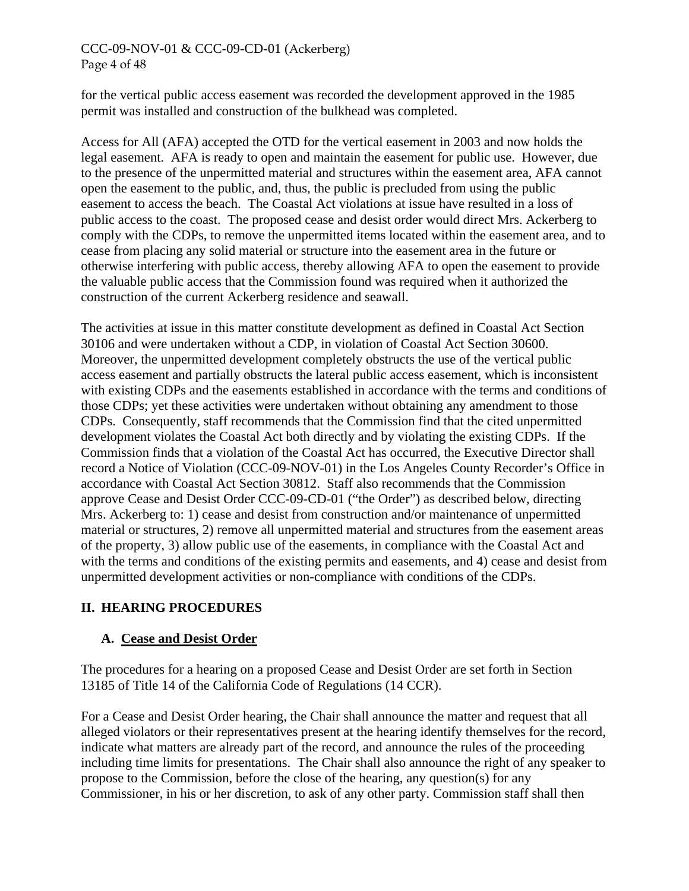# CCC-09-NOV-01 & CCC-09-CD-01 (Ackerberg) Page 4 of 48

for the vertical public access easement was recorded the development approved in the 1985 permit was installed and construction of the bulkhead was completed.

Access for All (AFA) accepted the OTD for the vertical easement in 2003 and now holds the legal easement. AFA is ready to open and maintain the easement for public use. However, due to the presence of the unpermitted material and structures within the easement area, AFA cannot open the easement to the public, and, thus, the public is precluded from using the public easement to access the beach. The Coastal Act violations at issue have resulted in a loss of public access to the coast. The proposed cease and desist order would direct Mrs. Ackerberg to comply with the CDPs, to remove the unpermitted items located within the easement area, and to cease from placing any solid material or structure into the easement area in the future or otherwise interfering with public access, thereby allowing AFA to open the easement to provide the valuable public access that the Commission found was required when it authorized the construction of the current Ackerberg residence and seawall.

The activities at issue in this matter constitute development as defined in Coastal Act Section 30106 and were undertaken without a CDP, in violation of Coastal Act Section 30600. Moreover, the unpermitted development completely obstructs the use of the vertical public access easement and partially obstructs the lateral public access easement, which is inconsistent with existing CDPs and the easements established in accordance with the terms and conditions of those CDPs; yet these activities were undertaken without obtaining any amendment to those CDPs. Consequently, staff recommends that the Commission find that the cited unpermitted development violates the Coastal Act both directly and by violating the existing CDPs. If the Commission finds that a violation of the Coastal Act has occurred, the Executive Director shall record a Notice of Violation (CCC-09-NOV-01) in the Los Angeles County Recorder's Office in accordance with Coastal Act Section 30812. Staff also recommends that the Commission approve Cease and Desist Order CCC-09-CD-01 ("the Order") as described below, directing Mrs. Ackerberg to: 1) cease and desist from construction and/or maintenance of unpermitted material or structures, 2) remove all unpermitted material and structures from the easement areas of the property, 3) allow public use of the easements, in compliance with the Coastal Act and with the terms and conditions of the existing permits and easements, and 4) cease and desist from unpermitted development activities or non-compliance with conditions of the CDPs.

# **II. HEARING PROCEDURES**

# **A. Cease and Desist Order**

The procedures for a hearing on a proposed Cease and Desist Order are set forth in Section 13185 of Title 14 of the California Code of Regulations (14 CCR).

For a Cease and Desist Order hearing, the Chair shall announce the matter and request that all alleged violators or their representatives present at the hearing identify themselves for the record, indicate what matters are already part of the record, and announce the rules of the proceeding including time limits for presentations. The Chair shall also announce the right of any speaker to propose to the Commission, before the close of the hearing, any question(s) for any Commissioner, in his or her discretion, to ask of any other party. Commission staff shall then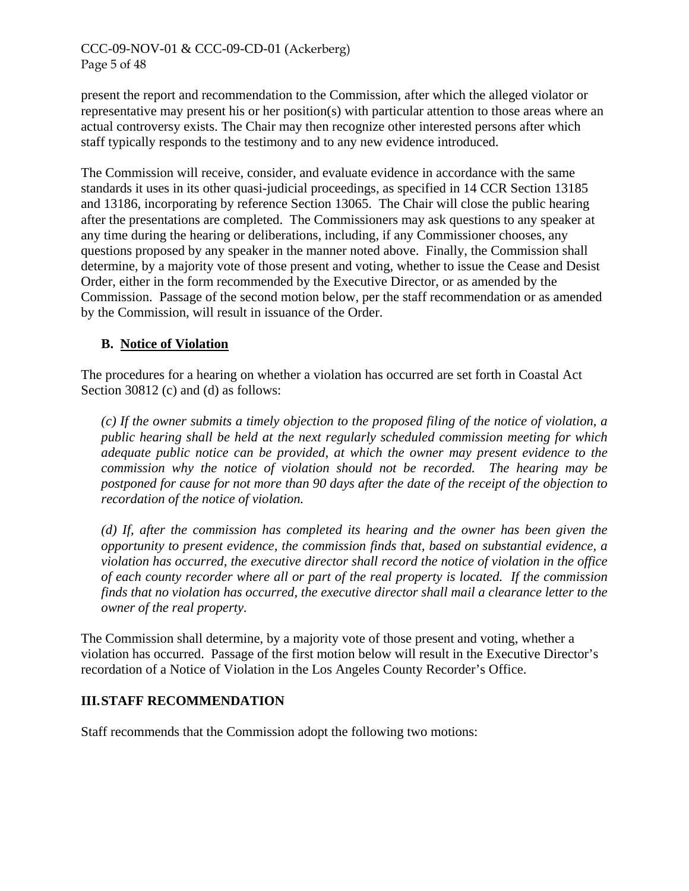## CCC-09-NOV-01 & CCC-09-CD-01 (Ackerberg) Page 5 of 48

present the report and recommendation to the Commission, after which the alleged violator or representative may present his or her position(s) with particular attention to those areas where an actual controversy exists. The Chair may then recognize other interested persons after which staff typically responds to the testimony and to any new evidence introduced.

The Commission will receive, consider, and evaluate evidence in accordance with the same standards it uses in its other quasi-judicial proceedings, as specified in 14 CCR Section 13185 and 13186, incorporating by reference Section 13065. The Chair will close the public hearing after the presentations are completed. The Commissioners may ask questions to any speaker at any time during the hearing or deliberations, including, if any Commissioner chooses, any questions proposed by any speaker in the manner noted above. Finally, the Commission shall determine, by a majority vote of those present and voting, whether to issue the Cease and Desist Order, either in the form recommended by the Executive Director, or as amended by the Commission. Passage of the second motion below, per the staff recommendation or as amended by the Commission, will result in issuance of the Order.

# **B. Notice of Violation**

The procedures for a hearing on whether a violation has occurred are set forth in Coastal Act Section 30812 (c) and (d) as follows:

*(c) If the owner submits a timely objection to the proposed filing of the notice of violation, a public hearing shall be held at the next regularly scheduled commission meeting for which adequate public notice can be provided, at which the owner may present evidence to the commission why the notice of violation should not be recorded. The hearing may be postponed for cause for not more than 90 days after the date of the receipt of the objection to recordation of the notice of violation.* 

*(d) If, after the commission has completed its hearing and the owner has been given the opportunity to present evidence, the commission finds that, based on substantial evidence, a violation has occurred, the executive director shall record the notice of violation in the office of each county recorder where all or part of the real property is located. If the commission finds that no violation has occurred, the executive director shall mail a clearance letter to the owner of the real property.* 

The Commission shall determine, by a majority vote of those present and voting, whether a violation has occurred. Passage of the first motion below will result in the Executive Director's recordation of a Notice of Violation in the Los Angeles County Recorder's Office.

#### **III. STAFF RECOMMENDATION**

Staff recommends that the Commission adopt the following two motions: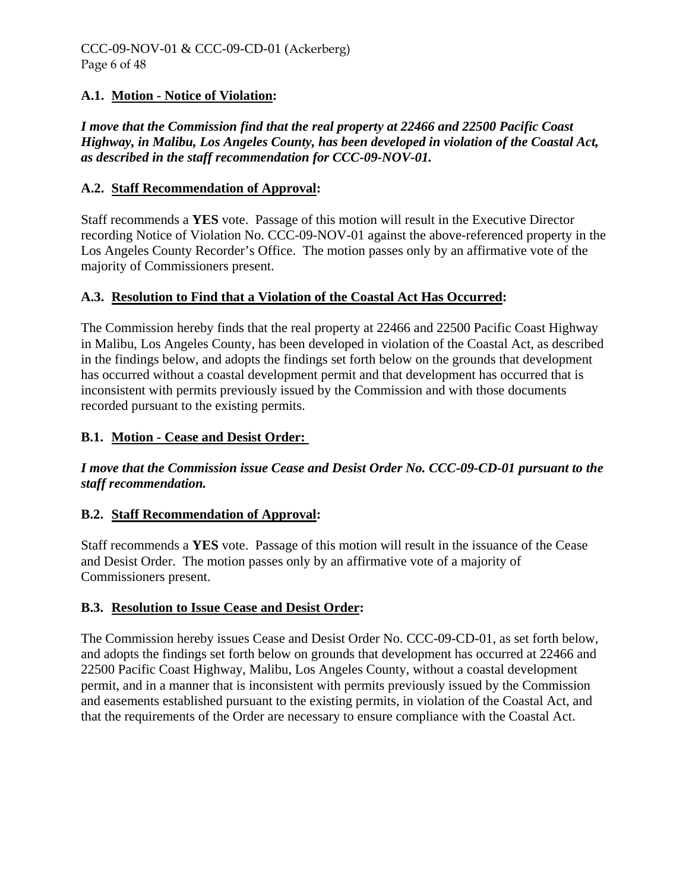# **A.1. Motion - Notice of Violation:**

*I move that the Commission find that the real property at 22466 and 22500 Pacific Coast Highway, in Malibu, Los Angeles County, has been developed in violation of the Coastal Act, as described in the staff recommendation for CCC-09-NOV-01.* 

# **A.2. Staff Recommendation of Approval:**

Staff recommends a **YES** vote. Passage of this motion will result in the Executive Director recording Notice of Violation No. CCC-09-NOV-01 against the above-referenced property in the Los Angeles County Recorder's Office. The motion passes only by an affirmative vote of the majority of Commissioners present.

# **A.3. Resolution to Find that a Violation of the Coastal Act Has Occurred:**

The Commission hereby finds that the real property at 22466 and 22500 Pacific Coast Highway in Malibu, Los Angeles County, has been developed in violation of the Coastal Act, as described in the findings below, and adopts the findings set forth below on the grounds that development has occurred without a coastal development permit and that development has occurred that is inconsistent with permits previously issued by the Commission and with those documents recorded pursuant to the existing permits.

# **B.1. Motion - Cease and Desist Order:**

*I move that the Commission issue Cease and Desist Order No. CCC-09-CD-01 pursuant to the staff recommendation.* 

# **B.2. Staff Recommendation of Approval:**

Staff recommends a **YES** vote. Passage of this motion will result in the issuance of the Cease and Desist Order. The motion passes only by an affirmative vote of a majority of Commissioners present.

#### **B.3. Resolution to Issue Cease and Desist Order:**

The Commission hereby issues Cease and Desist Order No. CCC-09-CD-01, as set forth below, and adopts the findings set forth below on grounds that development has occurred at 22466 and 22500 Pacific Coast Highway, Malibu, Los Angeles County, without a coastal development permit, and in a manner that is inconsistent with permits previously issued by the Commission and easements established pursuant to the existing permits, in violation of the Coastal Act, and that the requirements of the Order are necessary to ensure compliance with the Coastal Act.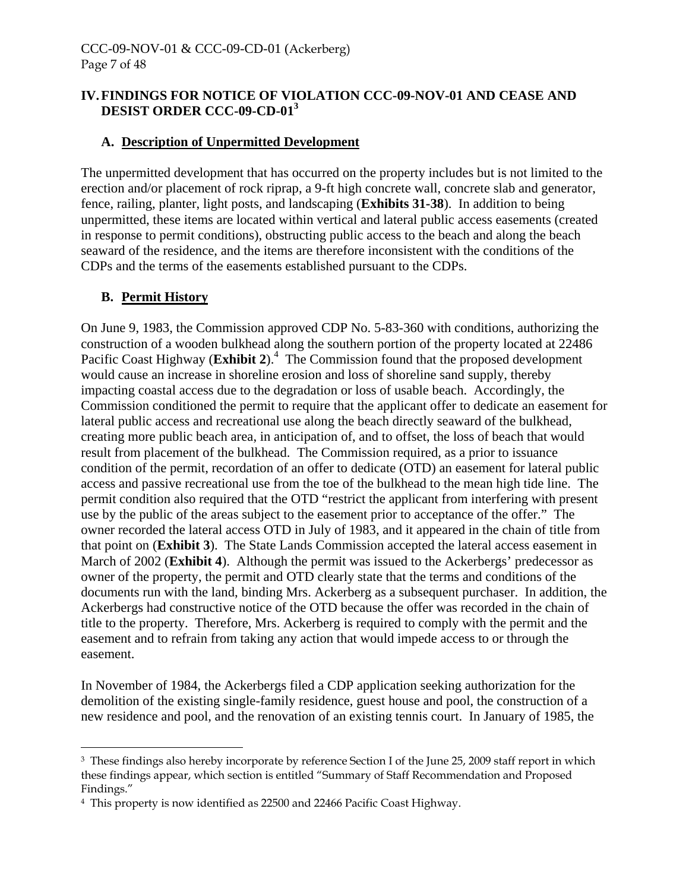# **IV. FINDINGS FOR NOTICE OF VIOLATION CCC-09-NOV-01 AND CEASE AND DESIST ORDER CCC-09-CD-01[3](#page-6-0)**

# **A. Description of Unpermitted Development**

The unpermitted development that has occurred on the property includes but is not limited to the erection and/or placement of rock riprap, a 9-ft high concrete wall, concrete slab and generator, fence, railing, planter, light posts, and landscaping (**Exhibits 31-38**). In addition to being unpermitted, these items are located within vertical and lateral public access easements (created in response to permit conditions), obstructing public access to the beach and along the beach seaward of the residence, and the items are therefore inconsistent with the conditions of the CDPs and the terms of the easements established pursuant to the CDPs.

# **B. Permit History**

 $\overline{a}$ 

On June 9, 1983, the Commission approved CDP No. 5-83-360 with conditions, authorizing the construction of a wooden bulkhead along the southern portion of the property located at 22486 Pacific Coast Highway (Exhibit 2).<sup>[4](#page-6-1)</sup> The Commission found that the proposed development would cause an increase in shoreline erosion and loss of shoreline sand supply, thereby impacting coastal access due to the degradation or loss of usable beach. Accordingly, the Commission conditioned the permit to require that the applicant offer to dedicate an easement for lateral public access and recreational use along the beach directly seaward of the bulkhead, creating more public beach area, in anticipation of, and to offset, the loss of beach that would result from placement of the bulkhead. The Commission required, as a prior to issuance condition of the permit, recordation of an offer to dedicate (OTD) an easement for lateral public access and passive recreational use from the toe of the bulkhead to the mean high tide line. The permit condition also required that the OTD "restrict the applicant from interfering with present use by the public of the areas subject to the easement prior to acceptance of the offer." The owner recorded the lateral access OTD in July of 1983, and it appeared in the chain of title from that point on (**Exhibit 3**). The State Lands Commission accepted the lateral access easement in March of 2002 (**Exhibit 4**). Although the permit was issued to the Ackerbergs' predecessor as owner of the property, the permit and OTD clearly state that the terms and conditions of the documents run with the land, binding Mrs. Ackerberg as a subsequent purchaser. In addition, the Ackerbergs had constructive notice of the OTD because the offer was recorded in the chain of title to the property. Therefore, Mrs. Ackerberg is required to comply with the permit and the easement and to refrain from taking any action that would impede access to or through the easement.

In November of 1984, the Ackerbergs filed a CDP application seeking authorization for the demolition of the existing single-family residence, guest house and pool, the construction of a new residence and pool, and the renovation of an existing tennis court. In January of 1985, the

<span id="page-6-0"></span><sup>&</sup>lt;sup>3</sup> These findings also hereby incorporate by reference Section I of the June 25, 2009 staff report in which these findings appear, which section is entitled "Summary of Staff Recommendation and Proposed Findings."

<span id="page-6-1"></span><sup>4</sup> This property is now identified as 22500 and 22466 Pacific Coast Highway.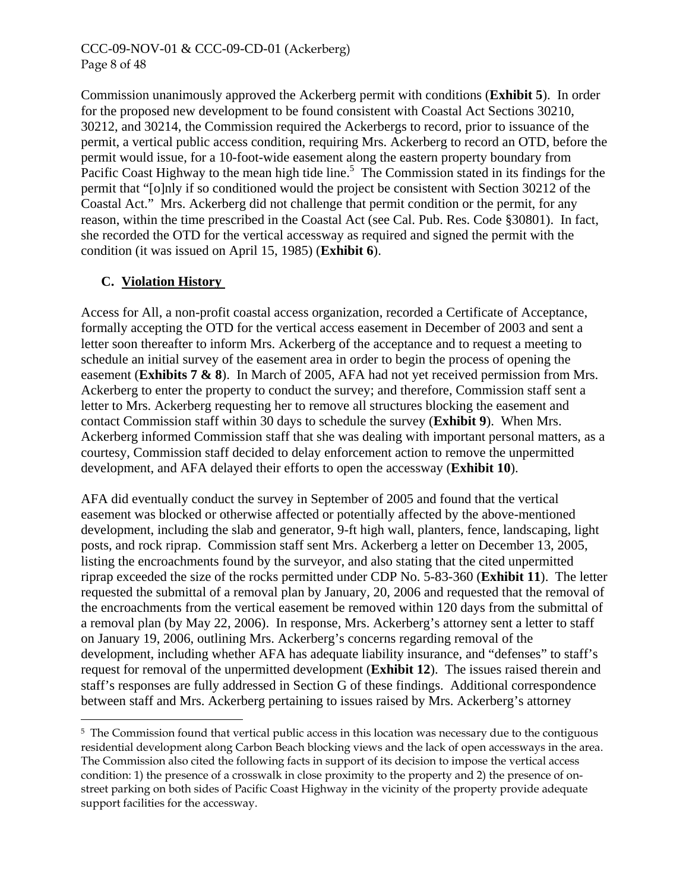#### CCC-09-NOV-01 & CCC-09-CD-01 (Ackerberg) Page 8 of 48

Commission unanimously approved the Ackerberg permit with conditions (**Exhibit 5**). In order for the proposed new development to be found consistent with Coastal Act Sections 30210, 30212, and 30214, the Commission required the Ackerbergs to record, prior to issuance of the permit, a vertical public access condition, requiring Mrs. Ackerberg to record an OTD, before the permit would issue, for a 10-foot-wide easement along the eastern property boundary from Pacific Coast Highway to the mean high tide line.<sup>5</sup> The Commission stated in its findings for the permit that "[o]nly if so conditioned would the project be consistent with Section 30212 of the Coastal Act." Mrs. Ackerberg did not challenge that permit condition or the permit, for any reason, within the time prescribed in the Coastal Act (see Cal. Pub. Res. Code §30801). In fact, she recorded the OTD for the vertical accessway as required and signed the permit with the condition (it was issued on April 15, 1985) (**Exhibit 6**).

# <span id="page-7-1"></span> **C. Violation History**

 $\overline{a}$ 

Access for All, a non-profit coastal access organization, recorded a Certificate of Acceptance, formally accepting the OTD for the vertical access easement in December of 2003 and sent a letter soon thereafter to inform Mrs. Ackerberg of the acceptance and to request a meeting to schedule an initial survey of the easement area in order to begin the process of opening the easement (**Exhibits 7 & 8**). In March of 2005, AFA had not yet received permission from Mrs. Ackerberg to enter the property to conduct the survey; and therefore, Commission staff sent a letter to Mrs. Ackerberg requesting her to remove all structures blocking the easement and contact Commission staff within 30 days to schedule the survey (**Exhibit 9**). When Mrs. Ackerberg informed Commission staff that she was dealing with important personal matters, as a courtesy, Commission staff decided to delay enforcement action to remove the unpermitted development, and AFA delayed their efforts to open the accessway (**Exhibit 10**).

AFA did eventually conduct the survey in September of 2005 and found that the vertical easement was blocked or otherwise affected or potentially affected by the above-mentioned development, including the slab and generator, 9-ft high wall, planters, fence, landscaping, light posts, and rock riprap. Commission staff sent Mrs. Ackerberg a letter on December 13, 2005, listing the encroachments found by the surveyor, and also stating that the cited unpermitted riprap exceeded the size of the rocks permitted under CDP No. 5-83-360 (**Exhibit 11**). The letter requested the submittal of a removal plan by January, 20, 2006 and requested that the removal of the encroachments from the vertical easement be removed within 120 days from the submittal of a removal plan (by May 22, 2006). In response, Mrs. Ackerberg's attorney sent a letter to staff on January 19, 2006, outlining Mrs. Ackerberg's concerns regarding removal of the development, including whether AFA has adequate liability insurance, and "defenses" to staff's request for removal of the unpermitted development (**Exhibit 12**). The issues raised therein and staff's responses are fully addressed in Section G of these findings. Additional correspondence between staff and Mrs. Ackerberg pertaining to issues raised by Mrs. Ackerberg's attorney

<span id="page-7-0"></span><sup>5</sup> The Commission found that vertical public access in this location was necessary due to the contiguous residential development along Carbon Beach blocking views and the lack of open accessways in the area. The Commission also cited the following facts in support of its decision to impose the vertical access condition: 1) the presence of a crosswalk in close proximity to the property and 2) the presence of onstreet parking on both sides of Pacific Coast Highway in the vicinity of the property provide adequate support facilities for the accessway.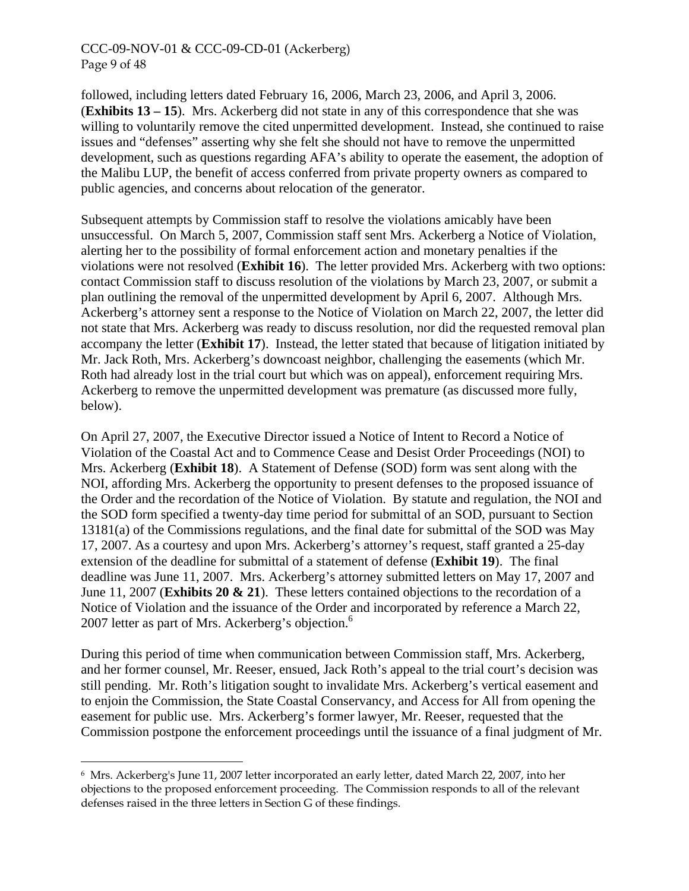#### CCC-09-NOV-01 & CCC-09-CD-01 (Ackerberg) Page 9 of 48

followed, including letters dated February 16, 2006, March 23, 2006, and April 3, 2006. (**Exhibits 13 – 15**). Mrs. Ackerberg did not state in any of this correspondence that she was willing to voluntarily remove the cited unpermitted development. Instead, she continued to raise issues and "defenses" asserting why she felt she should not have to remove the unpermitted development, such as questions regarding AFA's ability to operate the easement, the adoption of the Malibu LUP, the benefit of access conferred from private property owners as compared to public agencies, and concerns about relocation of the generator.

Subsequent attempts by Commission staff to resolve the violations amicably have been unsuccessful. On March 5, 2007, Commission staff sent Mrs. Ackerberg a Notice of Violation, alerting her to the possibility of formal enforcement action and monetary penalties if the violations were not resolved (**Exhibit 16**). The letter provided Mrs. Ackerberg with two options: contact Commission staff to discuss resolution of the violations by March 23, 2007, or submit a plan outlining the removal of the unpermitted development by April 6, 2007. Although Mrs. Ackerberg's attorney sent a response to the Notice of Violation on March 22, 2007, the letter did not state that Mrs. Ackerberg was ready to discuss resolution, nor did the requested removal plan accompany the letter (**Exhibit 17**). Instead, the letter stated that because of litigation initiated by Mr. Jack Roth, Mrs. Ackerberg's downcoast neighbor, challenging the easements (which Mr. Roth had already lost in the trial court but which was on appeal), enforcement requiring Mrs. Ackerberg to remove the unpermitted development was premature (as discussed more fully, below).

On April 27, 2007, the Executive Director issued a Notice of Intent to Record a Notice of Violation of the Coastal Act and to Commence Cease and Desist Order Proceedings (NOI) to Mrs. Ackerberg (**Exhibit 18**). A Statement of Defense (SOD) form was sent along with the NOI, affording Mrs. Ackerberg the opportunity to present defenses to the proposed issuance of the Order and the recordation of the Notice of Violation. By statute and regulation, the NOI and the SOD form specified a twenty-day time period for submittal of an SOD, pursuant to Section 13181(a) of the Commissions regulations, and the final date for submittal of the SOD was May 17, 2007. As a courtesy and upon Mrs. Ackerberg's attorney's request, staff granted a 25-day extension of the deadline for submittal of a statement of defense (**Exhibit 19**). The final deadline was June 11, 2007. Mrs. Ackerberg's attorney submitted letters on May 17, 2007 and June 11, 2007 (**Exhibits 20 & 21**). These letters contained objections to the recordation of a Notice of Violation and the issuance of the Order and incorporated by reference a March 22, 2007 letter as part of Mrs. Ackerberg's objection.<sup>6</sup>

During this period of time when communication between Commission staff, Mrs. Ackerberg, and her former counsel, Mr. Reeser, ensued, Jack Roth's appeal to the trial court's decision was still pending. Mr. Roth's litigation sought to invalidate Mrs. Ackerberg's vertical easement and to enjoin the Commission, the State Coastal Conservancy, and Access for All from opening the easement for public use. Mrs. Ackerberg's former lawyer, Mr. Reeser, requested that the Commission postpone the enforcement proceedings until the issuance of a final judgment of Mr.

-

<span id="page-8-0"></span><sup>6</sup> Mrs. Ackerberg's June 11, 2007 letter incorporated an early letter, dated March 22, 2007, into her objections to the proposed enforcement proceeding. The Commission responds to all of the relevant defenses raised in the three letters in Section G of these findings.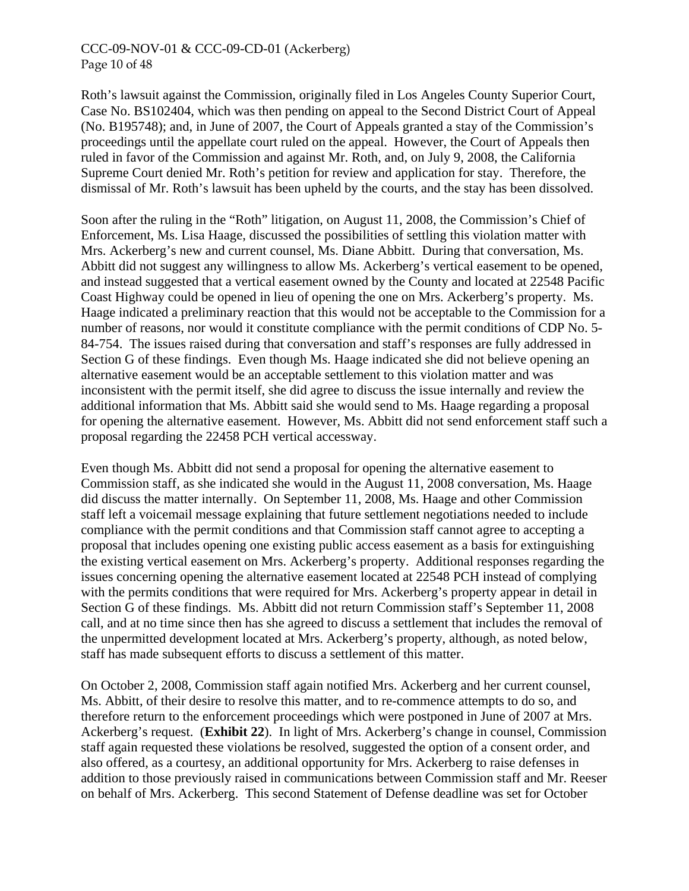#### CCC-09-NOV-01 & CCC-09-CD-01 (Ackerberg) Page 10 of 48

Roth's lawsuit against the Commission, originally filed in Los Angeles County Superior Court, Case No. BS102404, which was then pending on appeal to the Second District Court of Appeal (No. B195748); and, in June of 2007, the Court of Appeals granted a stay of the Commission's proceedings until the appellate court ruled on the appeal. However, the Court of Appeals then ruled in favor of the Commission and against Mr. Roth, and, on July 9, 2008, the California Supreme Court denied Mr. Roth's petition for review and application for stay. Therefore, the dismissal of Mr. Roth's lawsuit has been upheld by the courts, and the stay has been dissolved.

Soon after the ruling in the "Roth" litigation, on August 11, 2008, the Commission's Chief of Enforcement, Ms. Lisa Haage, discussed the possibilities of settling this violation matter with Mrs. Ackerberg's new and current counsel, Ms. Diane Abbitt. During that conversation, Ms. Abbitt did not suggest any willingness to allow Ms. Ackerberg's vertical easement to be opened, and instead suggested that a vertical easement owned by the County and located at 22548 Pacific Coast Highway could be opened in lieu of opening the one on Mrs. Ackerberg's property. Ms. Haage indicated a preliminary reaction that this would not be acceptable to the Commission for a number of reasons, nor would it constitute compliance with the permit conditions of CDP No. 5- 84-754. The issues raised during that conversation and staff's responses are fully addressed in Section G of these findings. Even though Ms. Haage indicated she did not believe opening an alternative easement would be an acceptable settlement to this violation matter and was inconsistent with the permit itself, she did agree to discuss the issue internally and review the additional information that Ms. Abbitt said she would send to Ms. Haage regarding a proposal for opening the alternative easement. However, Ms. Abbitt did not send enforcement staff such a proposal regarding the 22458 PCH vertical accessway.

Even though Ms. Abbitt did not send a proposal for opening the alternative easement to Commission staff, as she indicated she would in the August 11, 2008 conversation, Ms. Haage did discuss the matter internally. On September 11, 2008, Ms. Haage and other Commission staff left a voicemail message explaining that future settlement negotiations needed to include compliance with the permit conditions and that Commission staff cannot agree to accepting a proposal that includes opening one existing public access easement as a basis for extinguishing the existing vertical easement on Mrs. Ackerberg's property. Additional responses regarding the issues concerning opening the alternative easement located at 22548 PCH instead of complying with the permits conditions that were required for Mrs. Ackerberg's property appear in detail in Section G of these findings. Ms. Abbitt did not return Commission staff's September 11, 2008 call, and at no time since then has she agreed to discuss a settlement that includes the removal of the unpermitted development located at Mrs. Ackerberg's property, although, as noted below, staff has made subsequent efforts to discuss a settlement of this matter.

On October 2, 2008, Commission staff again notified Mrs. Ackerberg and her current counsel, Ms. Abbitt, of their desire to resolve this matter, and to re-commence attempts to do so, and therefore return to the enforcement proceedings which were postponed in June of 2007 at Mrs. Ackerberg's request. (**Exhibit 22**). In light of Mrs. Ackerberg's change in counsel, Commission staff again requested these violations be resolved, suggested the option of a consent order, and also offered, as a courtesy, an additional opportunity for Mrs. Ackerberg to raise defenses in addition to those previously raised in communications between Commission staff and Mr. Reeser on behalf of Mrs. Ackerberg. This second Statement of Defense deadline was set for October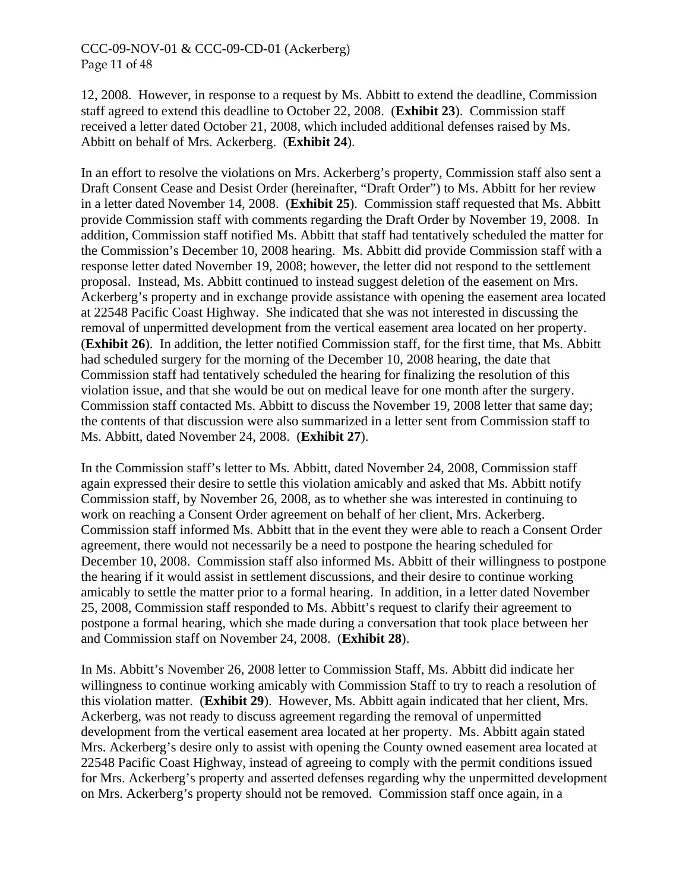#### CCC-09-NOV-01 & CCC-09-CD-01 (Ackerberg) Page 11 of 48

12, 2008. However, in response to a request by Ms. Abbitt to extend the deadline, Commission staff agreed to extend this deadline to October 22, 2008. (**Exhibit 23**). Commission staff received a letter dated October 21, 2008, which included additional defenses raised by Ms. Abbitt on behalf of Mrs. Ackerberg. (**Exhibit 24**).

In an effort to resolve the violations on Mrs. Ackerberg's property, Commission staff also sent a Draft Consent Cease and Desist Order (hereinafter, "Draft Order") to Ms. Abbitt for her review in a letter dated November 14, 2008. (**Exhibit 25**). Commission staff requested that Ms. Abbitt provide Commission staff with comments regarding the Draft Order by November 19, 2008. In addition, Commission staff notified Ms. Abbitt that staff had tentatively scheduled the matter for the Commission's December 10, 2008 hearing. Ms. Abbitt did provide Commission staff with a response letter dated November 19, 2008; however, the letter did not respond to the settlement proposal. Instead, Ms. Abbitt continued to instead suggest deletion of the easement on Mrs. Ackerberg's property and in exchange provide assistance with opening the easement area located at 22548 Pacific Coast Highway. She indicated that she was not interested in discussing the removal of unpermitted development from the vertical easement area located on her property. (**Exhibit 26**). In addition, the letter notified Commission staff, for the first time, that Ms. Abbitt had scheduled surgery for the morning of the December 10, 2008 hearing, the date that Commission staff had tentatively scheduled the hearing for finalizing the resolution of this violation issue, and that she would be out on medical leave for one month after the surgery. Commission staff contacted Ms. Abbitt to discuss the November 19, 2008 letter that same day; the contents of that discussion were also summarized in a letter sent from Commission staff to Ms. Abbitt, dated November 24, 2008. (**Exhibit 27**).

In the Commission staff's letter to Ms. Abbitt, dated November 24, 2008, Commission staff again expressed their desire to settle this violation amicably and asked that Ms. Abbitt notify Commission staff, by November 26, 2008, as to whether she was interested in continuing to work on reaching a Consent Order agreement on behalf of her client, Mrs. Ackerberg. Commission staff informed Ms. Abbitt that in the event they were able to reach a Consent Order agreement, there would not necessarily be a need to postpone the hearing scheduled for December 10, 2008. Commission staff also informed Ms. Abbitt of their willingness to postpone the hearing if it would assist in settlement discussions, and their desire to continue working amicably to settle the matter prior to a formal hearing. In addition, in a letter dated November 25, 2008, Commission staff responded to Ms. Abbitt's request to clarify their agreement to postpone a formal hearing, which she made during a conversation that took place between her and Commission staff on November 24, 2008. (**Exhibit 28**).

In Ms. Abbitt's November 26, 2008 letter to Commission Staff, Ms. Abbitt did indicate her willingness to continue working amicably with Commission Staff to try to reach a resolution of this violation matter. (**Exhibit 29**). However, Ms. Abbitt again indicated that her client, Mrs. Ackerberg, was not ready to discuss agreement regarding the removal of unpermitted development from the vertical easement area located at her property. Ms. Abbitt again stated Mrs. Ackerberg's desire only to assist with opening the County owned easement area located at 22548 Pacific Coast Highway, instead of agreeing to comply with the permit conditions issued for Mrs. Ackerberg's property and asserted defenses regarding why the unpermitted development on Mrs. Ackerberg's property should not be removed. Commission staff once again, in a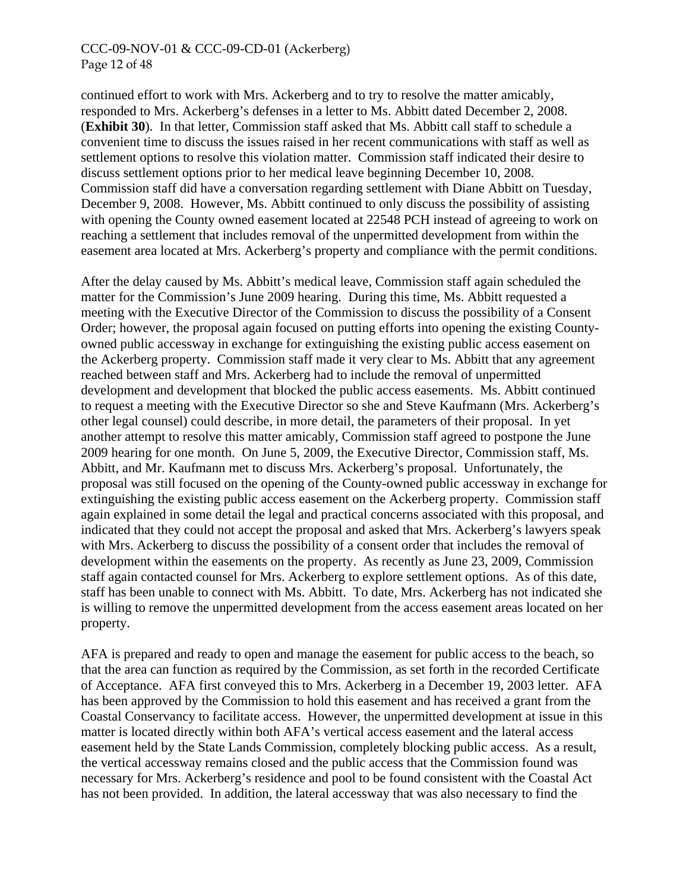#### CCC-09-NOV-01 & CCC-09-CD-01 (Ackerberg) Page 12 of 48

continued effort to work with Mrs. Ackerberg and to try to resolve the matter amicably, responded to Mrs. Ackerberg's defenses in a letter to Ms. Abbitt dated December 2, 2008. (**Exhibit 30**). In that letter, Commission staff asked that Ms. Abbitt call staff to schedule a convenient time to discuss the issues raised in her recent communications with staff as well as settlement options to resolve this violation matter. Commission staff indicated their desire to discuss settlement options prior to her medical leave beginning December 10, 2008. Commission staff did have a conversation regarding settlement with Diane Abbitt on Tuesday, December 9, 2008. However, Ms. Abbitt continued to only discuss the possibility of assisting with opening the County owned easement located at 22548 PCH instead of agreeing to work on reaching a settlement that includes removal of the unpermitted development from within the easement area located at Mrs. Ackerberg's property and compliance with the permit conditions.

After the delay caused by Ms. Abbitt's medical leave, Commission staff again scheduled the matter for the Commission's June 2009 hearing. During this time, Ms. Abbitt requested a meeting with the Executive Director of the Commission to discuss the possibility of a Consent Order; however, the proposal again focused on putting efforts into opening the existing Countyowned public accessway in exchange for extinguishing the existing public access easement on the Ackerberg property. Commission staff made it very clear to Ms. Abbitt that any agreement reached between staff and Mrs. Ackerberg had to include the removal of unpermitted development and development that blocked the public access easements. Ms. Abbitt continued to request a meeting with the Executive Director so she and Steve Kaufmann (Mrs. Ackerberg's other legal counsel) could describe, in more detail, the parameters of their proposal. In yet another attempt to resolve this matter amicably, Commission staff agreed to postpone the June 2009 hearing for one month. On June 5, 2009, the Executive Director, Commission staff, Ms. Abbitt, and Mr. Kaufmann met to discuss Mrs. Ackerberg's proposal. Unfortunately, the proposal was still focused on the opening of the County-owned public accessway in exchange for extinguishing the existing public access easement on the Ackerberg property. Commission staff again explained in some detail the legal and practical concerns associated with this proposal, and indicated that they could not accept the proposal and asked that Mrs. Ackerberg's lawyers speak with Mrs. Ackerberg to discuss the possibility of a consent order that includes the removal of development within the easements on the property. As recently as June 23, 2009, Commission staff again contacted counsel for Mrs. Ackerberg to explore settlement options. As of this date, staff has been unable to connect with Ms. Abbitt. To date, Mrs. Ackerberg has not indicated she is willing to remove the unpermitted development from the access easement areas located on her property.

AFA is prepared and ready to open and manage the easement for public access to the beach, so that the area can function as required by the Commission, as set forth in the recorded Certificate of Acceptance. AFA first conveyed this to Mrs. Ackerberg in a December 19, 2003 letter. AFA has been approved by the Commission to hold this easement and has received a grant from the Coastal Conservancy to facilitate access. However, the unpermitted development at issue in this matter is located directly within both AFA's vertical access easement and the lateral access easement held by the State Lands Commission, completely blocking public access. As a result, the vertical accessway remains closed and the public access that the Commission found was necessary for Mrs. Ackerberg's residence and pool to be found consistent with the Coastal Act has not been provided. In addition, the lateral accessway that was also necessary to find the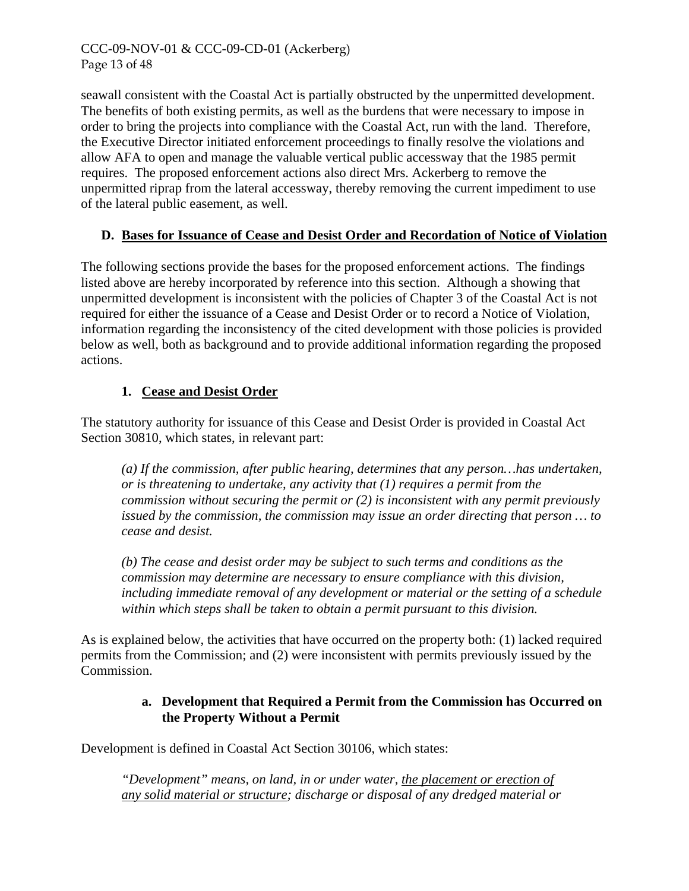seawall consistent with the Coastal Act is partially obstructed by the unpermitted development. The benefits of both existing permits, as well as the burdens that were necessary to impose in order to bring the projects into compliance with the Coastal Act, run with the land. Therefore, the Executive Director initiated enforcement proceedings to finally resolve the violations and allow AFA to open and manage the valuable vertical public accessway that the 1985 permit requires. The proposed enforcement actions also direct Mrs. Ackerberg to remove the unpermitted riprap from the lateral accessway, thereby removing the current impediment to use of the lateral public easement, as well.

# **D. Bases for Issuance of Cease and Desist Order and Recordation of Notice of Violation**

The following sections provide the bases for the proposed enforcement actions. The findings listed above are hereby incorporated by reference into this section. Although a showing that unpermitted development is inconsistent with the policies of Chapter 3 of the Coastal Act is not required for either the issuance of a Cease and Desist Order or to record a Notice of Violation, information regarding the inconsistency of the cited development with those policies is provided below as well, both as background and to provide additional information regarding the proposed actions.

#### **1. Cease and Desist Order**

The statutory authority for issuance of this Cease and Desist Order is provided in Coastal Act Section 30810, which states, in relevant part:

*(a) If the commission, after public hearing, determines that any person…has undertaken, or is threatening to undertake, any activity that (1) requires a permit from the commission without securing the permit or (2) is inconsistent with any permit previously issued by the commission, the commission may issue an order directing that person … to cease and desist.* 

*(b) The cease and desist order may be subject to such terms and conditions as the commission may determine are necessary to ensure compliance with this division, including immediate removal of any development or material or the setting of a schedule within which steps shall be taken to obtain a permit pursuant to this division.* 

As is explained below, the activities that have occurred on the property both: (1) lacked required permits from the Commission; and (2) were inconsistent with permits previously issued by the Commission.

#### **a. Development that Required a Permit from the Commission has Occurred on the Property Without a Permit**

Development is defined in Coastal Act Section 30106, which states:

*"Development" means, on land, in or under water, the placement or erection of any solid material or structure; discharge or disposal of any dredged material or*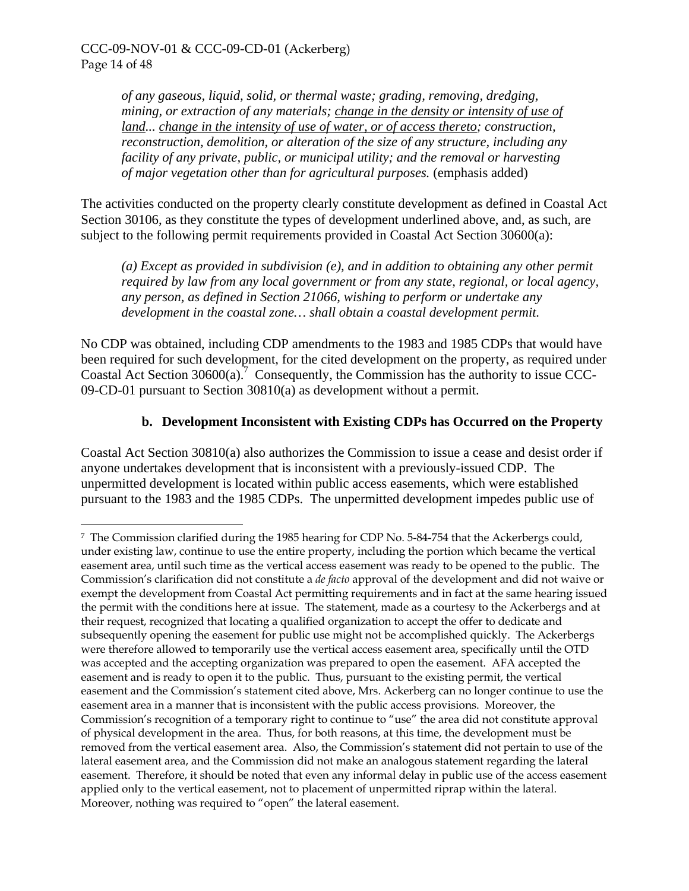$\overline{a}$ 

*of any gaseous, liquid, solid, or thermal waste; grading, removing, dredging, mining, or extraction of any materials; change in the density or intensity of use of land... change in the intensity of use of water, or of access thereto; construction, reconstruction, demolition, or alteration of the size of any structure, including any facility of any private, public, or municipal utility; and the removal or harvesting of major vegetation other than for agricultural purposes.* (emphasis added)

The activities conducted on the property clearly constitute development as defined in Coastal Act Section 30106, as they constitute the types of development underlined above, and, as such, are subject to the following permit requirements provided in Coastal Act Section 30600(a):

*(a) Except as provided in subdivision (e), and in addition to obtaining any other permit required by law from any local government or from any state, regional, or local agency, any person, as defined in Section 21066, wishing to perform or undertake any development in the coastal zone… shall obtain a coastal development permit.* 

No CDP was obtained, including CDP amendments to the 1983 and 1985 CDPs that would have been required for such development, for the cited development on the property, as required under Coastal Act Section  $30600(a)$ .<sup>[7](#page-13-0)</sup> Consequently, the Commission has the authority to issue CCC-09-CD-01 pursuant to Section 30810(a) as development without a permit.

# **b. Development Inconsistent with Existing CDPs has Occurred on the Property**

Coastal Act Section 30810(a) also authorizes the Commission to issue a cease and desist order if anyone undertakes development that is inconsistent with a previously-issued CDP. The unpermitted development is located within public access easements, which were established pursuant to the 1983 and the 1985 CDPs. The unpermitted development impedes public use of

<span id="page-13-0"></span><sup>7</sup> The Commission clarified during the 1985 hearing for CDP No. 5-84-754 that the Ackerbergs could, under existing law, continue to use the entire property, including the portion which became the vertical easement area, until such time as the vertical access easement was ready to be opened to the public. The Commission's clarification did not constitute a *de facto* approval of the development and did not waive or exempt the development from Coastal Act permitting requirements and in fact at the same hearing issued the permit with the conditions here at issue. The statement, made as a courtesy to the Ackerbergs and at their request, recognized that locating a qualified organization to accept the offer to dedicate and subsequently opening the easement for public use might not be accomplished quickly. The Ackerbergs were therefore allowed to temporarily use the vertical access easement area, specifically until the OTD was accepted and the accepting organization was prepared to open the easement. AFA accepted the easement and is ready to open it to the public. Thus, pursuant to the existing permit, the vertical easement and the Commission's statement cited above, Mrs. Ackerberg can no longer continue to use the easement area in a manner that is inconsistent with the public access provisions. Moreover, the Commission's recognition of a temporary right to continue to "use" the area did not constitute approval of physical development in the area. Thus, for both reasons, at this time, the development must be removed from the vertical easement area. Also, the Commission's statement did not pertain to use of the lateral easement area, and the Commission did not make an analogous statement regarding the lateral easement. Therefore, it should be noted that even any informal delay in public use of the access easement applied only to the vertical easement, not to placement of unpermitted riprap within the lateral. Moreover, nothing was required to "open" the lateral easement.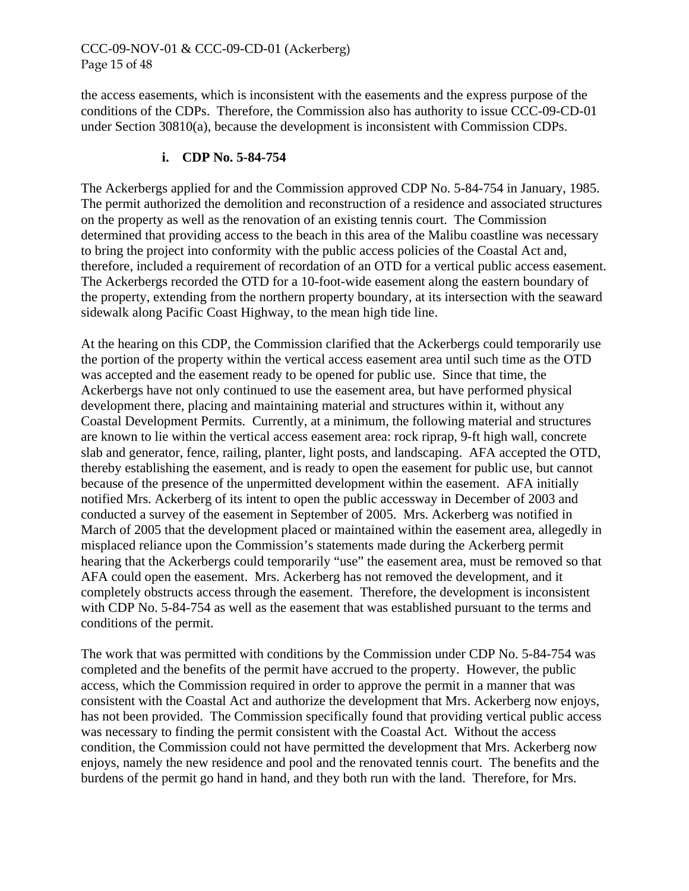#### CCC-09-NOV-01 & CCC-09-CD-01 (Ackerberg) Page 15 of 48

the access easements, which is inconsistent with the easements and the express purpose of the conditions of the CDPs. Therefore, the Commission also has authority to issue CCC-09-CD-01 under Section 30810(a), because the development is inconsistent with Commission CDPs.

# **i. CDP No. 5-84-754**

The Ackerbergs applied for and the Commission approved CDP No. 5-84-754 in January, 1985. The permit authorized the demolition and reconstruction of a residence and associated structures on the property as well as the renovation of an existing tennis court. The Commission determined that providing access to the beach in this area of the Malibu coastline was necessary to bring the project into conformity with the public access policies of the Coastal Act and, therefore, included a requirement of recordation of an OTD for a vertical public access easement. The Ackerbergs recorded the OTD for a 10-foot-wide easement along the eastern boundary of the property, extending from the northern property boundary, at its intersection with the seaward sidewalk along Pacific Coast Highway, to the mean high tide line.

At the hearing on this CDP, the Commission clarified that the Ackerbergs could temporarily use the portion of the property within the vertical access easement area until such time as the OTD was accepted and the easement ready to be opened for public use. Since that time, the Ackerbergs have not only continued to use the easement area, but have performed physical development there, placing and maintaining material and structures within it, without any Coastal Development Permits. Currently, at a minimum, the following material and structures are known to lie within the vertical access easement area: rock riprap, 9-ft high wall, concrete slab and generator, fence, railing, planter, light posts, and landscaping. AFA accepted the OTD, thereby establishing the easement, and is ready to open the easement for public use, but cannot because of the presence of the unpermitted development within the easement. AFA initially notified Mrs. Ackerberg of its intent to open the public accessway in December of 2003 and conducted a survey of the easement in September of 2005. Mrs. Ackerberg was notified in March of 2005 that the development placed or maintained within the easement area, allegedly in misplaced reliance upon the Commission's statements made during the Ackerberg permit hearing that the Ackerbergs could temporarily "use" the easement area, must be removed so that AFA could open the easement. Mrs. Ackerberg has not removed the development, and it completely obstructs access through the easement. Therefore, the development is inconsistent with CDP No. 5-84-754 as well as the easement that was established pursuant to the terms and conditions of the permit.

The work that was permitted with conditions by the Commission under CDP No. 5-84-754 was completed and the benefits of the permit have accrued to the property. However, the public access, which the Commission required in order to approve the permit in a manner that was consistent with the Coastal Act and authorize the development that Mrs. Ackerberg now enjoys, has not been provided. The Commission specifically found that providing vertical public access was necessary to finding the permit consistent with the Coastal Act. Without the access condition, the Commission could not have permitted the development that Mrs. Ackerberg now enjoys, namely the new residence and pool and the renovated tennis court. The benefits and the burdens of the permit go hand in hand, and they both run with the land. Therefore, for Mrs.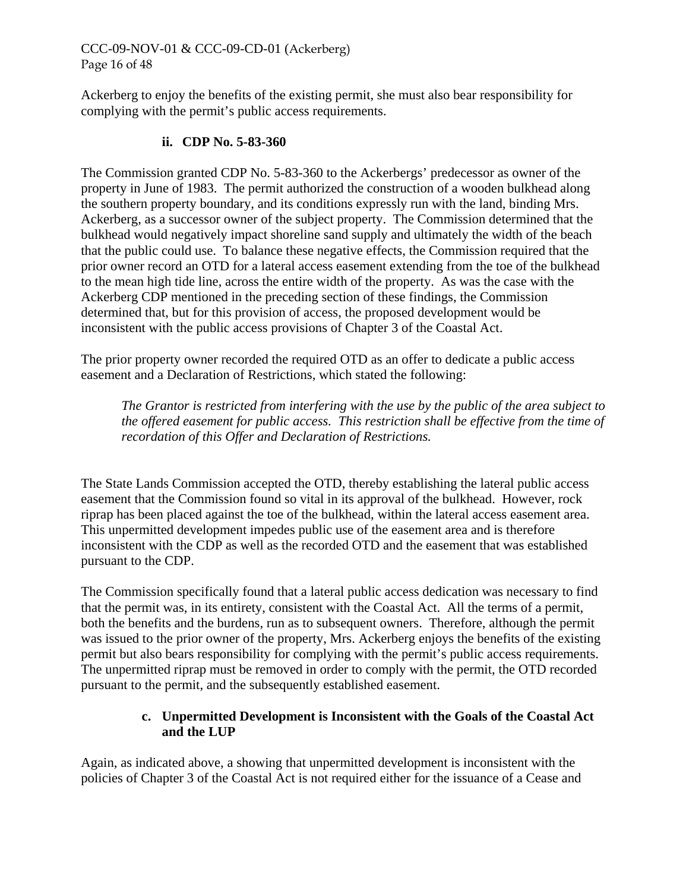# CCC-09-NOV-01 & CCC-09-CD-01 (Ackerberg) Page 16 of 48

Ackerberg to enjoy the benefits of the existing permit, she must also bear responsibility for complying with the permit's public access requirements.

#### **ii. CDP No. 5-83-360**

The Commission granted CDP No. 5-83-360 to the Ackerbergs' predecessor as owner of the property in June of 1983. The permit authorized the construction of a wooden bulkhead along the southern property boundary, and its conditions expressly run with the land, binding Mrs. Ackerberg, as a successor owner of the subject property. The Commission determined that the bulkhead would negatively impact shoreline sand supply and ultimately the width of the beach that the public could use. To balance these negative effects, the Commission required that the prior owner record an OTD for a lateral access easement extending from the toe of the bulkhead to the mean high tide line, across the entire width of the property. As was the case with the Ackerberg CDP mentioned in the preceding section of these findings, the Commission determined that, but for this provision of access, the proposed development would be inconsistent with the public access provisions of Chapter 3 of the Coastal Act.

The prior property owner recorded the required OTD as an offer to dedicate a public access easement and a Declaration of Restrictions, which stated the following:

*The Grantor is restricted from interfering with the use by the public of the area subject to the offered easement for public access. This restriction shall be effective from the time of recordation of this Offer and Declaration of Restrictions.* 

The State Lands Commission accepted the OTD, thereby establishing the lateral public access easement that the Commission found so vital in its approval of the bulkhead. However, rock riprap has been placed against the toe of the bulkhead, within the lateral access easement area. This unpermitted development impedes public use of the easement area and is therefore inconsistent with the CDP as well as the recorded OTD and the easement that was established pursuant to the CDP.

The Commission specifically found that a lateral public access dedication was necessary to find that the permit was, in its entirety, consistent with the Coastal Act. All the terms of a permit, both the benefits and the burdens, run as to subsequent owners. Therefore, although the permit was issued to the prior owner of the property, Mrs. Ackerberg enjoys the benefits of the existing permit but also bears responsibility for complying with the permit's public access requirements. The unpermitted riprap must be removed in order to comply with the permit, the OTD recorded pursuant to the permit, and the subsequently established easement.

#### **c. Unpermitted Development is Inconsistent with the Goals of the Coastal Act and the LUP**

Again, as indicated above, a showing that unpermitted development is inconsistent with the policies of Chapter 3 of the Coastal Act is not required either for the issuance of a Cease and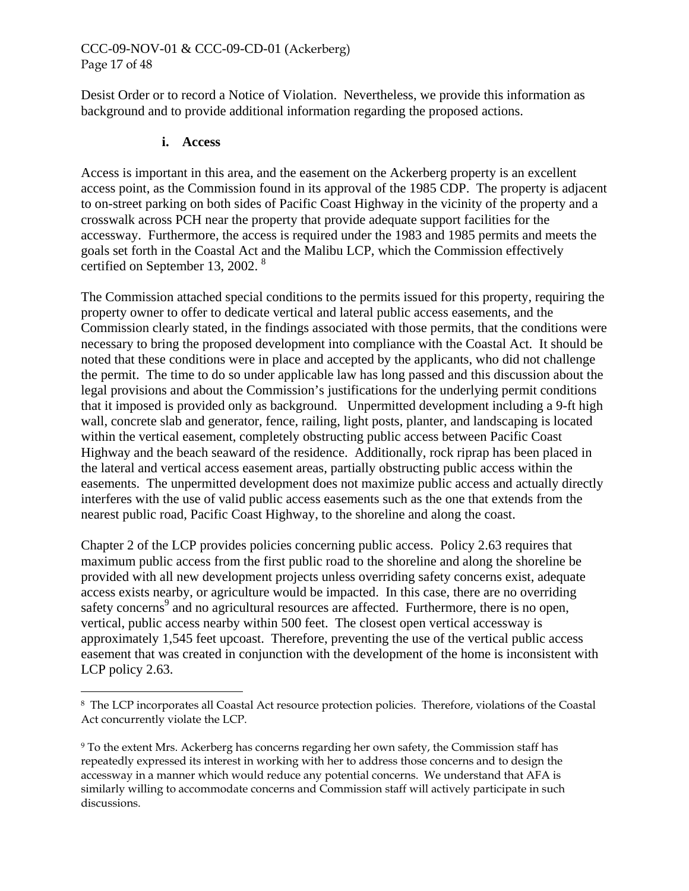# CCC-09-NOV-01 & CCC-09-CD-01 (Ackerberg) Page 17 of 48

Desist Order or to record a Notice of Violation. Nevertheless, we provide this information as background and to provide additional information regarding the proposed actions.

#### **i. Access**

<u>.</u>

Access is important in this area, and the easement on the Ackerberg property is an excellent access point, as the Commission found in its approval of the 1985 CDP. The property is adjacent to on-street parking on both sides of Pacific Coast Highway in the vicinity of the property and a crosswalk across PCH near the property that provide adequate support facilities for the accessway. Furthermore, the access is required under the 1983 and 1985 permits and meets the goals set forth in the Coastal Act and the Malibu LCP, which the Commission effectively certified on September 13, 2002. [8](#page-16-0)

The Commission attached special conditions to the permits issued for this property, requiring the property owner to offer to dedicate vertical and lateral public access easements, and the Commission clearly stated, in the findings associated with those permits, that the conditions were necessary to bring the proposed development into compliance with the Coastal Act. It should be noted that these conditions were in place and accepted by the applicants, who did not challenge the permit. The time to do so under applicable law has long passed and this discussion about the legal provisions and about the Commission's justifications for the underlying permit conditions that it imposed is provided only as background. Unpermitted development including a 9-ft high wall, concrete slab and generator, fence, railing, light posts, planter, and landscaping is located within the vertical easement, completely obstructing public access between Pacific Coast Highway and the beach seaward of the residence. Additionally, rock riprap has been placed in the lateral and vertical access easement areas, partially obstructing public access within the easements. The unpermitted development does not maximize public access and actually directly interferes with the use of valid public access easements such as the one that extends from the nearest public road, Pacific Coast Highway, to the shoreline and along the coast.

Chapter 2 of the LCP provides policies concerning public access. Policy 2.63 requires that maximum public access from the first public road to the shoreline and along the shoreline be provided with all new development projects unless overriding safety concerns exist, adequate access exists nearby, or agriculture would be impacted. In this case, there are no overriding safety concerns<sup>9</sup> and no agricultural resources are affected. Furthermore, there is no open, vertical, public access nearby within 500 feet. The closest open vertical accessway is approximately 1,545 feet upcoast. Therefore, preventing the use of the vertical public access easement that was created in conjunction with the development of the home is inconsistent with LCP policy 2.63.

<span id="page-16-0"></span><sup>8</sup> The LCP incorporates all Coastal Act resource protection policies. Therefore, violations of the Coastal Act concurrently violate the LCP.

<span id="page-16-1"></span><sup>9</sup> To the extent Mrs. Ackerberg has concerns regarding her own safety, the Commission staff has repeatedly expressed its interest in working with her to address those concerns and to design the accessway in a manner which would reduce any potential concerns. We understand that AFA is similarly willing to accommodate concerns and Commission staff will actively participate in such discussions.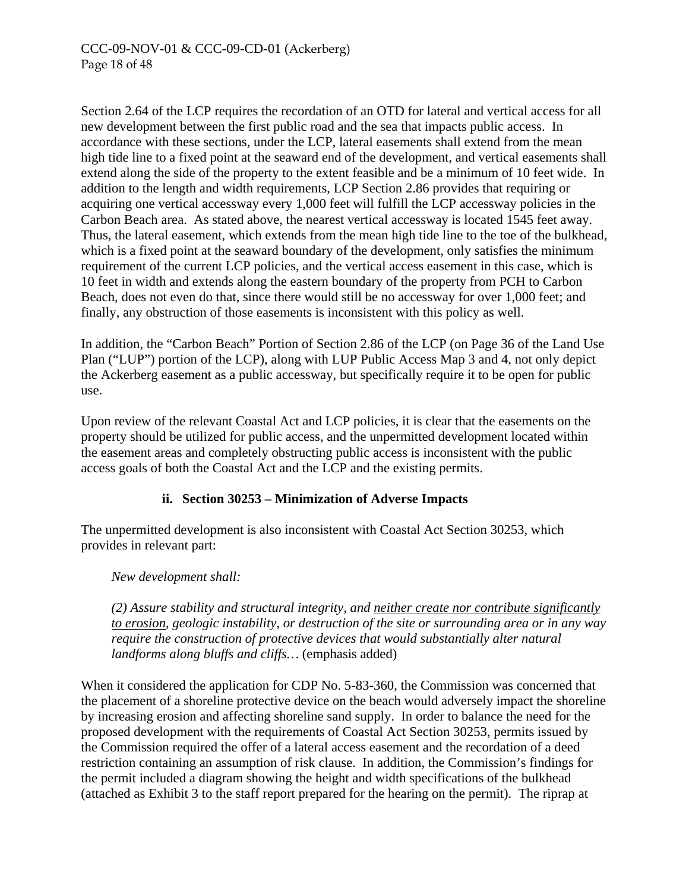Section 2.64 of the LCP requires the recordation of an OTD for lateral and vertical access for all new development between the first public road and the sea that impacts public access. In accordance with these sections, under the LCP, lateral easements shall extend from the mean high tide line to a fixed point at the seaward end of the development, and vertical easements shall extend along the side of the property to the extent feasible and be a minimum of 10 feet wide. In addition to the length and width requirements, LCP Section 2.86 provides that requiring or acquiring one vertical accessway every 1,000 feet will fulfill the LCP accessway policies in the Carbon Beach area. As stated above, the nearest vertical accessway is located 1545 feet away. Thus, the lateral easement, which extends from the mean high tide line to the toe of the bulkhead, which is a fixed point at the seaward boundary of the development, only satisfies the minimum requirement of the current LCP policies, and the vertical access easement in this case, which is 10 feet in width and extends along the eastern boundary of the property from PCH to Carbon Beach, does not even do that, since there would still be no accessway for over 1,000 feet; and finally, any obstruction of those easements is inconsistent with this policy as well.

In addition, the "Carbon Beach" Portion of Section 2.86 of the LCP (on Page 36 of the Land Use Plan ("LUP") portion of the LCP), along with LUP Public Access Map 3 and 4, not only depict the Ackerberg easement as a public accessway, but specifically require it to be open for public use.

Upon review of the relevant Coastal Act and LCP policies, it is clear that the easements on the property should be utilized for public access, and the unpermitted development located within the easement areas and completely obstructing public access is inconsistent with the public access goals of both the Coastal Act and the LCP and the existing permits.

# **ii. Section 30253 – Minimization of Adverse Impacts**

The unpermitted development is also inconsistent with Coastal Act Section 30253, which provides in relevant part:

*New development shall:* 

*(2) Assure stability and structural integrity, and neither create nor contribute significantly to erosion, geologic instability, or destruction of the site or surrounding area or in any way require the construction of protective devices that would substantially alter natural landforms along bluffs and cliffs…* (emphasis added)

When it considered the application for CDP No. 5-83-360, the Commission was concerned that the placement of a shoreline protective device on the beach would adversely impact the shoreline by increasing erosion and affecting shoreline sand supply. In order to balance the need for the proposed development with the requirements of Coastal Act Section 30253, permits issued by the Commission required the offer of a lateral access easement and the recordation of a deed restriction containing an assumption of risk clause. In addition, the Commission's findings for the permit included a diagram showing the height and width specifications of the bulkhead (attached as Exhibit 3 to the staff report prepared for the hearing on the permit). The riprap at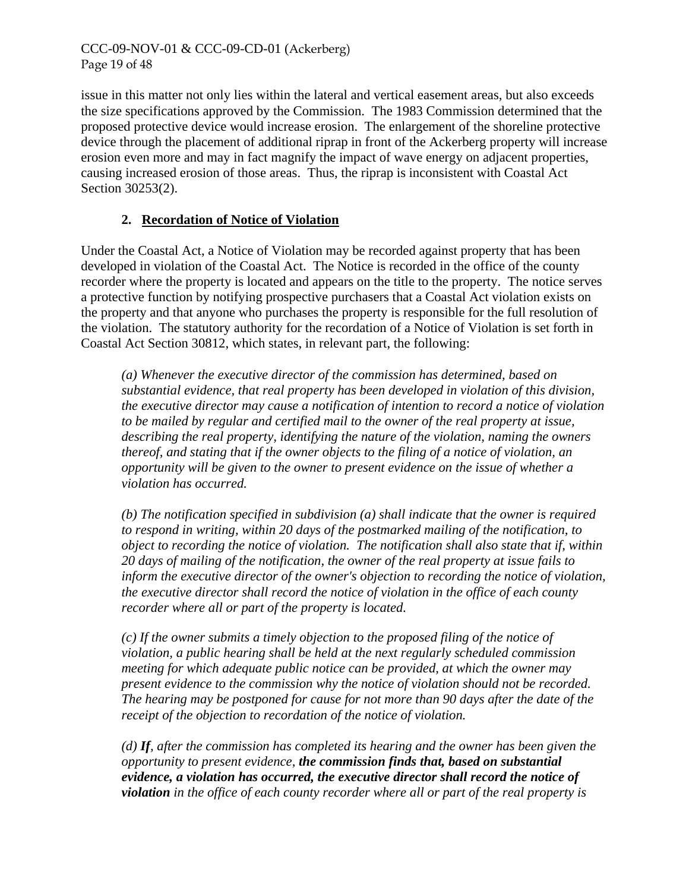issue in this matter not only lies within the lateral and vertical easement areas, but also exceeds the size specifications approved by the Commission. The 1983 Commission determined that the proposed protective device would increase erosion. The enlargement of the shoreline protective device through the placement of additional riprap in front of the Ackerberg property will increase erosion even more and may in fact magnify the impact of wave energy on adjacent properties, causing increased erosion of those areas. Thus, the riprap is inconsistent with Coastal Act Section 30253(2).

# **2. Recordation of Notice of Violation**

Under the Coastal Act, a Notice of Violation may be recorded against property that has been developed in violation of the Coastal Act. The Notice is recorded in the office of the county recorder where the property is located and appears on the title to the property. The notice serves a protective function by notifying prospective purchasers that a Coastal Act violation exists on the property and that anyone who purchases the property is responsible for the full resolution of the violation. The statutory authority for the recordation of a Notice of Violation is set forth in Coastal Act Section 30812, which states, in relevant part, the following:

*(a) Whenever the executive director of the commission has determined, based on substantial evidence, that real property has been developed in violation of this division, the executive director may cause a notification of intention to record a notice of violation to be mailed by regular and certified mail to the owner of the real property at issue, describing the real property, identifying the nature of the violation, naming the owners thereof, and stating that if the owner objects to the filing of a notice of violation, an opportunity will be given to the owner to present evidence on the issue of whether a violation has occurred.* 

*(b) The notification specified in subdivision (a) shall indicate that the owner is required to respond in writing, within 20 days of the postmarked mailing of the notification, to object to recording the notice of violation. The notification shall also state that if, within 20 days of mailing of the notification, the owner of the real property at issue fails to inform the executive director of the owner's objection to recording the notice of violation, the executive director shall record the notice of violation in the office of each county recorder where all or part of the property is located.* 

*(c) If the owner submits a timely objection to the proposed filing of the notice of violation, a public hearing shall be held at the next regularly scheduled commission meeting for which adequate public notice can be provided, at which the owner may present evidence to the commission why the notice of violation should not be recorded. The hearing may be postponed for cause for not more than 90 days after the date of the receipt of the objection to recordation of the notice of violation.* 

*(d) If, after the commission has completed its hearing and the owner has been given the opportunity to present evidence, the commission finds that, based on substantial evidence, a violation has occurred, the executive director shall record the notice of violation in the office of each county recorder where all or part of the real property is*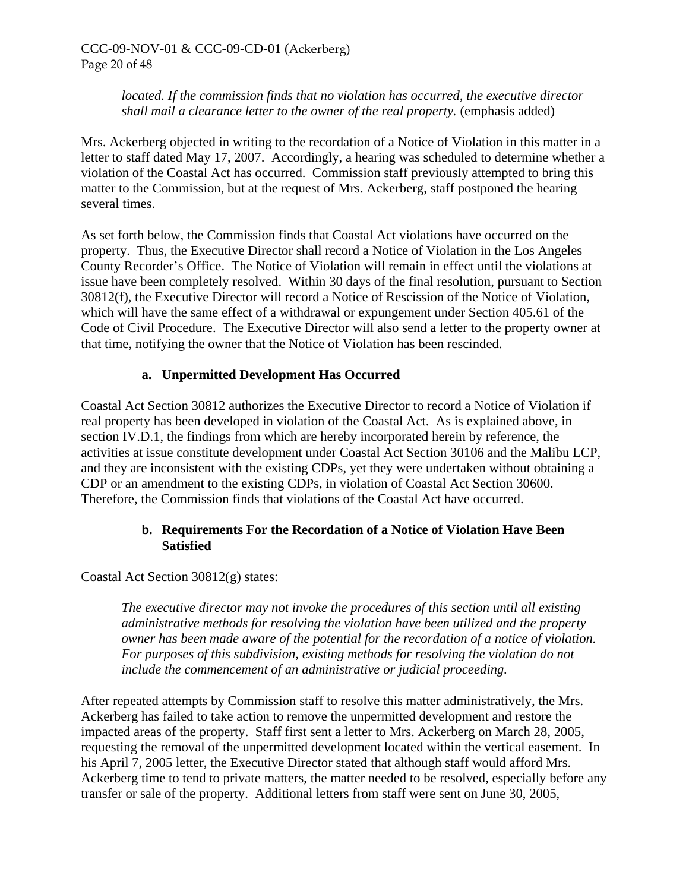*located. If the commission finds that no violation has occurred, the executive director shall mail a clearance letter to the owner of the real property.* (emphasis added)

Mrs. Ackerberg objected in writing to the recordation of a Notice of Violation in this matter in a letter to staff dated May 17, 2007. Accordingly, a hearing was scheduled to determine whether a violation of the Coastal Act has occurred. Commission staff previously attempted to bring this matter to the Commission, but at the request of Mrs. Ackerberg, staff postponed the hearing several times.

As set forth below, the Commission finds that Coastal Act violations have occurred on the property. Thus, the Executive Director shall record a Notice of Violation in the Los Angeles County Recorder's Office. The Notice of Violation will remain in effect until the violations at issue have been completely resolved. Within 30 days of the final resolution, pursuant to Section 30812(f), the Executive Director will record a Notice of Rescission of the Notice of Violation, which will have the same effect of a withdrawal or expungement under Section 405.61 of the Code of Civil Procedure. The Executive Director will also send a letter to the property owner at that time, notifying the owner that the Notice of Violation has been rescinded.

# **a. Unpermitted Development Has Occurred**

Coastal Act Section 30812 authorizes the Executive Director to record a Notice of Violation if real property has been developed in violation of the Coastal Act. As is explained above, in section IV.D.1, the findings from which are hereby incorporated herein by reference, the activities at issue constitute development under Coastal Act Section 30106 and the Malibu LCP, and they are inconsistent with the existing CDPs, yet they were undertaken without obtaining a CDP or an amendment to the existing CDPs, in violation of Coastal Act Section 30600. Therefore, the Commission finds that violations of the Coastal Act have occurred.

#### **b. Requirements For the Recordation of a Notice of Violation Have Been Satisfied**

Coastal Act Section 30812(g) states:

*The executive director may not invoke the procedures of this section until all existing administrative methods for resolving the violation have been utilized and the property owner has been made aware of the potential for the recordation of a notice of violation. For purposes of this subdivision, existing methods for resolving the violation do not include the commencement of an administrative or judicial proceeding.* 

After repeated attempts by Commission staff to resolve this matter administratively, the Mrs. Ackerberg has failed to take action to remove the unpermitted development and restore the impacted areas of the property. Staff first sent a letter to Mrs. Ackerberg on March 28, 2005, requesting the removal of the unpermitted development located within the vertical easement. In his April 7, 2005 letter, the Executive Director stated that although staff would afford Mrs. Ackerberg time to tend to private matters, the matter needed to be resolved, especially before any transfer or sale of the property. Additional letters from staff were sent on June 30, 2005,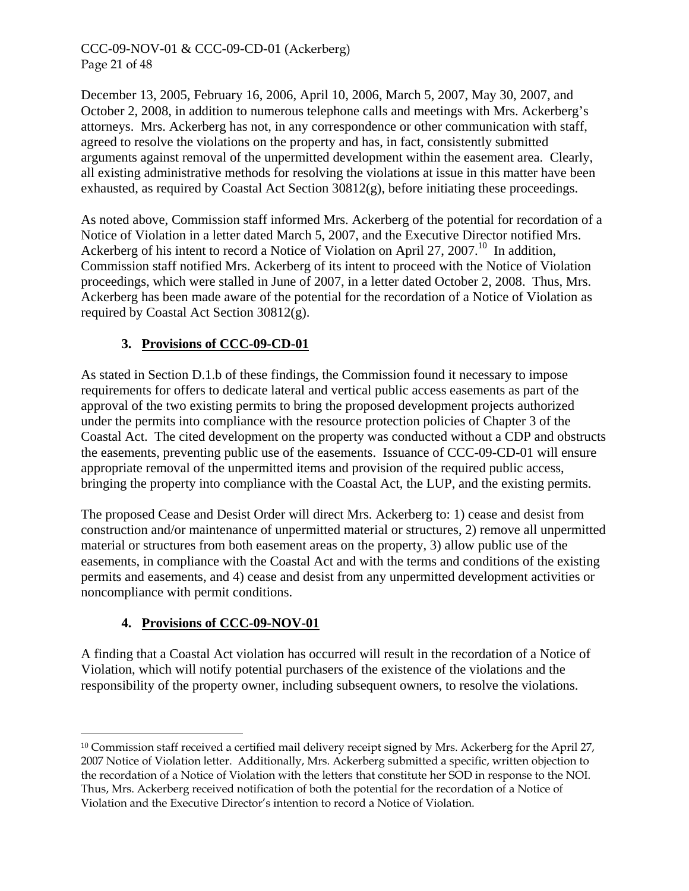CCC-09-NOV-01 & CCC-09-CD-01 (Ackerberg) Page 21 of 48

December 13, 2005, February 16, 2006, April 10, 2006, March 5, 2007, May 30, 2007, and October 2, 2008, in addition to numerous telephone calls and meetings with Mrs. Ackerberg's attorneys. Mrs. Ackerberg has not, in any correspondence or other communication with staff, agreed to resolve the violations on the property and has, in fact, consistently submitted arguments against removal of the unpermitted development within the easement area. Clearly, all existing administrative methods for resolving the violations at issue in this matter have been exhausted, as required by Coastal Act Section 30812(g), before initiating these proceedings.

As noted above, Commission staff informed Mrs. Ackerberg of the potential for recordation of a Notice of Violation in a letter dated March 5, 2007, and the Executive Director notified Mrs. Ackerberg of his intent to record a Notice of Violation on April 27, 2007.<sup>10</sup> In addition, Commission staff notified Mrs. Ackerberg of its intent to proceed with the Notice of Violation proceedings, which were stalled in June of 2007, in a letter dated October 2, 2008. Thus, Mrs. Ackerberg has been made aware of the potential for the recordation of a Notice of Violation as required by Coastal Act Section 30812(g).

# **3. Provisions of CCC-09-CD-01**

As stated in Section D.1.b of these findings, the Commission found it necessary to impose requirements for offers to dedicate lateral and vertical public access easements as part of the approval of the two existing permits to bring the proposed development projects authorized under the permits into compliance with the resource protection policies of Chapter 3 of the Coastal Act. The cited development on the property was conducted without a CDP and obstructs the easements, preventing public use of the easements. Issuance of CCC-09-CD-01 will ensure appropriate removal of the unpermitted items and provision of the required public access, bringing the property into compliance with the Coastal Act, the LUP, and the existing permits.

The proposed Cease and Desist Order will direct Mrs. Ackerberg to: 1) cease and desist from construction and/or maintenance of unpermitted material or structures, 2) remove all unpermitted material or structures from both easement areas on the property, 3) allow public use of the easements, in compliance with the Coastal Act and with the terms and conditions of the existing permits and easements, and 4) cease and desist from any unpermitted development activities or noncompliance with permit conditions.

# **4. Provisions of CCC-09-NOV-01**

 $\overline{a}$ 

A finding that a Coastal Act violation has occurred will result in the recordation of a Notice of Violation, which will notify potential purchasers of the existence of the violations and the responsibility of the property owner, including subsequent owners, to resolve the violations.

<span id="page-20-0"></span><sup>&</sup>lt;sup>10</sup> Commission staff received a certified mail delivery receipt signed by Mrs. Ackerberg for the April 27, 2007 Notice of Violation letter. Additionally, Mrs. Ackerberg submitted a specific, written objection to the recordation of a Notice of Violation with the letters that constitute her SOD in response to the NOI. Thus, Mrs. Ackerberg received notification of both the potential for the recordation of a Notice of Violation and the Executive Director's intention to record a Notice of Violation.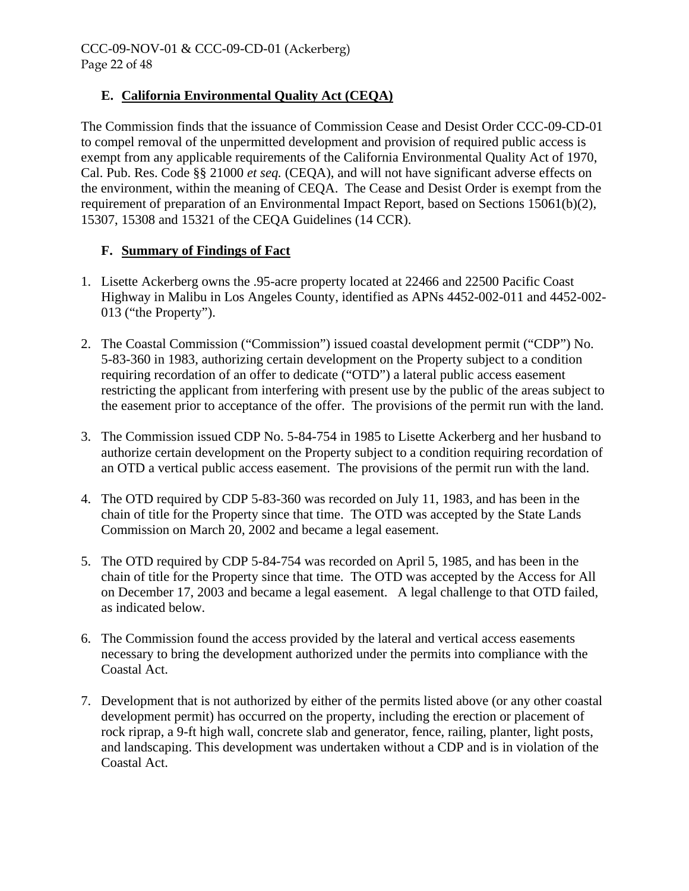# **E. California Environmental Quality Act (CEQA)**

The Commission finds that the issuance of Commission Cease and Desist Order CCC-09-CD-01 to compel removal of the unpermitted development and provision of required public access is exempt from any applicable requirements of the California Environmental Quality Act of 1970, Cal. Pub. Res. Code §§ 21000 *et seq.* (CEQA), and will not have significant adverse effects on the environment, within the meaning of CEQA. The Cease and Desist Order is exempt from the requirement of preparation of an Environmental Impact Report, based on Sections 15061(b)(2), 15307, 15308 and 15321 of the CEQA Guidelines (14 CCR).

# **F. Summary of Findings of Fact**

- 1. Lisette Ackerberg owns the .95-acre property located at 22466 and 22500 Pacific Coast Highway in Malibu in Los Angeles County, identified as APNs 4452-002-011 and 4452-002- 013 ("the Property").
- 2. The Coastal Commission ("Commission") issued coastal development permit ("CDP") No. 5-83-360 in 1983, authorizing certain development on the Property subject to a condition requiring recordation of an offer to dedicate ("OTD") a lateral public access easement restricting the applicant from interfering with present use by the public of the areas subject to the easement prior to acceptance of the offer. The provisions of the permit run with the land.
- 3. The Commission issued CDP No. 5-84-754 in 1985 to Lisette Ackerberg and her husband to authorize certain development on the Property subject to a condition requiring recordation of an OTD a vertical public access easement. The provisions of the permit run with the land.
- 4. The OTD required by CDP 5-83-360 was recorded on July 11, 1983, and has been in the chain of title for the Property since that time. The OTD was accepted by the State Lands Commission on March 20, 2002 and became a legal easement.
- 5. The OTD required by CDP 5-84-754 was recorded on April 5, 1985, and has been in the chain of title for the Property since that time. The OTD was accepted by the Access for All on December 17, 2003 and became a legal easement. A legal challenge to that OTD failed, as indicated below.
- 6. The Commission found the access provided by the lateral and vertical access easements necessary to bring the development authorized under the permits into compliance with the Coastal Act.
- 7. Development that is not authorized by either of the permits listed above (or any other coastal development permit) has occurred on the property, including the erection or placement of rock riprap, a 9-ft high wall, concrete slab and generator, fence, railing, planter, light posts, and landscaping. This development was undertaken without a CDP and is in violation of the Coastal Act.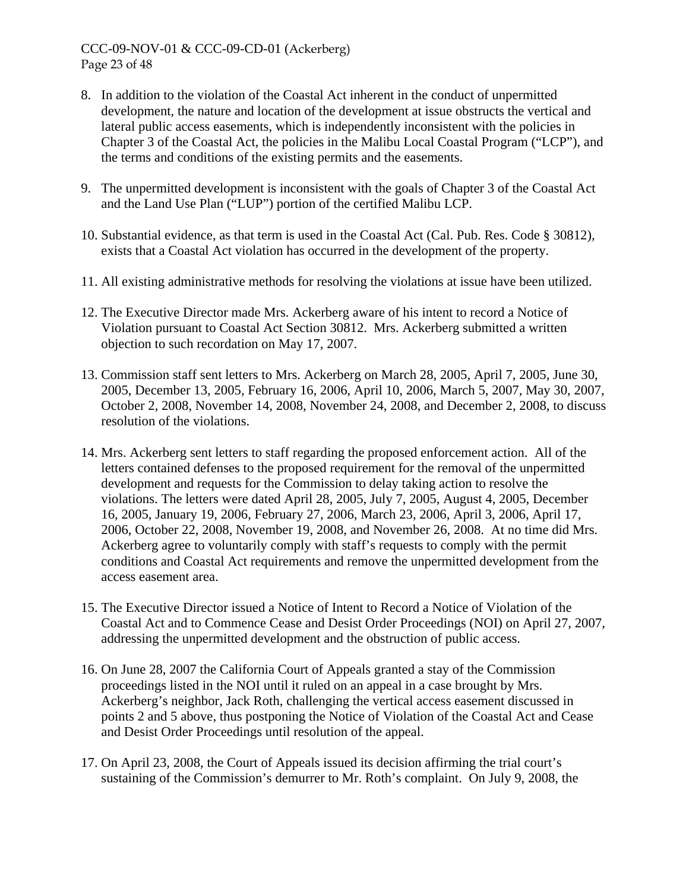- 8. In addition to the violation of the Coastal Act inherent in the conduct of unpermitted development, the nature and location of the development at issue obstructs the vertical and lateral public access easements, which is independently inconsistent with the policies in Chapter 3 of the Coastal Act, the policies in the Malibu Local Coastal Program ("LCP"), and the terms and conditions of the existing permits and the easements.
- 9. The unpermitted development is inconsistent with the goals of Chapter 3 of the Coastal Act and the Land Use Plan ("LUP") portion of the certified Malibu LCP.
- 10. Substantial evidence, as that term is used in the Coastal Act (Cal. Pub. Res. Code § 30812), exists that a Coastal Act violation has occurred in the development of the property.
- 11. All existing administrative methods for resolving the violations at issue have been utilized.
- 12. The Executive Director made Mrs. Ackerberg aware of his intent to record a Notice of Violation pursuant to Coastal Act Section 30812. Mrs. Ackerberg submitted a written objection to such recordation on May 17, 2007.
- 13. Commission staff sent letters to Mrs. Ackerberg on March 28, 2005, April 7, 2005, June 30, 2005, December 13, 2005, February 16, 2006, April 10, 2006, March 5, 2007, May 30, 2007, October 2, 2008, November 14, 2008, November 24, 2008, and December 2, 2008, to discuss resolution of the violations.
- 14. Mrs. Ackerberg sent letters to staff regarding the proposed enforcement action. All of the letters contained defenses to the proposed requirement for the removal of the unpermitted development and requests for the Commission to delay taking action to resolve the violations. The letters were dated April 28, 2005, July 7, 2005, August 4, 2005, December 16, 2005, January 19, 2006, February 27, 2006, March 23, 2006, April 3, 2006, April 17, 2006, October 22, 2008, November 19, 2008, and November 26, 2008. At no time did Mrs. Ackerberg agree to voluntarily comply with staff's requests to comply with the permit conditions and Coastal Act requirements and remove the unpermitted development from the access easement area.
- 15. The Executive Director issued a Notice of Intent to Record a Notice of Violation of the Coastal Act and to Commence Cease and Desist Order Proceedings (NOI) on April 27, 2007, addressing the unpermitted development and the obstruction of public access.
- 16. On June 28, 2007 the California Court of Appeals granted a stay of the Commission proceedings listed in the NOI until it ruled on an appeal in a case brought by Mrs. Ackerberg's neighbor, Jack Roth, challenging the vertical access easement discussed in points 2 and 5 above, thus postponing the Notice of Violation of the Coastal Act and Cease and Desist Order Proceedings until resolution of the appeal.
- 17. On April 23, 2008, the Court of Appeals issued its decision affirming the trial court's sustaining of the Commission's demurrer to Mr. Roth's complaint. On July 9, 2008, the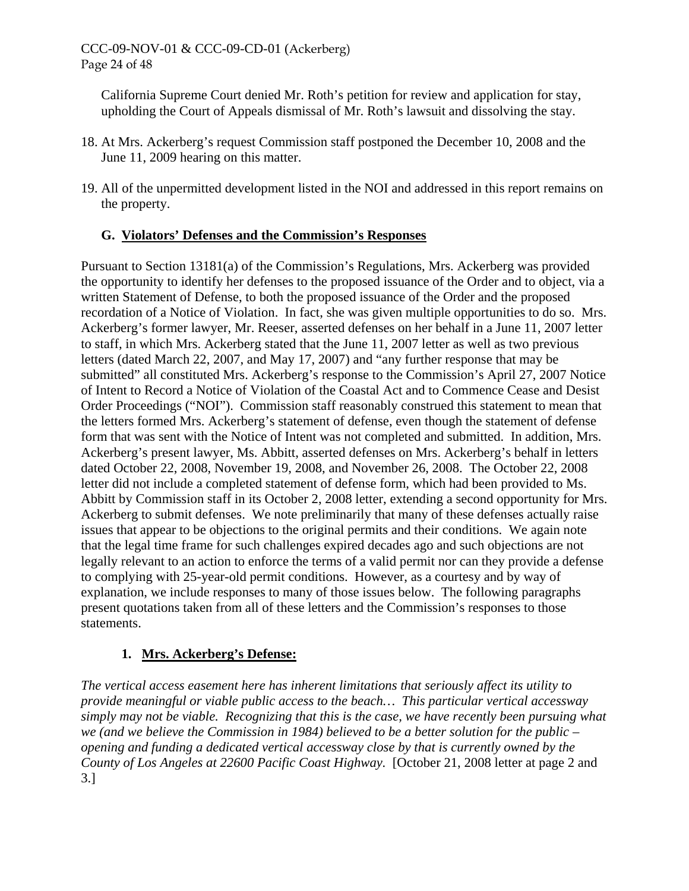California Supreme Court denied Mr. Roth's petition for review and application for stay, upholding the Court of Appeals dismissal of Mr. Roth's lawsuit and dissolving the stay.

- 18. At Mrs. Ackerberg's request Commission staff postponed the December 10, 2008 and the June 11, 2009 hearing on this matter.
- 19. All of the unpermitted development listed in the NOI and addressed in this report remains on the property.

# **G. Violators' Defenses and the Commission's Responses**

Pursuant to Section 13181(a) of the Commission's Regulations, Mrs. Ackerberg was provided the opportunity to identify her defenses to the proposed issuance of the Order and to object, via a written Statement of Defense, to both the proposed issuance of the Order and the proposed recordation of a Notice of Violation. In fact, she was given multiple opportunities to do so. Mrs. Ackerberg's former lawyer, Mr. Reeser, asserted defenses on her behalf in a June 11, 2007 letter to staff, in which Mrs. Ackerberg stated that the June 11, 2007 letter as well as two previous letters (dated March 22, 2007, and May 17, 2007) and "any further response that may be submitted" all constituted Mrs. Ackerberg's response to the Commission's April 27, 2007 Notice of Intent to Record a Notice of Violation of the Coastal Act and to Commence Cease and Desist Order Proceedings ("NOI"). Commission staff reasonably construed this statement to mean that the letters formed Mrs. Ackerberg's statement of defense, even though the statement of defense form that was sent with the Notice of Intent was not completed and submitted. In addition, Mrs. Ackerberg's present lawyer, Ms. Abbitt, asserted defenses on Mrs. Ackerberg's behalf in letters dated October 22, 2008, November 19, 2008, and November 26, 2008. The October 22, 2008 letter did not include a completed statement of defense form, which had been provided to Ms. Abbitt by Commission staff in its October 2, 2008 letter, extending a second opportunity for Mrs. Ackerberg to submit defenses. We note preliminarily that many of these defenses actually raise issues that appear to be objections to the original permits and their conditions. We again note that the legal time frame for such challenges expired decades ago and such objections are not legally relevant to an action to enforce the terms of a valid permit nor can they provide a defense to complying with 25-year-old permit conditions. However, as a courtesy and by way of explanation, we include responses to many of those issues below. The following paragraphs present quotations taken from all of these letters and the Commission's responses to those statements.

# **1. Mrs. Ackerberg's Defense:**

*The vertical access easement here has inherent limitations that seriously affect its utility to provide meaningful or viable public access to the beach… This particular vertical accessway simply may not be viable. Recognizing that this is the case, we have recently been pursuing what we (and we believe the Commission in 1984) believed to be a better solution for the public – opening and funding a dedicated vertical accessway close by that is currently owned by the County of Los Angeles at 22600 Pacific Coast Highway.* [October 21, 2008 letter at page 2 and 3.]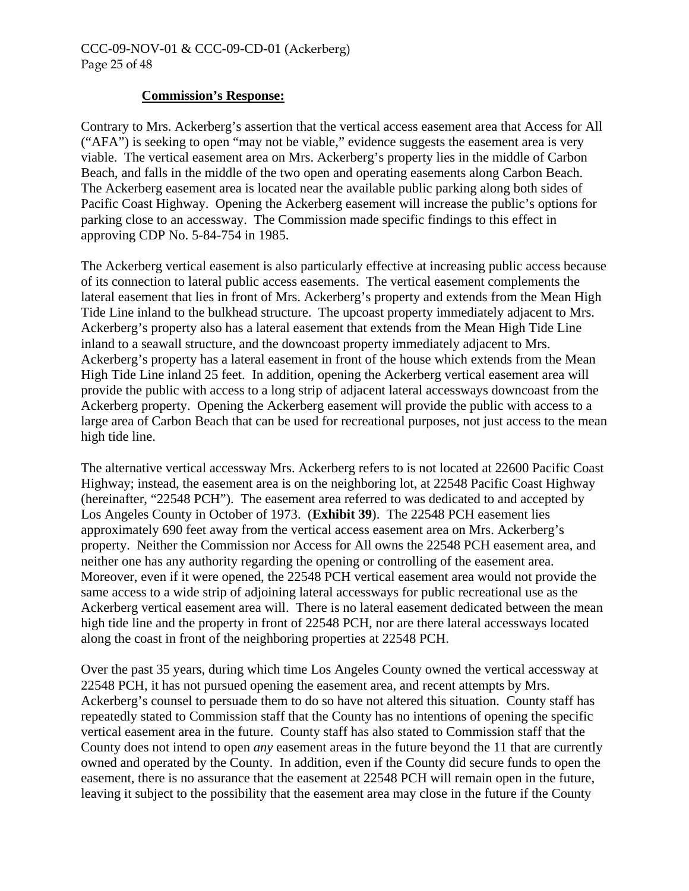#### **Commission's Response:**

Contrary to Mrs. Ackerberg's assertion that the vertical access easement area that Access for All ("AFA") is seeking to open "may not be viable," evidence suggests the easement area is very viable. The vertical easement area on Mrs. Ackerberg's property lies in the middle of Carbon Beach, and falls in the middle of the two open and operating easements along Carbon Beach. The Ackerberg easement area is located near the available public parking along both sides of Pacific Coast Highway. Opening the Ackerberg easement will increase the public's options for parking close to an accessway. The Commission made specific findings to this effect in approving CDP No. 5-84-754 in 1985.

The Ackerberg vertical easement is also particularly effective at increasing public access because of its connection to lateral public access easements. The vertical easement complements the lateral easement that lies in front of Mrs. Ackerberg's property and extends from the Mean High Tide Line inland to the bulkhead structure. The upcoast property immediately adjacent to Mrs. Ackerberg's property also has a lateral easement that extends from the Mean High Tide Line inland to a seawall structure, and the downcoast property immediately adjacent to Mrs. Ackerberg's property has a lateral easement in front of the house which extends from the Mean High Tide Line inland 25 feet. In addition, opening the Ackerberg vertical easement area will provide the public with access to a long strip of adjacent lateral accessways downcoast from the Ackerberg property. Opening the Ackerberg easement will provide the public with access to a large area of Carbon Beach that can be used for recreational purposes, not just access to the mean high tide line.

The alternative vertical accessway Mrs. Ackerberg refers to is not located at 22600 Pacific Coast Highway; instead, the easement area is on the neighboring lot, at 22548 Pacific Coast Highway (hereinafter, "22548 PCH"). The easement area referred to was dedicated to and accepted by Los Angeles County in October of 1973. (**Exhibit 39**). The 22548 PCH easement lies approximately 690 feet away from the vertical access easement area on Mrs. Ackerberg's property. Neither the Commission nor Access for All owns the 22548 PCH easement area, and neither one has any authority regarding the opening or controlling of the easement area. Moreover, even if it were opened, the 22548 PCH vertical easement area would not provide the same access to a wide strip of adjoining lateral accessways for public recreational use as the Ackerberg vertical easement area will. There is no lateral easement dedicated between the mean high tide line and the property in front of 22548 PCH, nor are there lateral accessways located along the coast in front of the neighboring properties at 22548 PCH.

Over the past 35 years, during which time Los Angeles County owned the vertical accessway at 22548 PCH, it has not pursued opening the easement area, and recent attempts by Mrs. Ackerberg's counsel to persuade them to do so have not altered this situation. County staff has repeatedly stated to Commission staff that the County has no intentions of opening the specific vertical easement area in the future. County staff has also stated to Commission staff that the County does not intend to open *any* easement areas in the future beyond the 11 that are currently owned and operated by the County. In addition, even if the County did secure funds to open the easement, there is no assurance that the easement at 22548 PCH will remain open in the future, leaving it subject to the possibility that the easement area may close in the future if the County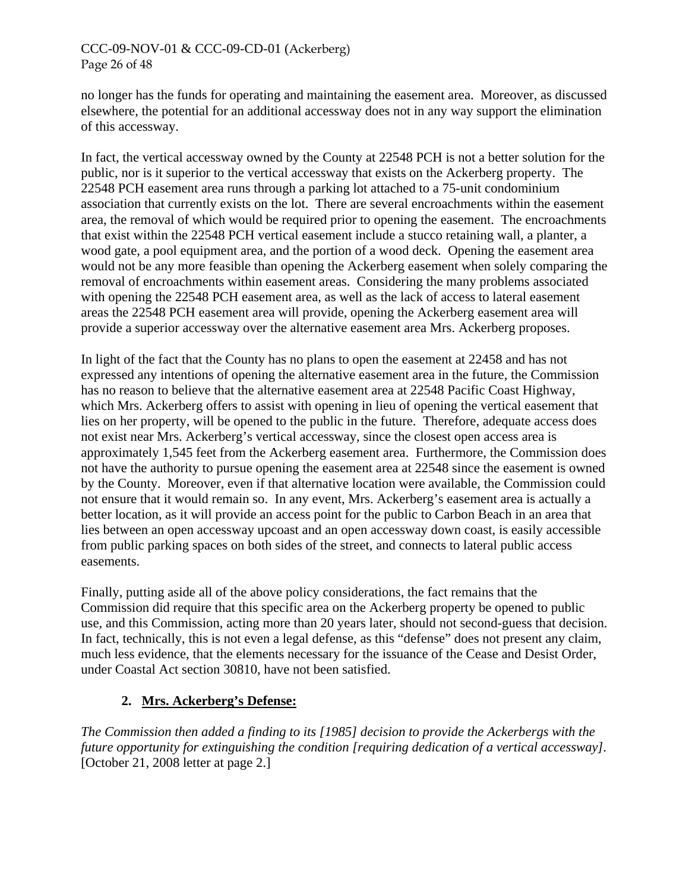## CCC-09-NOV-01 & CCC-09-CD-01 (Ackerberg) Page 26 of 48

no longer has the funds for operating and maintaining the easement area. Moreover, as discussed elsewhere, the potential for an additional accessway does not in any way support the elimination of this accessway.

In fact, the vertical accessway owned by the County at 22548 PCH is not a better solution for the public, nor is it superior to the vertical accessway that exists on the Ackerberg property. The 22548 PCH easement area runs through a parking lot attached to a 75-unit condominium association that currently exists on the lot. There are several encroachments within the easement area, the removal of which would be required prior to opening the easement. The encroachments that exist within the 22548 PCH vertical easement include a stucco retaining wall, a planter, a wood gate, a pool equipment area, and the portion of a wood deck. Opening the easement area would not be any more feasible than opening the Ackerberg easement when solely comparing the removal of encroachments within easement areas. Considering the many problems associated with opening the 22548 PCH easement area, as well as the lack of access to lateral easement areas the 22548 PCH easement area will provide, opening the Ackerberg easement area will provide a superior accessway over the alternative easement area Mrs. Ackerberg proposes.

In light of the fact that the County has no plans to open the easement at 22458 and has not expressed any intentions of opening the alternative easement area in the future, the Commission has no reason to believe that the alternative easement area at 22548 Pacific Coast Highway, which Mrs. Ackerberg offers to assist with opening in lieu of opening the vertical easement that lies on her property, will be opened to the public in the future. Therefore, adequate access does not exist near Mrs. Ackerberg's vertical accessway, since the closest open access area is approximately 1,545 feet from the Ackerberg easement area. Furthermore, the Commission does not have the authority to pursue opening the easement area at 22548 since the easement is owned by the County. Moreover, even if that alternative location were available, the Commission could not ensure that it would remain so. In any event, Mrs. Ackerberg's easement area is actually a better location, as it will provide an access point for the public to Carbon Beach in an area that lies between an open accessway upcoast and an open accessway down coast, is easily accessible from public parking spaces on both sides of the street, and connects to lateral public access easements.

Finally, putting aside all of the above policy considerations, the fact remains that the Commission did require that this specific area on the Ackerberg property be opened to public use, and this Commission, acting more than 20 years later, should not second-guess that decision. In fact, technically, this is not even a legal defense, as this "defense" does not present any claim, much less evidence, that the elements necessary for the issuance of the Cease and Desist Order, under Coastal Act section 30810, have not been satisfied.

# **2. Mrs. Ackerberg's Defense:**

*The Commission then added a finding to its [1985] decision to provide the Ackerbergs with the future opportunity for extinguishing the condition [requiring dedication of a vertical accessway].*  [October 21, 2008 letter at page 2.]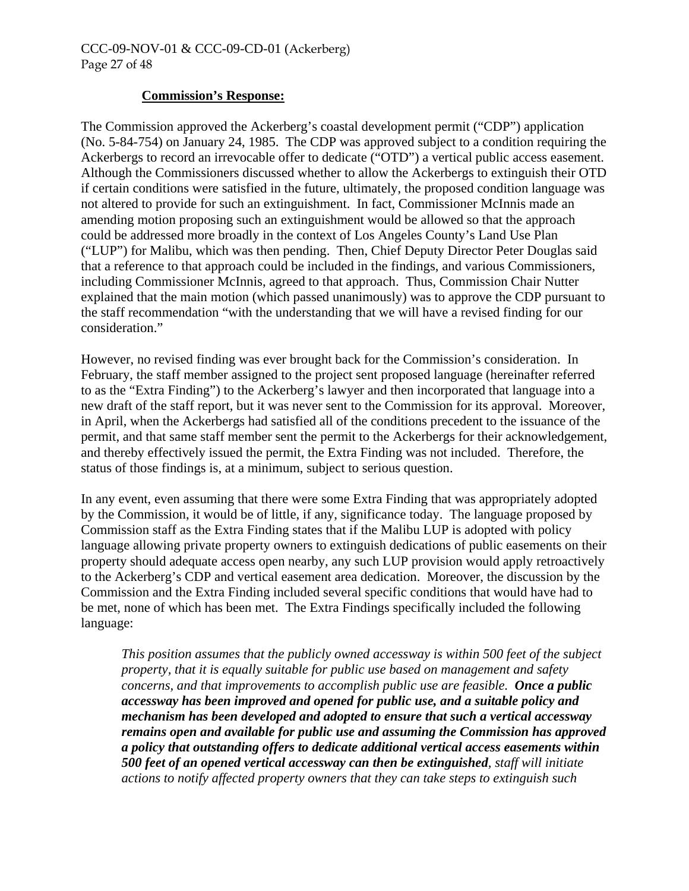#### **Commission's Response:**

The Commission approved the Ackerberg's coastal development permit ("CDP") application (No. 5-84-754) on January 24, 1985. The CDP was approved subject to a condition requiring the Ackerbergs to record an irrevocable offer to dedicate ("OTD") a vertical public access easement. Although the Commissioners discussed whether to allow the Ackerbergs to extinguish their OTD if certain conditions were satisfied in the future, ultimately, the proposed condition language was not altered to provide for such an extinguishment. In fact, Commissioner McInnis made an amending motion proposing such an extinguishment would be allowed so that the approach could be addressed more broadly in the context of Los Angeles County's Land Use Plan ("LUP") for Malibu, which was then pending. Then, Chief Deputy Director Peter Douglas said that a reference to that approach could be included in the findings, and various Commissioners, including Commissioner McInnis, agreed to that approach. Thus, Commission Chair Nutter explained that the main motion (which passed unanimously) was to approve the CDP pursuant to the staff recommendation "with the understanding that we will have a revised finding for our consideration."

However, no revised finding was ever brought back for the Commission's consideration. In February, the staff member assigned to the project sent proposed language (hereinafter referred to as the "Extra Finding") to the Ackerberg's lawyer and then incorporated that language into a new draft of the staff report, but it was never sent to the Commission for its approval. Moreover, in April, when the Ackerbergs had satisfied all of the conditions precedent to the issuance of the permit, and that same staff member sent the permit to the Ackerbergs for their acknowledgement, and thereby effectively issued the permit, the Extra Finding was not included. Therefore, the status of those findings is, at a minimum, subject to serious question.

In any event, even assuming that there were some Extra Finding that was appropriately adopted by the Commission, it would be of little, if any, significance today. The language proposed by Commission staff as the Extra Finding states that if the Malibu LUP is adopted with policy language allowing private property owners to extinguish dedications of public easements on their property should adequate access open nearby, any such LUP provision would apply retroactively to the Ackerberg's CDP and vertical easement area dedication. Moreover, the discussion by the Commission and the Extra Finding included several specific conditions that would have had to be met, none of which has been met. The Extra Findings specifically included the following language:

*This position assumes that the publicly owned accessway is within 500 feet of the subject property, that it is equally suitable for public use based on management and safety concerns, and that improvements to accomplish public use are feasible. Once a public accessway has been improved and opened for public use, and a suitable policy and mechanism has been developed and adopted to ensure that such a vertical accessway remains open and available for public use and assuming the Commission has approved a policy that outstanding offers to dedicate additional vertical access easements within 500 feet of an opened vertical accessway can then be extinguished, staff will initiate actions to notify affected property owners that they can take steps to extinguish such*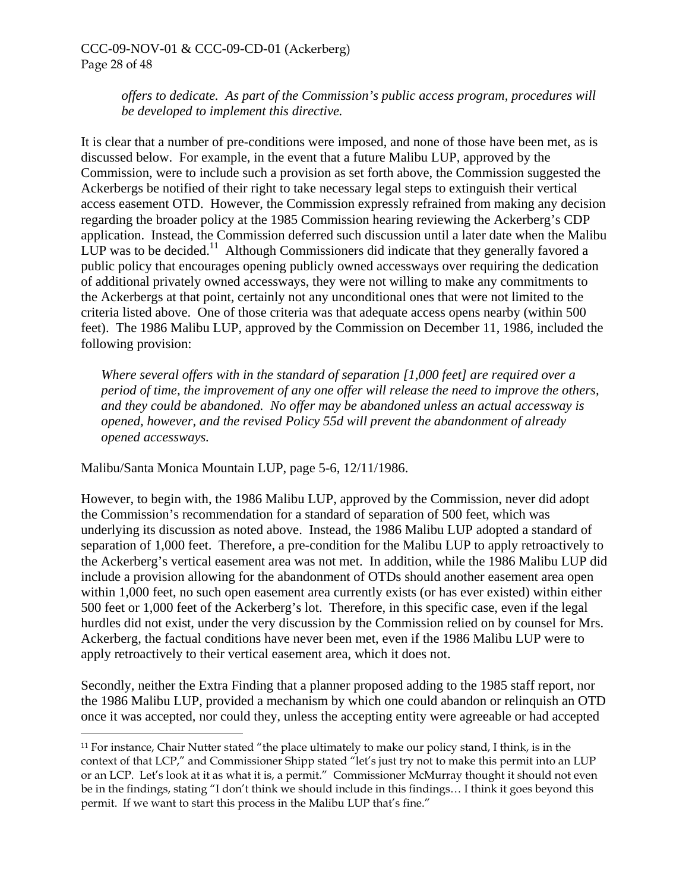#### CCC-09-NOV-01 & CCC-09-CD-01 (Ackerberg) Page 28 of 48

*offers to dedicate. As part of the Commission's public access program, procedures will be developed to implement this directive.*

It is clear that a number of pre-conditions were imposed, and none of those have been met, as is discussed below. For example, in the event that a future Malibu LUP, approved by the Commission, were to include such a provision as set forth above, the Commission suggested the Ackerbergs be notified of their right to take necessary legal steps to extinguish their vertical access easement OTD. However, the Commission expressly refrained from making any decision regarding the broader policy at the 1985 Commission hearing reviewing the Ackerberg's CDP application. Instead, the Commission deferred such discussion until a later date when the Malibu LUP was to be decided.<sup>11</sup> Although Commissioners did indicate that they generally favored a public policy that encourages opening publicly owned accessways over requiring the dedication of additional privately owned accessways, they were not willing to make any commitments to the Ackerbergs at that point, certainly not any unconditional ones that were not limited to the criteria listed above. One of those criteria was that adequate access opens nearby (within 500 feet). The 1986 Malibu LUP, approved by the Commission on December 11, 1986, included the following provision:

*Where several offers with in the standard of separation [1,000 feet] are required over a period of time, the improvement of any one offer will release the need to improve the others, and they could be abandoned. No offer may be abandoned unless an actual accessway is opened, however, and the revised Policy 55d will prevent the abandonment of already opened accessways.* 

Malibu/Santa Monica Mountain LUP, page 5-6, 12/11/1986.

<u>.</u>

However, to begin with, the 1986 Malibu LUP, approved by the Commission, never did adopt the Commission's recommendation for a standard of separation of 500 feet, which was underlying its discussion as noted above. Instead, the 1986 Malibu LUP adopted a standard of separation of 1,000 feet. Therefore, a pre-condition for the Malibu LUP to apply retroactively to the Ackerberg's vertical easement area was not met. In addition, while the 1986 Malibu LUP did include a provision allowing for the abandonment of OTDs should another easement area open within 1,000 feet, no such open easement area currently exists (or has ever existed) within either 500 feet or 1,000 feet of the Ackerberg's lot. Therefore, in this specific case, even if the legal hurdles did not exist, under the very discussion by the Commission relied on by counsel for Mrs. Ackerberg, the factual conditions have never been met, even if the 1986 Malibu LUP were to apply retroactively to their vertical easement area, which it does not.

Secondly, neither the Extra Finding that a planner proposed adding to the 1985 staff report, nor the 1986 Malibu LUP, provided a mechanism by which one could abandon or relinquish an OTD once it was accepted, nor could they, unless the accepting entity were agreeable or had accepted

<span id="page-27-0"></span><sup>11</sup> For instance, Chair Nutter stated "the place ultimately to make our policy stand, I think, is in the context of that LCP," and Commissioner Shipp stated "let's just try not to make this permit into an LUP or an LCP. Let's look at it as what it is, a permit." Commissioner McMurray thought it should not even be in the findings, stating "I don't think we should include in this findings… I think it goes beyond this permit. If we want to start this process in the Malibu LUP that's fine."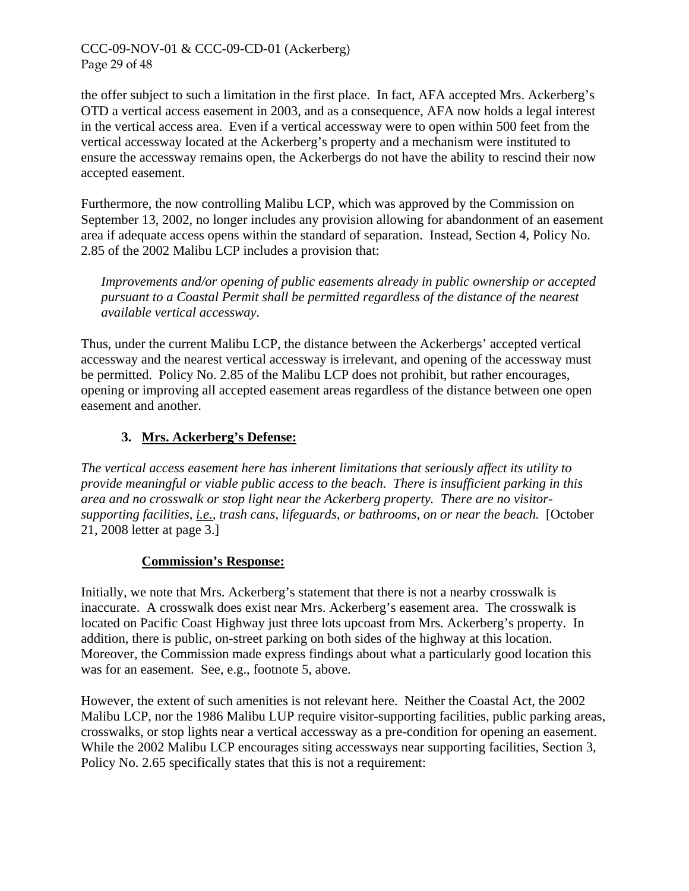#### CCC-09-NOV-01 & CCC-09-CD-01 (Ackerberg) Page 29 of 48

the offer subject to such a limitation in the first place. In fact, AFA accepted Mrs. Ackerberg's OTD a vertical access easement in 2003, and as a consequence, AFA now holds a legal interest in the vertical access area. Even if a vertical accessway were to open within 500 feet from the vertical accessway located at the Ackerberg's property and a mechanism were instituted to ensure the accessway remains open, the Ackerbergs do not have the ability to rescind their now accepted easement.

Furthermore, the now controlling Malibu LCP, which was approved by the Commission on September 13, 2002, no longer includes any provision allowing for abandonment of an easement area if adequate access opens within the standard of separation. Instead, Section 4, Policy No. 2.85 of the 2002 Malibu LCP includes a provision that:

*Improvements and/or opening of public easements already in public ownership or accepted pursuant to a Coastal Permit shall be permitted regardless of the distance of the nearest available vertical accessway.* 

Thus, under the current Malibu LCP, the distance between the Ackerbergs' accepted vertical accessway and the nearest vertical accessway is irrelevant, and opening of the accessway must be permitted. Policy No. 2.85 of the Malibu LCP does not prohibit, but rather encourages, opening or improving all accepted easement areas regardless of the distance between one open easement and another.

# **3. Mrs. Ackerberg's Defense:**

*The vertical access easement here has inherent limitations that seriously affect its utility to provide meaningful or viable public access to the beach. There is insufficient parking in this area and no crosswalk or stop light near the Ackerberg property. There are no visitorsupporting facilities, i.e., trash cans, lifeguards, or bathrooms, on or near the beach.* [October 21, 2008 letter at page 3.]

#### **Commission's Response:**

Initially, we note that Mrs. Ackerberg's statement that there is not a nearby crosswalk is inaccurate. A crosswalk does exist near Mrs. Ackerberg's easement area. The crosswalk is located on Pacific Coast Highway just three lots upcoast from Mrs. Ackerberg's property. In addition, there is public, on-street parking on both sides of the highway at this location. Moreover, the Commission made express findings about what a particularly good location this was for an easement. See, e.g., footnote [5,](#page-7-1) above.

However, the extent of such amenities is not relevant here. Neither the Coastal Act, the 2002 Malibu LCP, nor the 1986 Malibu LUP require visitor-supporting facilities, public parking areas, crosswalks, or stop lights near a vertical accessway as a pre-condition for opening an easement. While the 2002 Malibu LCP encourages siting accessways near supporting facilities, Section 3, Policy No. 2.65 specifically states that this is not a requirement: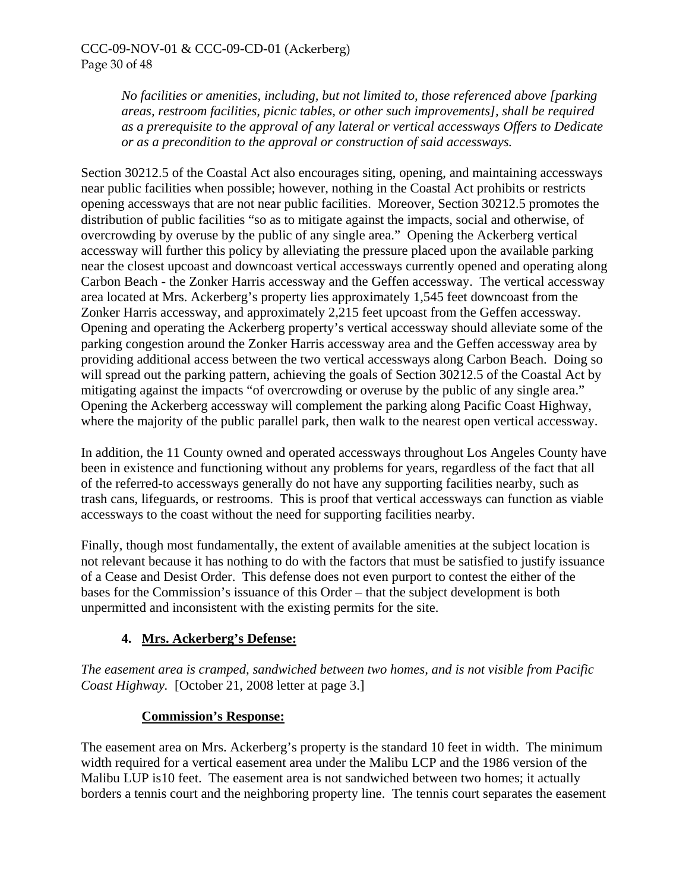*No facilities or amenities, including, but not limited to, those referenced above [parking areas, restroom facilities, picnic tables, or other such improvements], shall be required as a prerequisite to the approval of any lateral or vertical accessways Offers to Dedicate or as a precondition to the approval or construction of said accessways.* 

Section 30212.5 of the Coastal Act also encourages siting, opening, and maintaining accessways near public facilities when possible; however, nothing in the Coastal Act prohibits or restricts opening accessways that are not near public facilities. Moreover, Section 30212.5 promotes the distribution of public facilities "so as to mitigate against the impacts, social and otherwise, of overcrowding by overuse by the public of any single area." Opening the Ackerberg vertical accessway will further this policy by alleviating the pressure placed upon the available parking near the closest upcoast and downcoast vertical accessways currently opened and operating along Carbon Beach - the Zonker Harris accessway and the Geffen accessway. The vertical accessway area located at Mrs. Ackerberg's property lies approximately 1,545 feet downcoast from the Zonker Harris accessway, and approximately 2,215 feet upcoast from the Geffen accessway. Opening and operating the Ackerberg property's vertical accessway should alleviate some of the parking congestion around the Zonker Harris accessway area and the Geffen accessway area by providing additional access between the two vertical accessways along Carbon Beach. Doing so will spread out the parking pattern, achieving the goals of Section 30212.5 of the Coastal Act by mitigating against the impacts "of overcrowding or overuse by the public of any single area." Opening the Ackerberg accessway will complement the parking along Pacific Coast Highway, where the majority of the public parallel park, then walk to the nearest open vertical accessway.

In addition, the 11 County owned and operated accessways throughout Los Angeles County have been in existence and functioning without any problems for years, regardless of the fact that all of the referred-to accessways generally do not have any supporting facilities nearby, such as trash cans, lifeguards, or restrooms. This is proof that vertical accessways can function as viable accessways to the coast without the need for supporting facilities nearby.

Finally, though most fundamentally, the extent of available amenities at the subject location is not relevant because it has nothing to do with the factors that must be satisfied to justify issuance of a Cease and Desist Order. This defense does not even purport to contest the either of the bases for the Commission's issuance of this Order – that the subject development is both unpermitted and inconsistent with the existing permits for the site.

# **4. Mrs. Ackerberg's Defense:**

*The easement area is cramped, sandwiched between two homes, and is not visible from Pacific Coast Highway.* [October 21, 2008 letter at page 3.]

# **Commission's Response:**

The easement area on Mrs. Ackerberg's property is the standard 10 feet in width. The minimum width required for a vertical easement area under the Malibu LCP and the 1986 version of the Malibu LUP is10 feet. The easement area is not sandwiched between two homes; it actually borders a tennis court and the neighboring property line. The tennis court separates the easement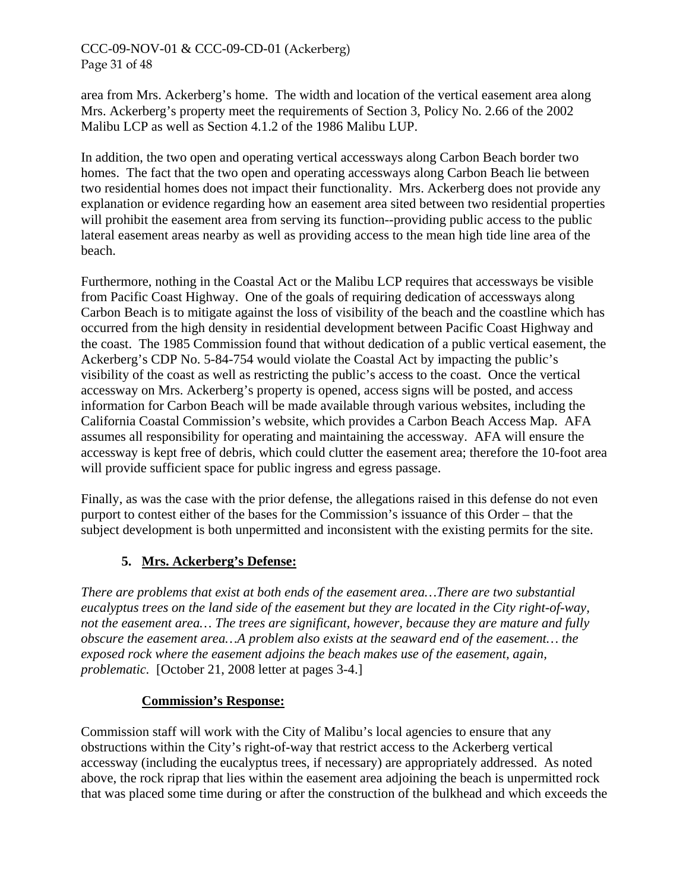# CCC-09-NOV-01 & CCC-09-CD-01 (Ackerberg) Page 31 of 48

area from Mrs. Ackerberg's home. The width and location of the vertical easement area along Mrs. Ackerberg's property meet the requirements of Section 3, Policy No. 2.66 of the 2002 Malibu LCP as well as Section 4.1.2 of the 1986 Malibu LUP.

In addition, the two open and operating vertical accessways along Carbon Beach border two homes. The fact that the two open and operating accessways along Carbon Beach lie between two residential homes does not impact their functionality. Mrs. Ackerberg does not provide any explanation or evidence regarding how an easement area sited between two residential properties will prohibit the easement area from serving its function--providing public access to the public lateral easement areas nearby as well as providing access to the mean high tide line area of the beach.

Furthermore, nothing in the Coastal Act or the Malibu LCP requires that accessways be visible from Pacific Coast Highway. One of the goals of requiring dedication of accessways along Carbon Beach is to mitigate against the loss of visibility of the beach and the coastline which has occurred from the high density in residential development between Pacific Coast Highway and the coast. The 1985 Commission found that without dedication of a public vertical easement, the Ackerberg's CDP No. 5-84-754 would violate the Coastal Act by impacting the public's visibility of the coast as well as restricting the public's access to the coast. Once the vertical accessway on Mrs. Ackerberg's property is opened, access signs will be posted, and access information for Carbon Beach will be made available through various websites, including the California Coastal Commission's website, which provides a Carbon Beach Access Map. AFA assumes all responsibility for operating and maintaining the accessway. AFA will ensure the accessway is kept free of debris, which could clutter the easement area; therefore the 10-foot area will provide sufficient space for public ingress and egress passage.

Finally, as was the case with the prior defense, the allegations raised in this defense do not even purport to contest either of the bases for the Commission's issuance of this Order – that the subject development is both unpermitted and inconsistent with the existing permits for the site.

# **5. Mrs. Ackerberg's Defense:**

*There are problems that exist at both ends of the easement area…There are two substantial eucalyptus trees on the land side of the easement but they are located in the City right-of-way, not the easement area… The trees are significant, however, because they are mature and fully obscure the easement area…A problem also exists at the seaward end of the easement… the exposed rock where the easement adjoins the beach makes use of the easement, again, problematic.* [October 21, 2008 letter at pages 3-4.]

#### **Commission's Response:**

Commission staff will work with the City of Malibu's local agencies to ensure that any obstructions within the City's right-of-way that restrict access to the Ackerberg vertical accessway (including the eucalyptus trees, if necessary) are appropriately addressed. As noted above, the rock riprap that lies within the easement area adjoining the beach is unpermitted rock that was placed some time during or after the construction of the bulkhead and which exceeds the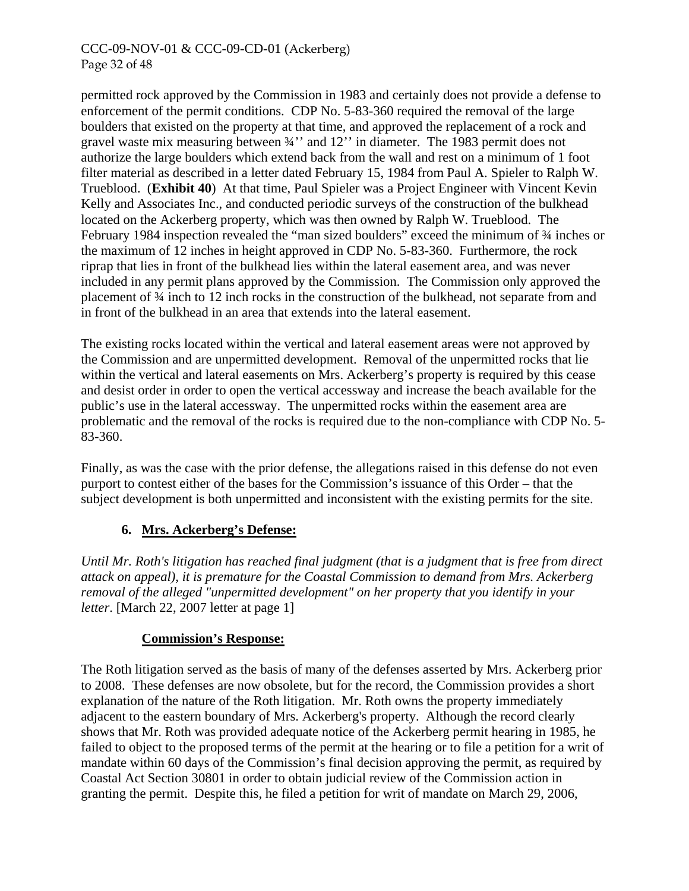#### CCC-09-NOV-01 & CCC-09-CD-01 (Ackerberg) Page 32 of 48

permitted rock approved by the Commission in 1983 and certainly does not provide a defense to enforcement of the permit conditions. CDP No. 5-83-360 required the removal of the large boulders that existed on the property at that time, and approved the replacement of a rock and gravel waste mix measuring between ¾'' and 12'' in diameter. The 1983 permit does not authorize the large boulders which extend back from the wall and rest on a minimum of 1 foot filter material as described in a letter dated February 15, 1984 from Paul A. Spieler to Ralph W. Trueblood. (**Exhibit 40**) At that time, Paul Spieler was a Project Engineer with Vincent Kevin Kelly and Associates Inc., and conducted periodic surveys of the construction of the bulkhead located on the Ackerberg property, which was then owned by Ralph W. Trueblood. The February 1984 inspection revealed the "man sized boulders" exceed the minimum of ¾ inches or the maximum of 12 inches in height approved in CDP No. 5-83-360. Furthermore, the rock riprap that lies in front of the bulkhead lies within the lateral easement area, and was never included in any permit plans approved by the Commission. The Commission only approved the placement of ¾ inch to 12 inch rocks in the construction of the bulkhead, not separate from and in front of the bulkhead in an area that extends into the lateral easement.

The existing rocks located within the vertical and lateral easement areas were not approved by the Commission and are unpermitted development. Removal of the unpermitted rocks that lie within the vertical and lateral easements on Mrs. Ackerberg's property is required by this cease and desist order in order to open the vertical accessway and increase the beach available for the public's use in the lateral accessway. The unpermitted rocks within the easement area are problematic and the removal of the rocks is required due to the non-compliance with CDP No. 5- 83-360.

Finally, as was the case with the prior defense, the allegations raised in this defense do not even purport to contest either of the bases for the Commission's issuance of this Order – that the subject development is both unpermitted and inconsistent with the existing permits for the site.

# **6. Mrs. Ackerberg's Defense:**

*Until Mr. Roth's litigation has reached final judgment (that is a judgment that is free from direct attack on appeal), it is premature for the Coastal Commission to demand from Mrs. Ackerberg removal of the alleged "unpermitted development" on her property that you identify in your letter*. [March 22, 2007 letter at page 1]

#### **Commission's Response:**

The Roth litigation served as the basis of many of the defenses asserted by Mrs. Ackerberg prior to 2008. These defenses are now obsolete, but for the record, the Commission provides a short explanation of the nature of the Roth litigation. Mr. Roth owns the property immediately adjacent to the eastern boundary of Mrs. Ackerberg's property. Although the record clearly shows that Mr. Roth was provided adequate notice of the Ackerberg permit hearing in 1985, he failed to object to the proposed terms of the permit at the hearing or to file a petition for a writ of mandate within 60 days of the Commission's final decision approving the permit, as required by Coastal Act Section 30801 in order to obtain judicial review of the Commission action in granting the permit. Despite this, he filed a petition for writ of mandate on March 29, 2006,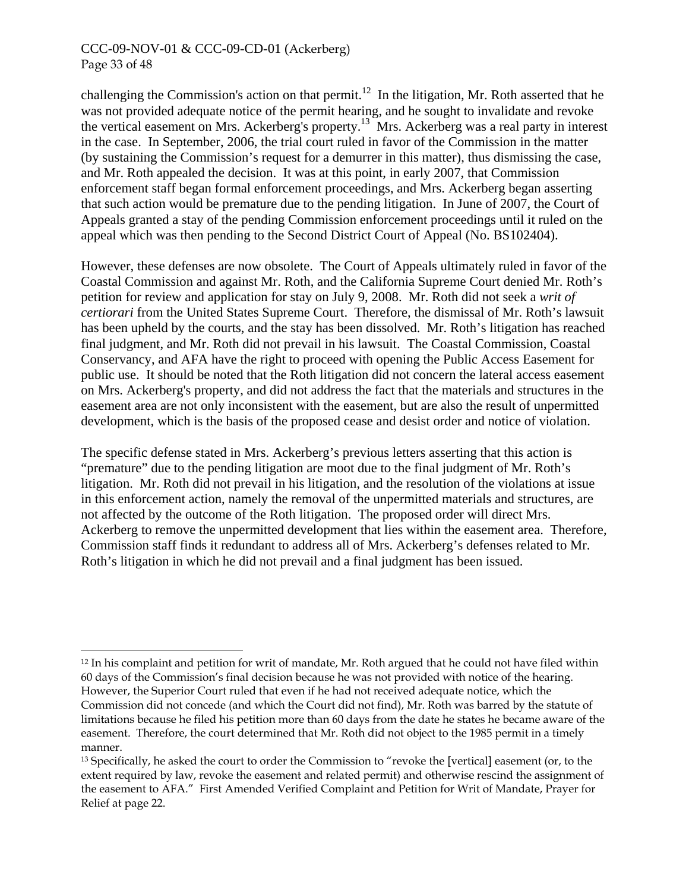#### CCC-09-NOV-01 & CCC-09-CD-01 (Ackerberg) Page 33 of 48

-

challenging the Commission's action on that permit.<sup>12</sup> In the litigation, Mr. Roth asserted that he was not provided adequate notice of the permit hearing, and he sought to invalidate and revoke the vertical easement on Mrs. Ackerberg's property.[13](#page-32-1) Mrs. Ackerberg was a real party in interest in the case. In September, 2006, the trial court ruled in favor of the Commission in the matter (by sustaining the Commission's request for a demurrer in this matter), thus dismissing the case, and Mr. Roth appealed the decision. It was at this point, in early 2007, that Commission enforcement staff began formal enforcement proceedings, and Mrs. Ackerberg began asserting that such action would be premature due to the pending litigation. In June of 2007, the Court of Appeals granted a stay of the pending Commission enforcement proceedings until it ruled on the appeal which was then pending to the Second District Court of Appeal (No. BS102404).

However, these defenses are now obsolete. The Court of Appeals ultimately ruled in favor of the Coastal Commission and against Mr. Roth, and the California Supreme Court denied Mr. Roth's petition for review and application for stay on July 9, 2008. Mr. Roth did not seek a *writ of certiorari* from the United States Supreme Court. Therefore, the dismissal of Mr. Roth's lawsuit has been upheld by the courts, and the stay has been dissolved. Mr. Roth's litigation has reached final judgment, and Mr. Roth did not prevail in his lawsuit. The Coastal Commission, Coastal Conservancy, and AFA have the right to proceed with opening the Public Access Easement for public use. It should be noted that the Roth litigation did not concern the lateral access easement on Mrs. Ackerberg's property, and did not address the fact that the materials and structures in the easement area are not only inconsistent with the easement, but are also the result of unpermitted development, which is the basis of the proposed cease and desist order and notice of violation.

The specific defense stated in Mrs. Ackerberg's previous letters asserting that this action is "premature" due to the pending litigation are moot due to the final judgment of Mr. Roth's litigation. Mr. Roth did not prevail in his litigation, and the resolution of the violations at issue in this enforcement action, namely the removal of the unpermitted materials and structures, are not affected by the outcome of the Roth litigation. The proposed order will direct Mrs. Ackerberg to remove the unpermitted development that lies within the easement area. Therefore, Commission staff finds it redundant to address all of Mrs. Ackerberg's defenses related to Mr. Roth's litigation in which he did not prevail and a final judgment has been issued.

<span id="page-32-0"></span><sup>&</sup>lt;sup>12</sup> In his complaint and petition for writ of mandate, Mr. Roth argued that he could not have filed within 60 days of the Commission's final decision because he was not provided with notice of the hearing. However, the Superior Court ruled that even if he had not received adequate notice, which the Commission did not concede (and which the Court did not find), Mr. Roth was barred by the statute of limitations because he filed his petition more than 60 days from the date he states he became aware of the easement. Therefore, the court determined that Mr. Roth did not object to the 1985 permit in a timely manner.

<span id="page-32-1"></span><sup>&</sup>lt;sup>13</sup> Specifically, he asked the court to order the Commission to "revoke the [vertical] easement (or, to the extent required by law, revoke the easement and related permit) and otherwise rescind the assignment of the easement to AFA." First Amended Verified Complaint and Petition for Writ of Mandate, Prayer for Relief at page 22.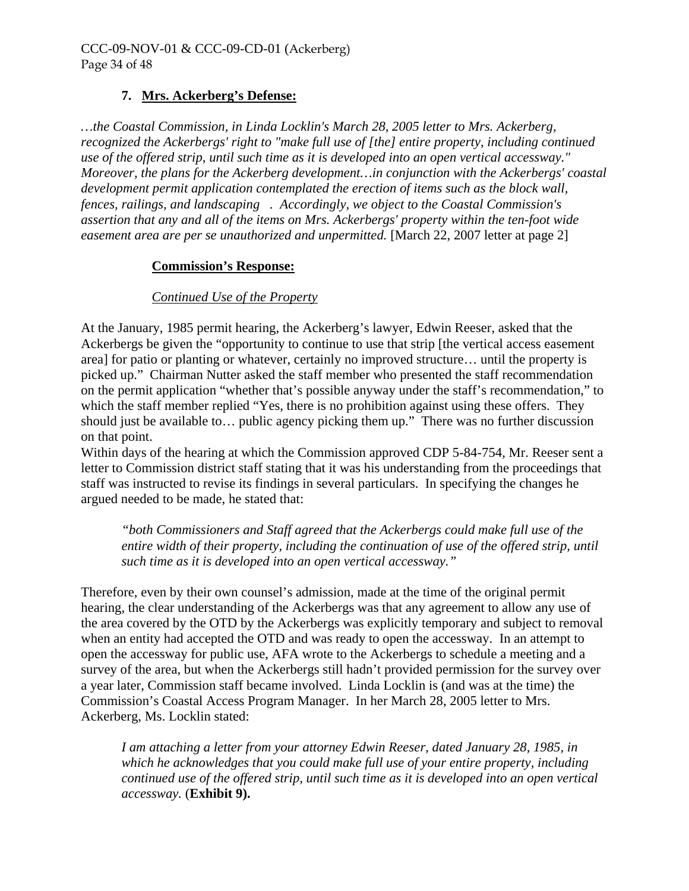# **7. Mrs. Ackerberg's Defense:**

*…the Coastal Commission, in Linda Locklin's March 28, 2005 letter to Mrs. Ackerberg, recognized the Ackerbergs' right to "make full use of [the] entire property, including continued use of the offered strip, until such time as it is developed into an open vertical accessway." Moreover, the plans for the Ackerberg development…in conjunction with the Ackerbergs' coastal development permit application contemplated the erection of items such as the block wall, fences, railings, and landscaping . Accordingly, we object to the Coastal Commission's assertion that any and all of the items on Mrs. Ackerbergs' property within the ten-foot wide easement area are per se unauthorized and unpermitted.* [March 22, 2007 letter at page 2]

#### **Commission's Response:**

#### *Continued Use of the Property*

At the January, 1985 permit hearing, the Ackerberg's lawyer, Edwin Reeser, asked that the Ackerbergs be given the "opportunity to continue to use that strip [the vertical access easement area] for patio or planting or whatever, certainly no improved structure… until the property is picked up." Chairman Nutter asked the staff member who presented the staff recommendation on the permit application "whether that's possible anyway under the staff's recommendation," to which the staff member replied "Yes, there is no prohibition against using these offers. They should just be available to… public agency picking them up." There was no further discussion on that point.

Within days of the hearing at which the Commission approved CDP 5-84-754, Mr. Reeser sent a letter to Commission district staff stating that it was his understanding from the proceedings that staff was instructed to revise its findings in several particulars. In specifying the changes he argued needed to be made, he stated that:

*"both Commissioners and Staff agreed that the Ackerbergs could make full use of the entire width of their property, including the continuation of use of the offered strip, until such time as it is developed into an open vertical accessway."* 

Therefore, even by their own counsel's admission, made at the time of the original permit hearing, the clear understanding of the Ackerbergs was that any agreement to allow any use of the area covered by the OTD by the Ackerbergs was explicitly temporary and subject to removal when an entity had accepted the OTD and was ready to open the accessway. In an attempt to open the accessway for public use, AFA wrote to the Ackerbergs to schedule a meeting and a survey of the area, but when the Ackerbergs still hadn't provided permission for the survey over a year later, Commission staff became involved. Linda Locklin is (and was at the time) the Commission's Coastal Access Program Manager. In her March 28, 2005 letter to Mrs. Ackerberg, Ms. Locklin stated:

*I am attaching a letter from your attorney Edwin Reeser, dated January 28, 1985, in which he acknowledges that you could make full use of your entire property, including continued use of the offered strip, until such time as it is developed into an open vertical accessway.* (**Exhibit 9).**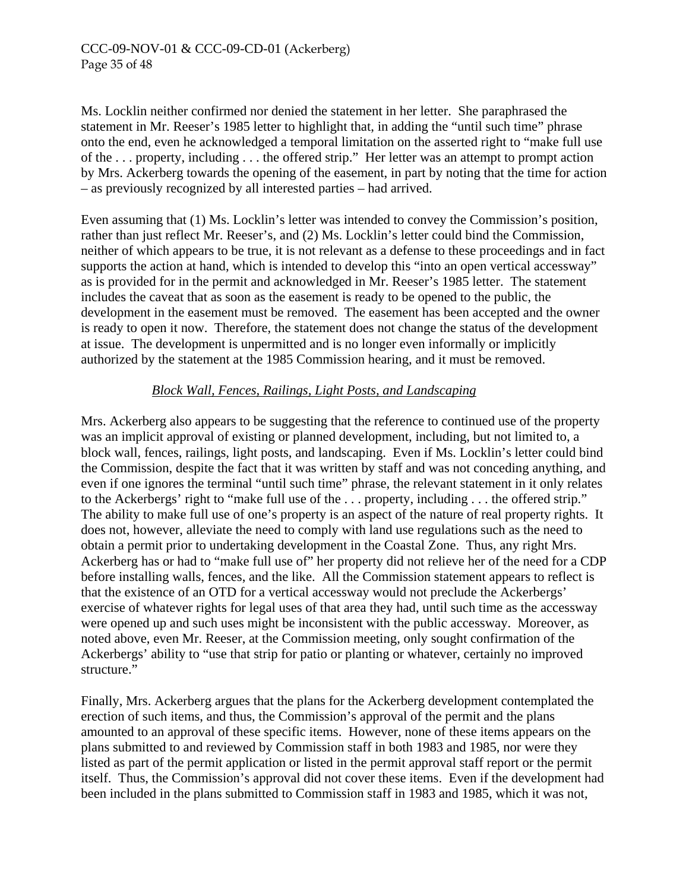#### CCC-09-NOV-01 & CCC-09-CD-01 (Ackerberg) Page 35 of 48

Ms. Locklin neither confirmed nor denied the statement in her letter. She paraphrased the statement in Mr. Reeser's 1985 letter to highlight that, in adding the "until such time" phrase onto the end, even he acknowledged a temporal limitation on the asserted right to "make full use of the . . . property, including . . . the offered strip." Her letter was an attempt to prompt action by Mrs. Ackerberg towards the opening of the easement, in part by noting that the time for action – as previously recognized by all interested parties – had arrived.

Even assuming that (1) Ms. Locklin's letter was intended to convey the Commission's position, rather than just reflect Mr. Reeser's, and (2) Ms. Locklin's letter could bind the Commission, neither of which appears to be true, it is not relevant as a defense to these proceedings and in fact supports the action at hand, which is intended to develop this "into an open vertical accessway" as is provided for in the permit and acknowledged in Mr. Reeser's 1985 letter. The statement includes the caveat that as soon as the easement is ready to be opened to the public, the development in the easement must be removed. The easement has been accepted and the owner is ready to open it now. Therefore, the statement does not change the status of the development at issue. The development is unpermitted and is no longer even informally or implicitly authorized by the statement at the 1985 Commission hearing, and it must be removed.

#### *Block Wall, Fences, Railings, Light Posts, and Landscaping*

Mrs. Ackerberg also appears to be suggesting that the reference to continued use of the property was an implicit approval of existing or planned development, including, but not limited to, a block wall, fences, railings, light posts, and landscaping. Even if Ms. Locklin's letter could bind the Commission, despite the fact that it was written by staff and was not conceding anything, and even if one ignores the terminal "until such time" phrase, the relevant statement in it only relates to the Ackerbergs' right to "make full use of the . . . property, including . . . the offered strip." The ability to make full use of one's property is an aspect of the nature of real property rights. It does not, however, alleviate the need to comply with land use regulations such as the need to obtain a permit prior to undertaking development in the Coastal Zone. Thus, any right Mrs. Ackerberg has or had to "make full use of" her property did not relieve her of the need for a CDP before installing walls, fences, and the like. All the Commission statement appears to reflect is that the existence of an OTD for a vertical accessway would not preclude the Ackerbergs' exercise of whatever rights for legal uses of that area they had, until such time as the accessway were opened up and such uses might be inconsistent with the public accessway. Moreover, as noted above, even Mr. Reeser, at the Commission meeting, only sought confirmation of the Ackerbergs' ability to "use that strip for patio or planting or whatever, certainly no improved structure."

Finally, Mrs. Ackerberg argues that the plans for the Ackerberg development contemplated the erection of such items, and thus, the Commission's approval of the permit and the plans amounted to an approval of these specific items. However, none of these items appears on the plans submitted to and reviewed by Commission staff in both 1983 and 1985, nor were they listed as part of the permit application or listed in the permit approval staff report or the permit itself. Thus, the Commission's approval did not cover these items. Even if the development had been included in the plans submitted to Commission staff in 1983 and 1985, which it was not,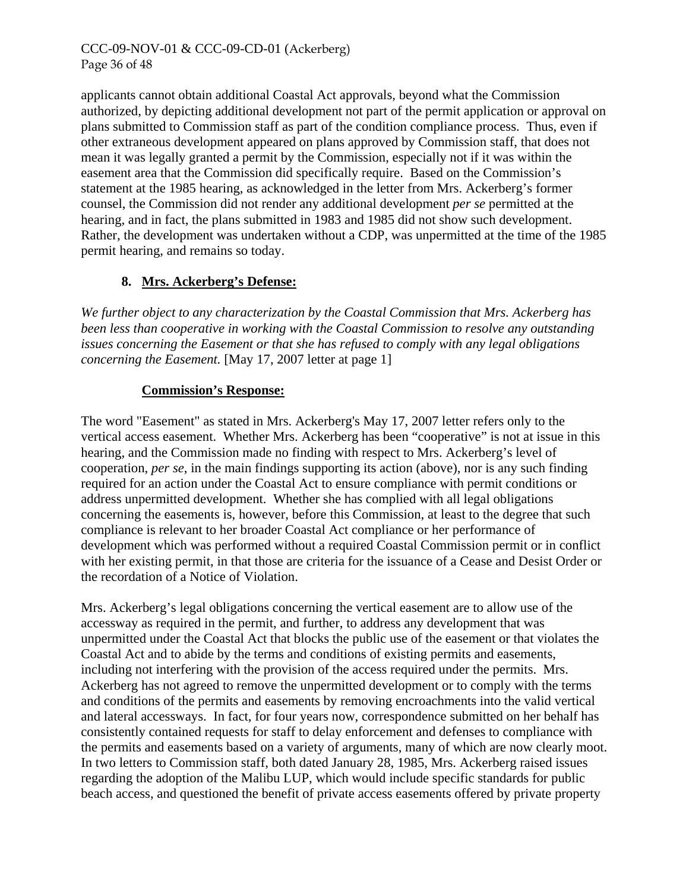# CCC-09-NOV-01 & CCC-09-CD-01 (Ackerberg) Page 36 of 48

applicants cannot obtain additional Coastal Act approvals, beyond what the Commission authorized, by depicting additional development not part of the permit application or approval on plans submitted to Commission staff as part of the condition compliance process. Thus, even if other extraneous development appeared on plans approved by Commission staff, that does not mean it was legally granted a permit by the Commission, especially not if it was within the easement area that the Commission did specifically require. Based on the Commission's statement at the 1985 hearing, as acknowledged in the letter from Mrs. Ackerberg's former counsel, the Commission did not render any additional development *per se* permitted at the hearing, and in fact, the plans submitted in 1983 and 1985 did not show such development. Rather, the development was undertaken without a CDP, was unpermitted at the time of the 1985 permit hearing, and remains so today.

# **8. Mrs. Ackerberg's Defense:**

*We further object to any characterization by the Coastal Commission that Mrs. Ackerberg has been less than cooperative in working with the Coastal Commission to resolve any outstanding issues concerning the Easement or that she has refused to comply with any legal obligations concerning the Easement.* [May 17, 2007 letter at page 1]

# **Commission's Response:**

The word "Easement" as stated in Mrs. Ackerberg's May 17, 2007 letter refers only to the vertical access easement. Whether Mrs. Ackerberg has been "cooperative" is not at issue in this hearing, and the Commission made no finding with respect to Mrs. Ackerberg's level of cooperation, *per se*, in the main findings supporting its action (above), nor is any such finding required for an action under the Coastal Act to ensure compliance with permit conditions or address unpermitted development. Whether she has complied with all legal obligations concerning the easements is, however, before this Commission, at least to the degree that such compliance is relevant to her broader Coastal Act compliance or her performance of development which was performed without a required Coastal Commission permit or in conflict with her existing permit, in that those are criteria for the issuance of a Cease and Desist Order or the recordation of a Notice of Violation.

Mrs. Ackerberg's legal obligations concerning the vertical easement are to allow use of the accessway as required in the permit, and further, to address any development that was unpermitted under the Coastal Act that blocks the public use of the easement or that violates the Coastal Act and to abide by the terms and conditions of existing permits and easements, including not interfering with the provision of the access required under the permits. Mrs. Ackerberg has not agreed to remove the unpermitted development or to comply with the terms and conditions of the permits and easements by removing encroachments into the valid vertical and lateral accessways. In fact, for four years now, correspondence submitted on her behalf has consistently contained requests for staff to delay enforcement and defenses to compliance with the permits and easements based on a variety of arguments, many of which are now clearly moot. In two letters to Commission staff, both dated January 28, 1985, Mrs. Ackerberg raised issues regarding the adoption of the Malibu LUP, which would include specific standards for public beach access, and questioned the benefit of private access easements offered by private property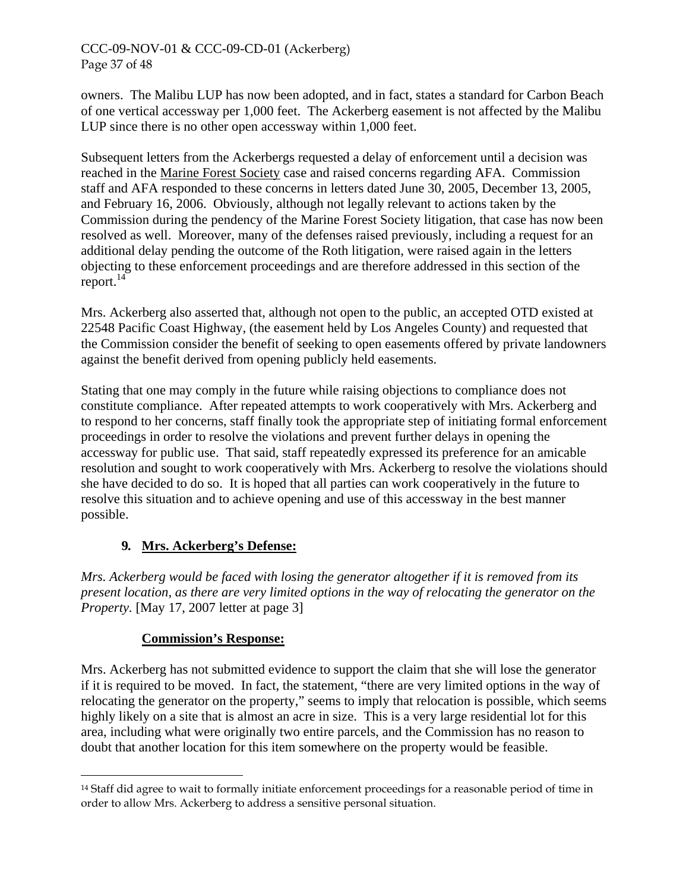# CCC-09-NOV-01 & CCC-09-CD-01 (Ackerberg) Page 37 of 48

owners. The Malibu LUP has now been adopted, and in fact, states a standard for Carbon Beach of one vertical accessway per 1,000 feet. The Ackerberg easement is not affected by the Malibu LUP since there is no other open accessway within 1,000 feet.

Subsequent letters from the Ackerbergs requested a delay of enforcement until a decision was reached in the Marine Forest Society case and raised concerns regarding AFA. Commission staff and AFA responded to these concerns in letters dated June 30, 2005, December 13, 2005, and February 16, 2006. Obviously, although not legally relevant to actions taken by the Commission during the pendency of the Marine Forest Society litigation, that case has now been resolved as well. Moreover, many of the defenses raised previously, including a request for an additional delay pending the outcome of the Roth litigation, were raised again in the letters objecting to these enforcement proceedings and are therefore addressed in this section of the report. $^{14}$ 

Mrs. Ackerberg also asserted that, although not open to the public, an accepted OTD existed at 22548 Pacific Coast Highway, (the easement held by Los Angeles County) and requested that the Commission consider the benefit of seeking to open easements offered by private landowners against the benefit derived from opening publicly held easements.

Stating that one may comply in the future while raising objections to compliance does not constitute compliance. After repeated attempts to work cooperatively with Mrs. Ackerberg and to respond to her concerns, staff finally took the appropriate step of initiating formal enforcement proceedings in order to resolve the violations and prevent further delays in opening the accessway for public use. That said, staff repeatedly expressed its preference for an amicable resolution and sought to work cooperatively with Mrs. Ackerberg to resolve the violations should she have decided to do so. It is hoped that all parties can work cooperatively in the future to resolve this situation and to achieve opening and use of this accessway in the best manner possible.

# **9***.* **Mrs. Ackerberg's Defense:**

*Mrs. Ackerberg would be faced with losing the generator altogether if it is removed from its present location, as there are very limited options in the way of relocating the generator on the Property.* [May 17, 2007 letter at page 3]

# **Commission's Response:**

Mrs. Ackerberg has not submitted evidence to support the claim that she will lose the generator if it is required to be moved. In fact, the statement, "there are very limited options in the way of relocating the generator on the property," seems to imply that relocation is possible, which seems highly likely on a site that is almost an acre in size. This is a very large residential lot for this area, including what were originally two entire parcels, and the Commission has no reason to doubt that another location for this item somewhere on the property would be feasible.

<span id="page-36-0"></span> $\overline{a}$ <sup>14</sup> Staff did agree to wait to formally initiate enforcement proceedings for a reasonable period of time in order to allow Mrs. Ackerberg to address a sensitive personal situation.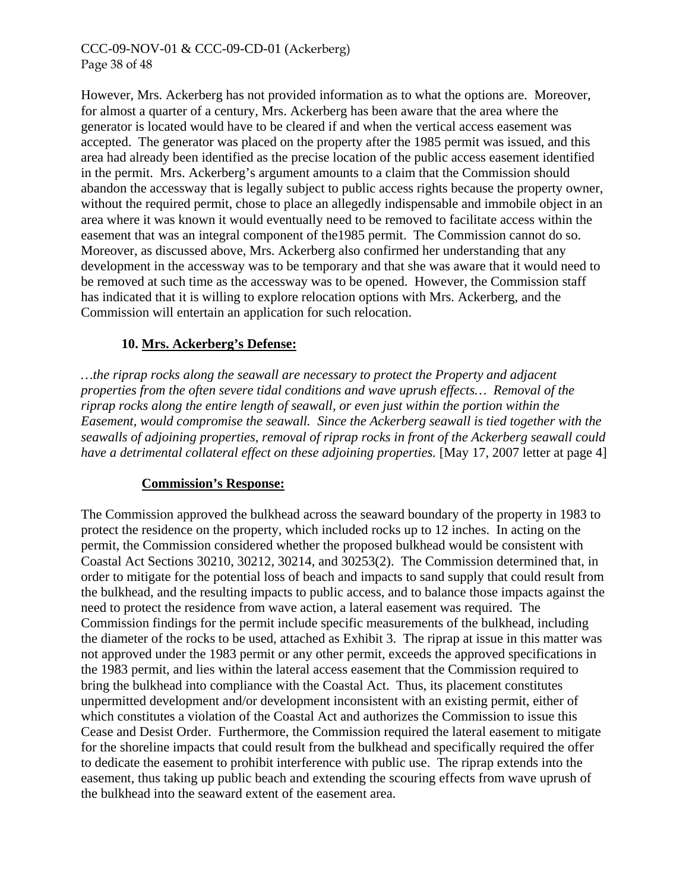## CCC-09-NOV-01 & CCC-09-CD-01 (Ackerberg) Page 38 of 48

However, Mrs. Ackerberg has not provided information as to what the options are. Moreover, for almost a quarter of a century, Mrs. Ackerberg has been aware that the area where the generator is located would have to be cleared if and when the vertical access easement was accepted. The generator was placed on the property after the 1985 permit was issued, and this area had already been identified as the precise location of the public access easement identified in the permit. Mrs. Ackerberg's argument amounts to a claim that the Commission should abandon the accessway that is legally subject to public access rights because the property owner, without the required permit, chose to place an allegedly indispensable and immobile object in an area where it was known it would eventually need to be removed to facilitate access within the easement that was an integral component of the1985 permit. The Commission cannot do so. Moreover, as discussed above, Mrs. Ackerberg also confirmed her understanding that any development in the accessway was to be temporary and that she was aware that it would need to be removed at such time as the accessway was to be opened. However, the Commission staff has indicated that it is willing to explore relocation options with Mrs. Ackerberg, and the Commission will entertain an application for such relocation.

# **10. Mrs. Ackerberg's Defense:**

*…the riprap rocks along the seawall are necessary to protect the Property and adjacent properties from the often severe tidal conditions and wave uprush effects… Removal of the riprap rocks along the entire length of seawall, or even just within the portion within the Easement, would compromise the seawall. Since the Ackerberg seawall is tied together with the seawalls of adjoining properties, removal of riprap rocks in front of the Ackerberg seawall could have a detrimental collateral effect on these adjoining properties.* [May 17, 2007 letter at page 4]

#### **Commission's Response:**

The Commission approved the bulkhead across the seaward boundary of the property in 1983 to protect the residence on the property, which included rocks up to 12 inches. In acting on the permit, the Commission considered whether the proposed bulkhead would be consistent with Coastal Act Sections 30210, 30212, 30214, and 30253(2). The Commission determined that, in order to mitigate for the potential loss of beach and impacts to sand supply that could result from the bulkhead, and the resulting impacts to public access, and to balance those impacts against the need to protect the residence from wave action, a lateral easement was required. The Commission findings for the permit include specific measurements of the bulkhead, including the diameter of the rocks to be used, attached as Exhibit 3. The riprap at issue in this matter was not approved under the 1983 permit or any other permit, exceeds the approved specifications in the 1983 permit, and lies within the lateral access easement that the Commission required to bring the bulkhead into compliance with the Coastal Act. Thus, its placement constitutes unpermitted development and/or development inconsistent with an existing permit, either of which constitutes a violation of the Coastal Act and authorizes the Commission to issue this Cease and Desist Order. Furthermore, the Commission required the lateral easement to mitigate for the shoreline impacts that could result from the bulkhead and specifically required the offer to dedicate the easement to prohibit interference with public use. The riprap extends into the easement, thus taking up public beach and extending the scouring effects from wave uprush of the bulkhead into the seaward extent of the easement area.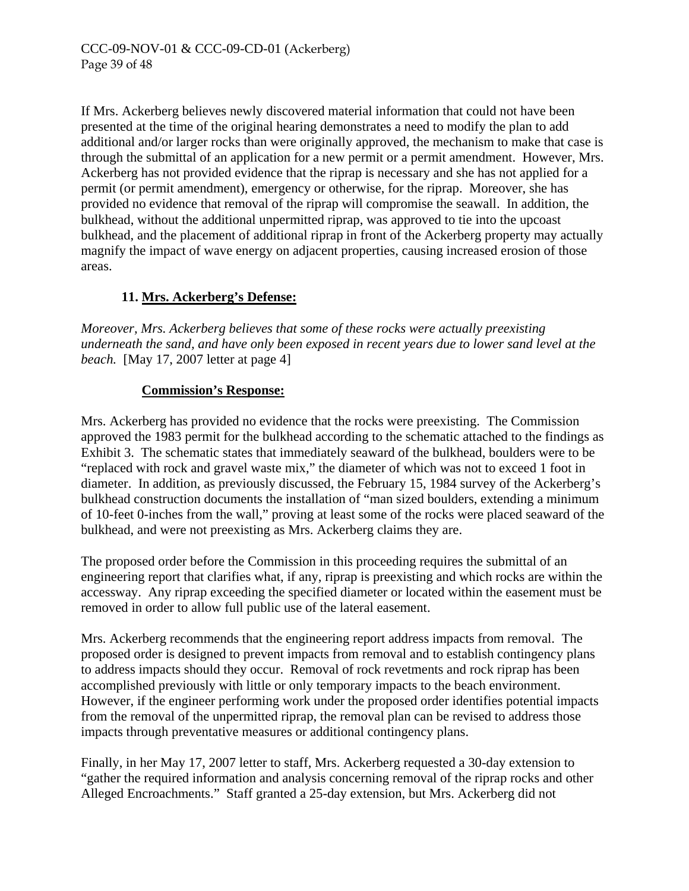If Mrs. Ackerberg believes newly discovered material information that could not have been presented at the time of the original hearing demonstrates a need to modify the plan to add additional and/or larger rocks than were originally approved, the mechanism to make that case is through the submittal of an application for a new permit or a permit amendment. However, Mrs. Ackerberg has not provided evidence that the riprap is necessary and she has not applied for a permit (or permit amendment), emergency or otherwise, for the riprap. Moreover, she has provided no evidence that removal of the riprap will compromise the seawall. In addition, the bulkhead, without the additional unpermitted riprap, was approved to tie into the upcoast bulkhead, and the placement of additional riprap in front of the Ackerberg property may actually magnify the impact of wave energy on adjacent properties, causing increased erosion of those areas.

# **11. Mrs. Ackerberg's Defense:**

*Moreover, Mrs. Ackerberg believes that some of these rocks were actually preexisting underneath the sand, and have only been exposed in recent years due to lower sand level at the beach.* [May 17, 2007 letter at page 4]

# **Commission's Response:**

Mrs. Ackerberg has provided no evidence that the rocks were preexisting. The Commission approved the 1983 permit for the bulkhead according to the schematic attached to the findings as Exhibit 3. The schematic states that immediately seaward of the bulkhead, boulders were to be "replaced with rock and gravel waste mix," the diameter of which was not to exceed 1 foot in diameter. In addition, as previously discussed, the February 15, 1984 survey of the Ackerberg's bulkhead construction documents the installation of "man sized boulders, extending a minimum of 10-feet 0-inches from the wall," proving at least some of the rocks were placed seaward of the bulkhead, and were not preexisting as Mrs. Ackerberg claims they are.

The proposed order before the Commission in this proceeding requires the submittal of an engineering report that clarifies what, if any, riprap is preexisting and which rocks are within the accessway. Any riprap exceeding the specified diameter or located within the easement must be removed in order to allow full public use of the lateral easement.

Mrs. Ackerberg recommends that the engineering report address impacts from removal. The proposed order is designed to prevent impacts from removal and to establish contingency plans to address impacts should they occur. Removal of rock revetments and rock riprap has been accomplished previously with little or only temporary impacts to the beach environment. However, if the engineer performing work under the proposed order identifies potential impacts from the removal of the unpermitted riprap, the removal plan can be revised to address those impacts through preventative measures or additional contingency plans.

Finally, in her May 17, 2007 letter to staff, Mrs. Ackerberg requested a 30-day extension to "gather the required information and analysis concerning removal of the riprap rocks and other Alleged Encroachments." Staff granted a 25-day extension, but Mrs. Ackerberg did not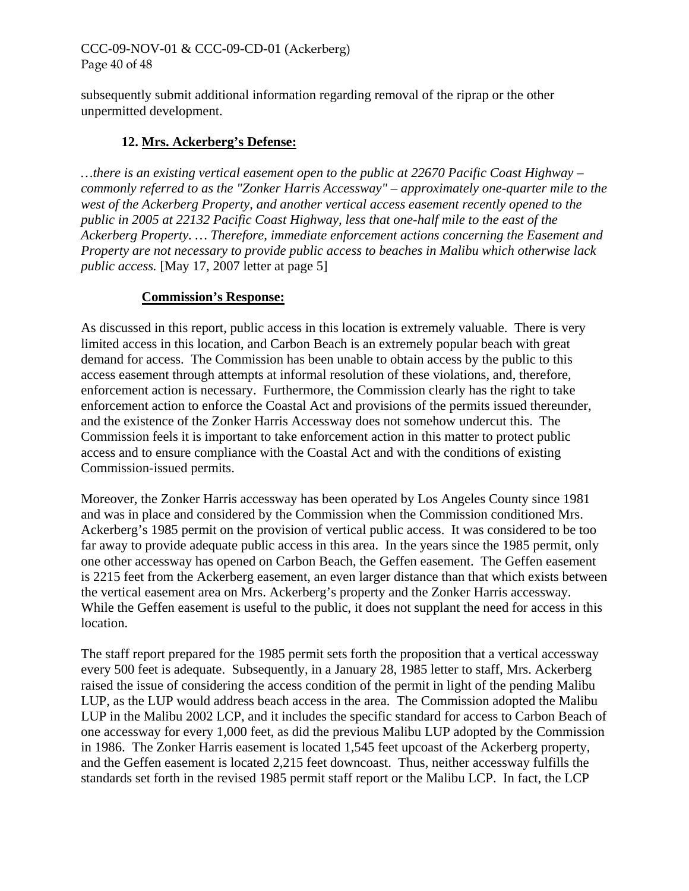# CCC-09-NOV-01 & CCC-09-CD-01 (Ackerberg) Page 40 of 48

subsequently submit additional information regarding removal of the riprap or the other unpermitted development.

# **12. Mrs. Ackerberg's Defense:**

*…there is an existing vertical easement open to the public at 22670 Pacific Coast Highway – commonly referred to as the "Zonker Harris Accessway" – approximately one-quarter mile to the west of the Ackerberg Property, and another vertical access easement recently opened to the public in 2005 at 22132 Pacific Coast Highway, less that one-half mile to the east of the Ackerberg Property. … Therefore, immediate enforcement actions concerning the Easement and Property are not necessary to provide public access to beaches in Malibu which otherwise lack public access.* [May 17, 2007 letter at page 5]

#### **Commission's Response:**

As discussed in this report, public access in this location is extremely valuable. There is very limited access in this location, and Carbon Beach is an extremely popular beach with great demand for access. The Commission has been unable to obtain access by the public to this access easement through attempts at informal resolution of these violations, and, therefore, enforcement action is necessary. Furthermore, the Commission clearly has the right to take enforcement action to enforce the Coastal Act and provisions of the permits issued thereunder, and the existence of the Zonker Harris Accessway does not somehow undercut this. The Commission feels it is important to take enforcement action in this matter to protect public access and to ensure compliance with the Coastal Act and with the conditions of existing Commission-issued permits.

Moreover, the Zonker Harris accessway has been operated by Los Angeles County since 1981 and was in place and considered by the Commission when the Commission conditioned Mrs. Ackerberg's 1985 permit on the provision of vertical public access. It was considered to be too far away to provide adequate public access in this area. In the years since the 1985 permit, only one other accessway has opened on Carbon Beach, the Geffen easement. The Geffen easement is 2215 feet from the Ackerberg easement, an even larger distance than that which exists between the vertical easement area on Mrs. Ackerberg's property and the Zonker Harris accessway. While the Geffen easement is useful to the public, it does not supplant the need for access in this location.

The staff report prepared for the 1985 permit sets forth the proposition that a vertical accessway every 500 feet is adequate. Subsequently, in a January 28, 1985 letter to staff, Mrs. Ackerberg raised the issue of considering the access condition of the permit in light of the pending Malibu LUP, as the LUP would address beach access in the area. The Commission adopted the Malibu LUP in the Malibu 2002 LCP, and it includes the specific standard for access to Carbon Beach of one accessway for every 1,000 feet, as did the previous Malibu LUP adopted by the Commission in 1986. The Zonker Harris easement is located 1,545 feet upcoast of the Ackerberg property, and the Geffen easement is located 2,215 feet downcoast. Thus, neither accessway fulfills the standards set forth in the revised 1985 permit staff report or the Malibu LCP. In fact, the LCP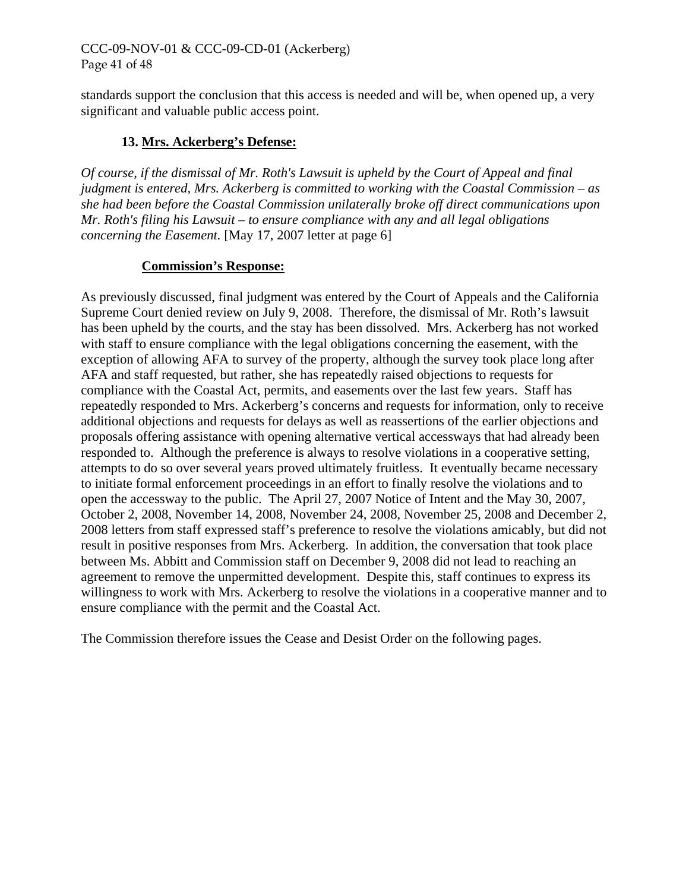# CCC-09-NOV-01 & CCC-09-CD-01 (Ackerberg) Page 41 of 48

standards support the conclusion that this access is needed and will be, when opened up, a very significant and valuable public access point.

# **13. Mrs. Ackerberg's Defense:**

*Of course, if the dismissal of Mr. Roth's Lawsuit is upheld by the Court of Appeal and final judgment is entered, Mrs. Ackerberg is committed to working with the Coastal Commission – as she had been before the Coastal Commission unilaterally broke off direct communications upon Mr. Roth's filing his Lawsuit – to ensure compliance with any and all legal obligations concerning the Easement.* [May 17, 2007 letter at page 6]

#### **Commission's Response:**

As previously discussed, final judgment was entered by the Court of Appeals and the California Supreme Court denied review on July 9, 2008. Therefore, the dismissal of Mr. Roth's lawsuit has been upheld by the courts, and the stay has been dissolved. Mrs. Ackerberg has not worked with staff to ensure compliance with the legal obligations concerning the easement, with the exception of allowing AFA to survey of the property, although the survey took place long after AFA and staff requested, but rather, she has repeatedly raised objections to requests for compliance with the Coastal Act, permits, and easements over the last few years. Staff has repeatedly responded to Mrs. Ackerberg's concerns and requests for information, only to receive additional objections and requests for delays as well as reassertions of the earlier objections and proposals offering assistance with opening alternative vertical accessways that had already been responded to. Although the preference is always to resolve violations in a cooperative setting, attempts to do so over several years proved ultimately fruitless. It eventually became necessary to initiate formal enforcement proceedings in an effort to finally resolve the violations and to open the accessway to the public. The April 27, 2007 Notice of Intent and the May 30, 2007, October 2, 2008, November 14, 2008, November 24, 2008, November 25, 2008 and December 2, 2008 letters from staff expressed staff's preference to resolve the violations amicably, but did not result in positive responses from Mrs. Ackerberg. In addition, the conversation that took place between Ms. Abbitt and Commission staff on December 9, 2008 did not lead to reaching an agreement to remove the unpermitted development. Despite this, staff continues to express its willingness to work with Mrs. Ackerberg to resolve the violations in a cooperative manner and to ensure compliance with the permit and the Coastal Act.

The Commission therefore issues the Cease and Desist Order on the following pages.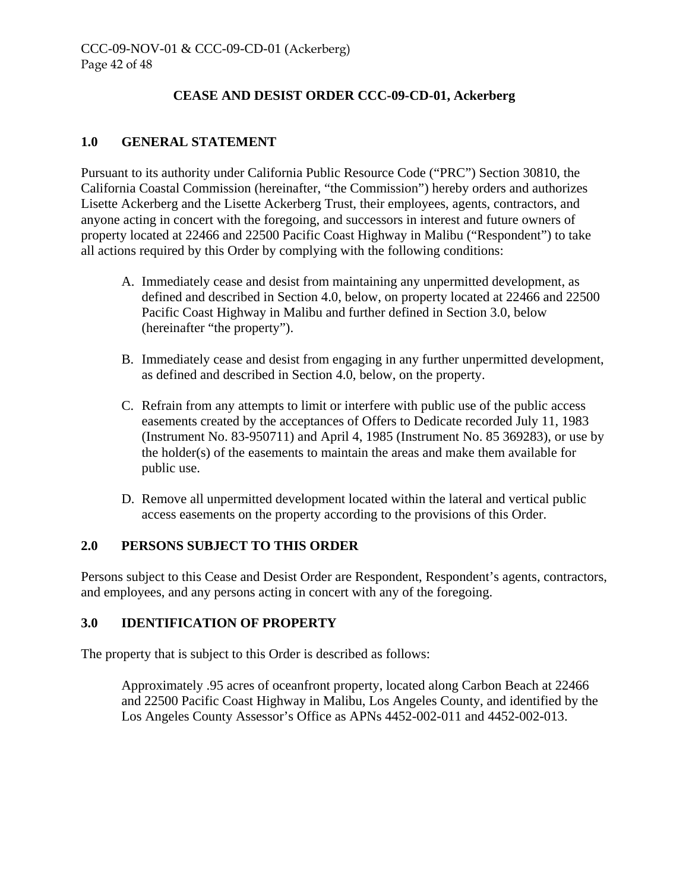# **CEASE AND DESIST ORDER CCC-09-CD-01, Ackerberg**

# **1.0 GENERAL STATEMENT**

Pursuant to its authority under California Public Resource Code ("PRC") Section 30810, the California Coastal Commission (hereinafter, "the Commission") hereby orders and authorizes Lisette Ackerberg and the Lisette Ackerberg Trust, their employees, agents, contractors, and anyone acting in concert with the foregoing, and successors in interest and future owners of property located at 22466 and 22500 Pacific Coast Highway in Malibu ("Respondent") to take all actions required by this Order by complying with the following conditions:

- A. Immediately cease and desist from maintaining any unpermitted development, as defined and described in Section 4.0, below, on property located at 22466 and 22500 Pacific Coast Highway in Malibu and further defined in Section 3.0, below (hereinafter "the property").
- B. Immediately cease and desist from engaging in any further unpermitted development, as defined and described in Section 4.0, below, on the property.
- C. Refrain from any attempts to limit or interfere with public use of the public access easements created by the acceptances of Offers to Dedicate recorded July 11, 1983 (Instrument No. 83-950711) and April 4, 1985 (Instrument No. 85 369283), or use by the holder(s) of the easements to maintain the areas and make them available for public use.
- D. Remove all unpermitted development located within the lateral and vertical public access easements on the property according to the provisions of this Order.

# **2.0 PERSONS SUBJECT TO THIS ORDER**

Persons subject to this Cease and Desist Order are Respondent, Respondent's agents, contractors, and employees, and any persons acting in concert with any of the foregoing.

#### **3.0 IDENTIFICATION OF PROPERTY**

The property that is subject to this Order is described as follows:

Approximately .95 acres of oceanfront property, located along Carbon Beach at 22466 and 22500 Pacific Coast Highway in Malibu, Los Angeles County, and identified by the Los Angeles County Assessor's Office as APNs 4452-002-011 and 4452-002-013.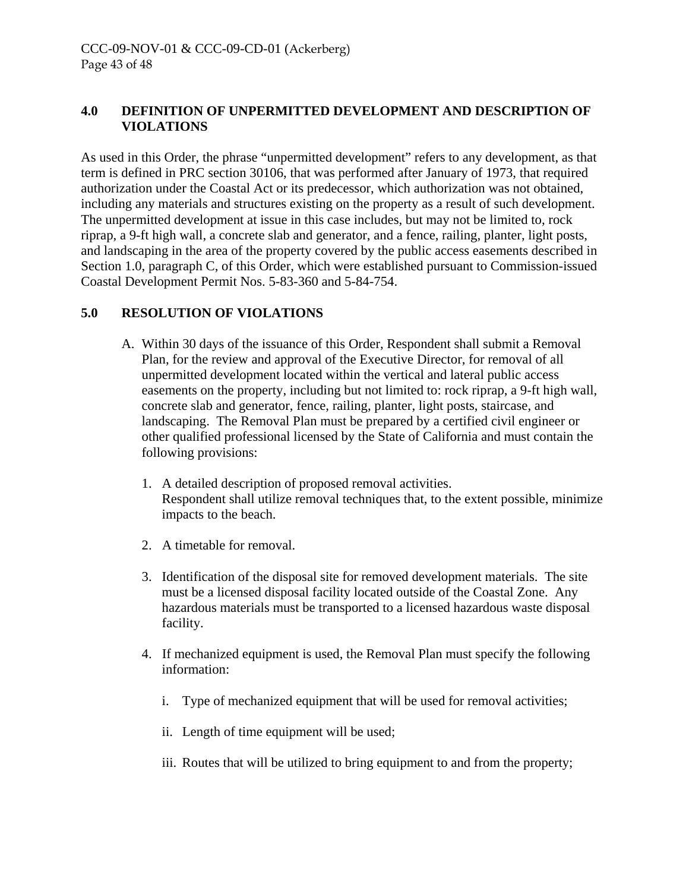# **4.0 DEFINITION OF UNPERMITTED DEVELOPMENT AND DESCRIPTION OF VIOLATIONS**

As used in this Order, the phrase "unpermitted development" refers to any development, as that term is defined in PRC section 30106, that was performed after January of 1973, that required authorization under the Coastal Act or its predecessor, which authorization was not obtained, including any materials and structures existing on the property as a result of such development. The unpermitted development at issue in this case includes, but may not be limited to, rock riprap, a 9-ft high wall, a concrete slab and generator, and a fence, railing, planter, light posts, and landscaping in the area of the property covered by the public access easements described in Section 1.0, paragraph C, of this Order, which were established pursuant to Commission-issued Coastal Development Permit Nos. 5-83-360 and 5-84-754.

# **5.0 RESOLUTION OF VIOLATIONS**

- A. Within 30 days of the issuance of this Order, Respondent shall submit a Removal Plan, for the review and approval of the Executive Director, for removal of all unpermitted development located within the vertical and lateral public access easements on the property, including but not limited to: rock riprap, a 9-ft high wall, concrete slab and generator, fence, railing, planter, light posts, staircase, and landscaping. The Removal Plan must be prepared by a certified civil engineer or other qualified professional licensed by the State of California and must contain the following provisions:
	- 1. A detailed description of proposed removal activities. Respondent shall utilize removal techniques that, to the extent possible, minimize impacts to the beach.
	- 2. A timetable for removal.
	- 3. Identification of the disposal site for removed development materials. The site must be a licensed disposal facility located outside of the Coastal Zone. Any hazardous materials must be transported to a licensed hazardous waste disposal facility.
	- 4. If mechanized equipment is used, the Removal Plan must specify the following information:
		- i. Type of mechanized equipment that will be used for removal activities;
		- ii. Length of time equipment will be used;
		- iii. Routes that will be utilized to bring equipment to and from the property;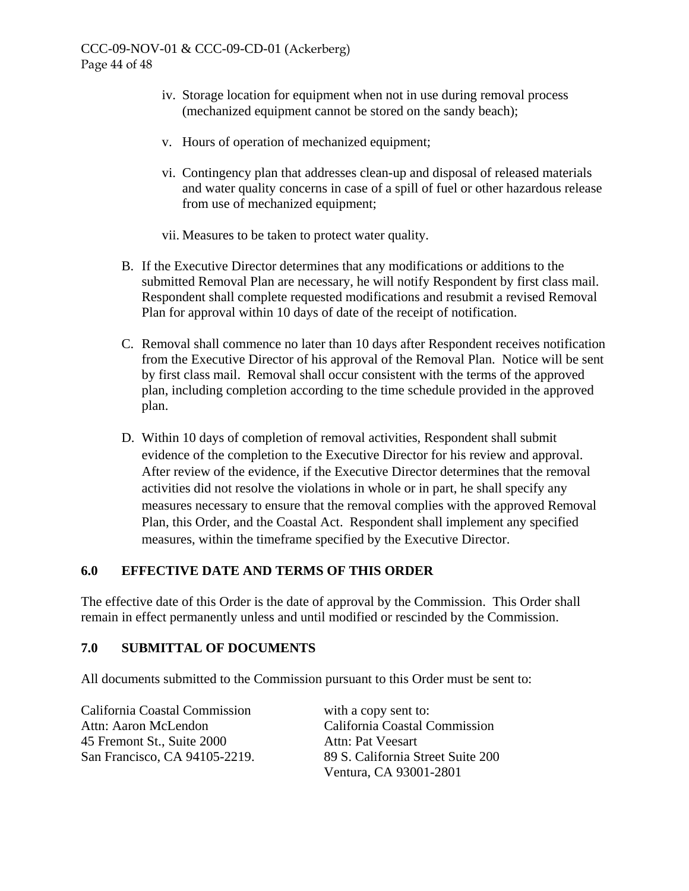- iv. Storage location for equipment when not in use during removal process (mechanized equipment cannot be stored on the sandy beach);
- v. Hours of operation of mechanized equipment;
- vi. Contingency plan that addresses clean-up and disposal of released materials and water quality concerns in case of a spill of fuel or other hazardous release from use of mechanized equipment;
- vii. Measures to be taken to protect water quality.
- B. If the Executive Director determines that any modifications or additions to the submitted Removal Plan are necessary, he will notify Respondent by first class mail. Respondent shall complete requested modifications and resubmit a revised Removal Plan for approval within 10 days of date of the receipt of notification.
- C. Removal shall commence no later than 10 days after Respondent receives notification from the Executive Director of his approval of the Removal Plan. Notice will be sent by first class mail. Removal shall occur consistent with the terms of the approved plan, including completion according to the time schedule provided in the approved plan.
- D. Within 10 days of completion of removal activities, Respondent shall submit evidence of the completion to the Executive Director for his review and approval. After review of the evidence, if the Executive Director determines that the removal activities did not resolve the violations in whole or in part, he shall specify any measures necessary to ensure that the removal complies with the approved Removal Plan, this Order, and the Coastal Act. Respondent shall implement any specified measures, within the timeframe specified by the Executive Director.

#### **6.0 EFFECTIVE DATE AND TERMS OF THIS ORDER**

The effective date of this Order is the date of approval by the Commission. This Order shall remain in effect permanently unless and until modified or rescinded by the Commission.

#### **7.0 SUBMITTAL OF DOCUMENTS**

All documents submitted to the Commission pursuant to this Order must be sent to:

California Coastal Commission with a copy sent to: Attn: Aaron McLendon California Coastal Commission 45 Fremont St., Suite 2000 Attn: Pat Veesart San Francisco, CA 94105-2219. 89 S. California Street Suite 200

Ventura, CA 93001-2801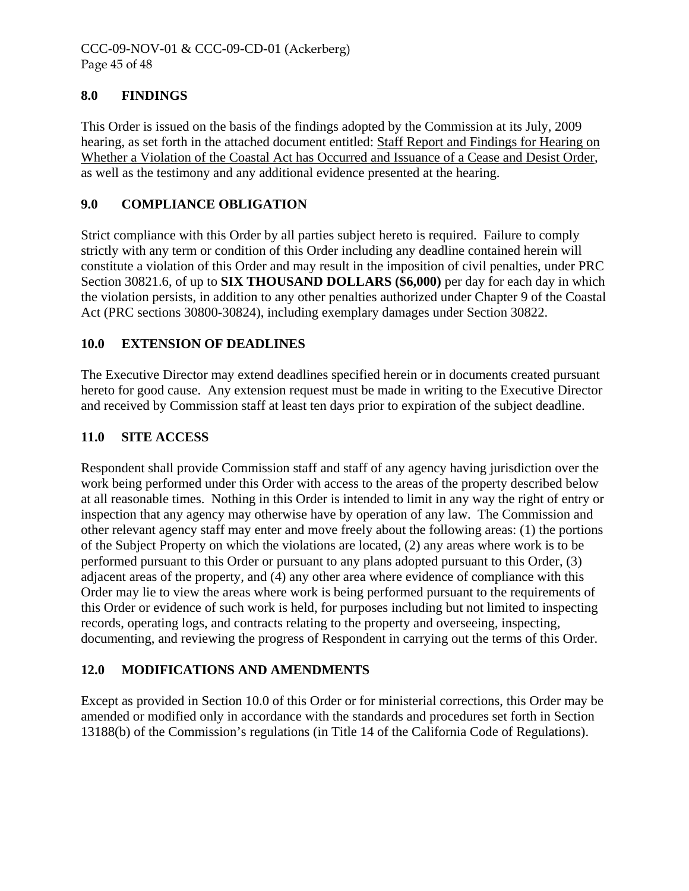# **8.0 FINDINGS**

This Order is issued on the basis of the findings adopted by the Commission at its July, 2009 hearing, as set forth in the attached document entitled: Staff Report and Findings for Hearing on Whether a Violation of the Coastal Act has Occurred and Issuance of a Cease and Desist Order, as well as the testimony and any additional evidence presented at the hearing.

# **9.0 COMPLIANCE OBLIGATION**

Strict compliance with this Order by all parties subject hereto is required. Failure to comply strictly with any term or condition of this Order including any deadline contained herein will constitute a violation of this Order and may result in the imposition of civil penalties, under PRC Section 30821.6, of up to **SIX THOUSAND DOLLARS (\$6,000)** per day for each day in which the violation persists, in addition to any other penalties authorized under Chapter 9 of the Coastal Act (PRC sections 30800-30824), including exemplary damages under Section 30822.

# **10.0 EXTENSION OF DEADLINES**

The Executive Director may extend deadlines specified herein or in documents created pursuant hereto for good cause. Any extension request must be made in writing to the Executive Director and received by Commission staff at least ten days prior to expiration of the subject deadline.

# **11.0 SITE ACCESS**

Respondent shall provide Commission staff and staff of any agency having jurisdiction over the work being performed under this Order with access to the areas of the property described below at all reasonable times. Nothing in this Order is intended to limit in any way the right of entry or inspection that any agency may otherwise have by operation of any law. The Commission and other relevant agency staff may enter and move freely about the following areas: (1) the portions of the Subject Property on which the violations are located, (2) any areas where work is to be performed pursuant to this Order or pursuant to any plans adopted pursuant to this Order, (3) adjacent areas of the property, and (4) any other area where evidence of compliance with this Order may lie to view the areas where work is being performed pursuant to the requirements of this Order or evidence of such work is held, for purposes including but not limited to inspecting records, operating logs, and contracts relating to the property and overseeing, inspecting, documenting, and reviewing the progress of Respondent in carrying out the terms of this Order.

#### **12.0 MODIFICATIONS AND AMENDMENTS**

Except as provided in Section 10.0 of this Order or for ministerial corrections, this Order may be amended or modified only in accordance with the standards and procedures set forth in Section 13188(b) of the Commission's regulations (in Title 14 of the California Code of Regulations).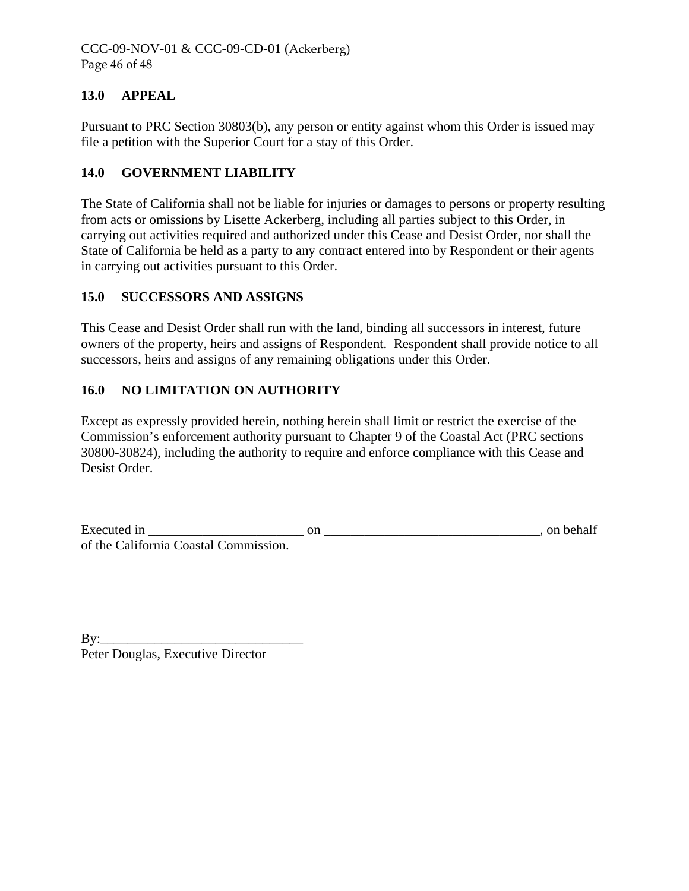# **13.0 APPEAL**

Pursuant to PRC Section 30803(b), any person or entity against whom this Order is issued may file a petition with the Superior Court for a stay of this Order.

# **14.0 GOVERNMENT LIABILITY**

The State of California shall not be liable for injuries or damages to persons or property resulting from acts or omissions by Lisette Ackerberg, including all parties subject to this Order, in carrying out activities required and authorized under this Cease and Desist Order, nor shall the State of California be held as a party to any contract entered into by Respondent or their agents in carrying out activities pursuant to this Order.

# **15.0 SUCCESSORS AND ASSIGNS**

This Cease and Desist Order shall run with the land, binding all successors in interest, future owners of the property, heirs and assigns of Respondent. Respondent shall provide notice to all successors, heirs and assigns of any remaining obligations under this Order.

# **16.0 NO LIMITATION ON AUTHORITY**

Except as expressly provided herein, nothing herein shall limit or restrict the exercise of the Commission's enforcement authority pursuant to Chapter 9 of the Coastal Act (PRC sections 30800-30824), including the authority to require and enforce compliance with this Cease and Desist Order.

| Executed in                           |  | on behalf |
|---------------------------------------|--|-----------|
| of the California Coastal Commission. |  |           |

| $\rm\,By:$                        |  |
|-----------------------------------|--|
| Peter Douglas, Executive Director |  |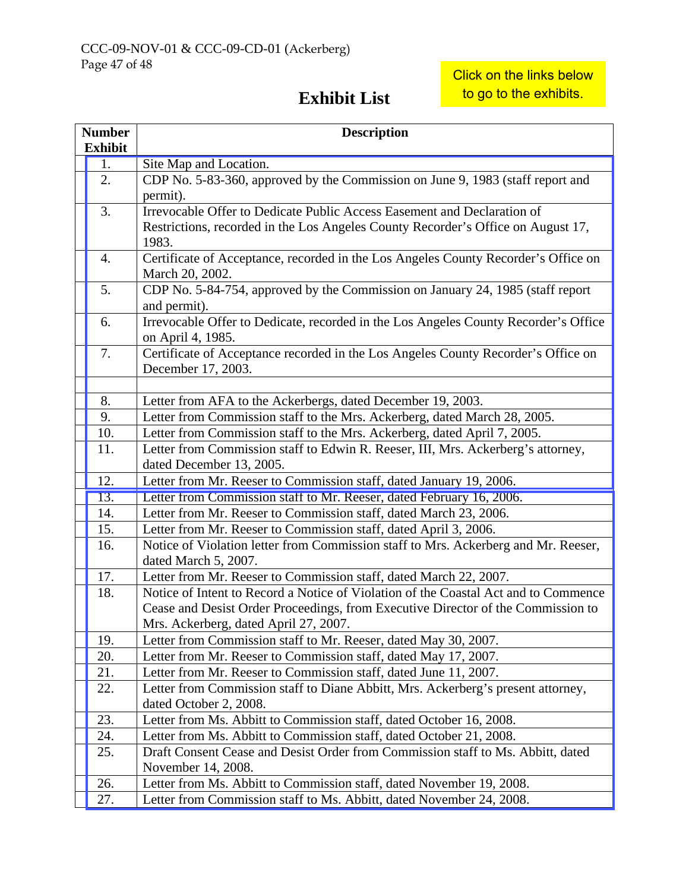# **Exhibit List**

| <b>Number</b>  | <b>Description</b>                                                                                           |
|----------------|--------------------------------------------------------------------------------------------------------------|
| <b>Exhibit</b> |                                                                                                              |
| 1.             | Site Map and Location.                                                                                       |
| 2.             | CDP No. 5-83-360, approved by the Commission on June 9, 1983 (staff report and<br>permit).                   |
| 3.             | Irrevocable Offer to Dedicate Public Access Easement and Declaration of                                      |
|                | Restrictions, recorded in the Los Angeles County Recorder's Office on August 17,<br>1983.                    |
| 4.             | Certificate of Acceptance, recorded in the Los Angeles County Recorder's Office on                           |
|                | March 20, 2002.                                                                                              |
| 5.             | CDP No. 5-84-754, approved by the Commission on January 24, 1985 (staff report<br>and permit).               |
| 6.             | Irrevocable Offer to Dedicate, recorded in the Los Angeles County Recorder's Office                          |
|                | on April 4, 1985.                                                                                            |
| 7.             | Certificate of Acceptance recorded in the Los Angeles County Recorder's Office on<br>December 17, 2003.      |
|                |                                                                                                              |
| 8.             | Letter from AFA to the Ackerbergs, dated December 19, 2003.                                                  |
| 9.             | Letter from Commission staff to the Mrs. Ackerberg, dated March 28, 2005.                                    |
| 10.            | Letter from Commission staff to the Mrs. Ackerberg, dated April 7, 2005.                                     |
| 11.            | Letter from Commission staff to Edwin R. Reeser, III, Mrs. Ackerberg's attorney,<br>dated December 13, 2005. |
| 12.            | Letter from Mr. Reeser to Commission staff, dated January 19, 2006.                                          |
| 13.            | Letter from Commission staff to Mr. Reeser, dated February 16, 2006.                                         |
| 14.            | Letter from Mr. Reeser to Commission staff, dated March 23, 2006.                                            |
| 15.            | Letter from Mr. Reeser to Commission staff, dated April 3, 2006.                                             |
| 16.            | Notice of Violation letter from Commission staff to Mrs. Ackerberg and Mr. Reeser,<br>dated March 5, 2007.   |
| 17.            | Letter from Mr. Reeser to Commission staff, dated March 22, 2007.                                            |
| 18.            | Notice of Intent to Record a Notice of Violation of the Coastal Act and to Commence                          |
|                | Cease and Desist Order Proceedings, from Executive Director of the Commission to                             |
|                | Mrs. Ackerberg, dated April 27, 2007.                                                                        |
| 19.            | Letter from Commission staff to Mr. Reeser, dated May 30, 2007.                                              |
| 20.            | Letter from Mr. Reeser to Commission staff, dated May 17, 2007.                                              |
| 21.            | Letter from Mr. Reeser to Commission staff, dated June 11, 2007.                                             |
| 22.            | Letter from Commission staff to Diane Abbitt, Mrs. Ackerberg's present attorney,                             |
|                | dated October 2, 2008.                                                                                       |
| 23.            | Letter from Ms. Abbitt to Commission staff, dated October 16, 2008.                                          |
| 24.            | Letter from Ms. Abbitt to Commission staff, dated October 21, 2008.                                          |
| 25.            | Draft Consent Cease and Desist Order from Commission staff to Ms. Abbitt, dated                              |
|                | November 14, 2008.                                                                                           |
| 26.            | Letter from Ms. Abbitt to Commission staff, dated November 19, 2008.                                         |
| 27.            | Letter from Commission staff to Ms. Abbitt, dated November 24, 2008.                                         |